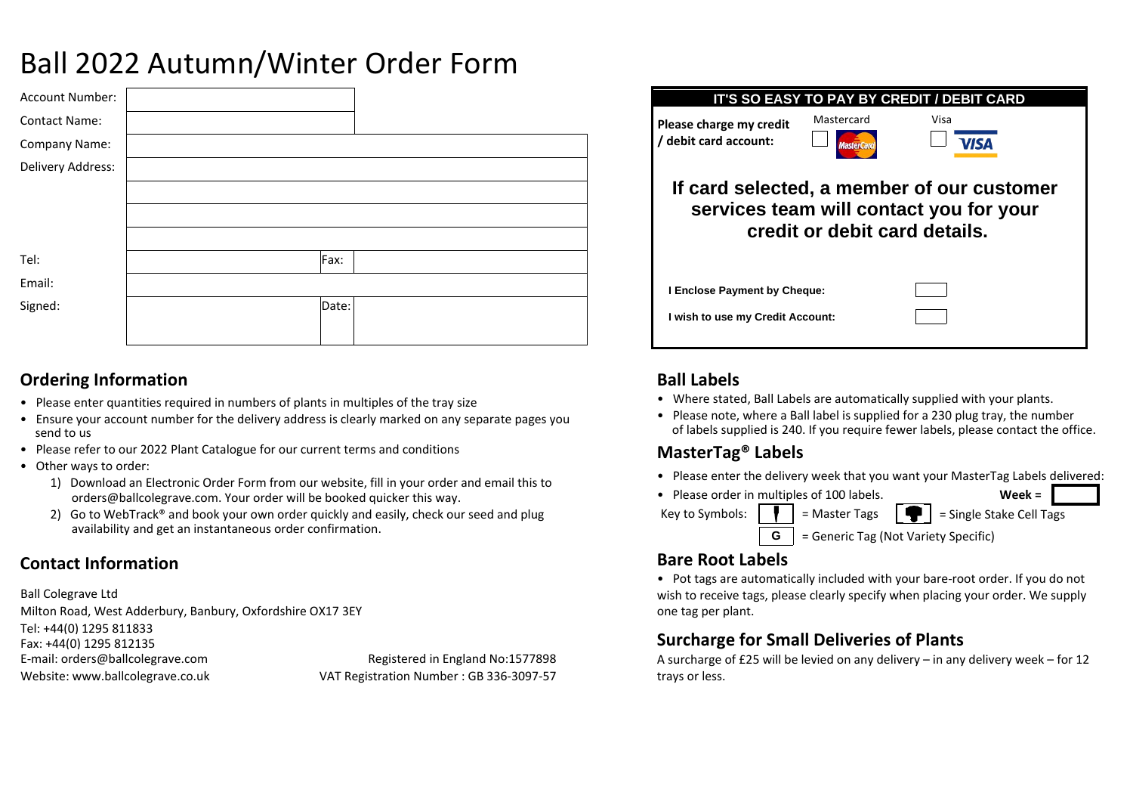# Ball 2022 Autumn/Winter Order Form

| Account Number:      |       |  |
|----------------------|-------|--|
| <b>Contact Name:</b> |       |  |
| Company Name:        |       |  |
| Delivery Address:    |       |  |
|                      |       |  |
|                      |       |  |
|                      |       |  |
| Tel:                 | Fax:  |  |
| Email:               |       |  |
| Signed:              | Date: |  |
|                      |       |  |

### **Ordering Information**

- Please enter quantities required in numbers of plants in multiples of the tray size
- Ensure your account number for the delivery address is clearly marked on any separate pages you send to us
- Please refer to our 2022 Plant Catalogue for our current terms and conditions
- Other ways to order:
	- orders@ballcolegrave.com. Your order will be booked quicker this way. 1) Download an Electronic Order Form from our website, fill in your order and email this to
	- 2) Go to WebTrack<sup>®</sup> and book your own order quickly and easily, check our seed and plug availability and get an instantaneous order confirmation.

## **Contact Information**

Ball Colegrave Ltd Milton Road, West Adderbury, Banbury, Oxfordshire OX17 3EY E-mail: orders@ballcolegrave.com Website: www.ballcolegrave.co.uk Fax: +44(0) 1295 812135 Tel: +44(0) 1295 811833 Registered in England No:1577898 VAT Registration Number : GB 336-3097-57

**IT'S SO EASY TO PAY BY CREDIT / DEBIT CARD Please charge my credit** Mastercard Visa **/ debit card account: VISA If card selected, a member of our customer services team will contact you for your credit or debit card details. I Enclose Payment by Cheque: I wish to use my Credit Account:**

## **Ball Labels**

- Where stated, Ball Labels are automatically supplied with your plants.
- Please note, where a Ball label is supplied for a 230 plug tray, the number of labels supplied is 240. If you require fewer labels, please contact the office.

## **MasterTag® Labels**

- Please enter the delivery week that you want your MasterTag Labels delivered:
- Key to Symbols:  $\|\cdot\|$  = Master Tags = Single Stake Cell Tags • Please order in multiples of 100 labels. **G** = Generic Tag (Not Variety Specific) **Week =**

## **Bare Root Labels**

• Pot tags are automatically included with your bare-root order. If you do not wish to receive tags, please clearly specify when placing your order. We supply one tag per plant.

## **Surcharge for Small Deliveries of Plants**

A surcharge of £25 will be levied on any delivery – in any delivery week – for 12 trays or less.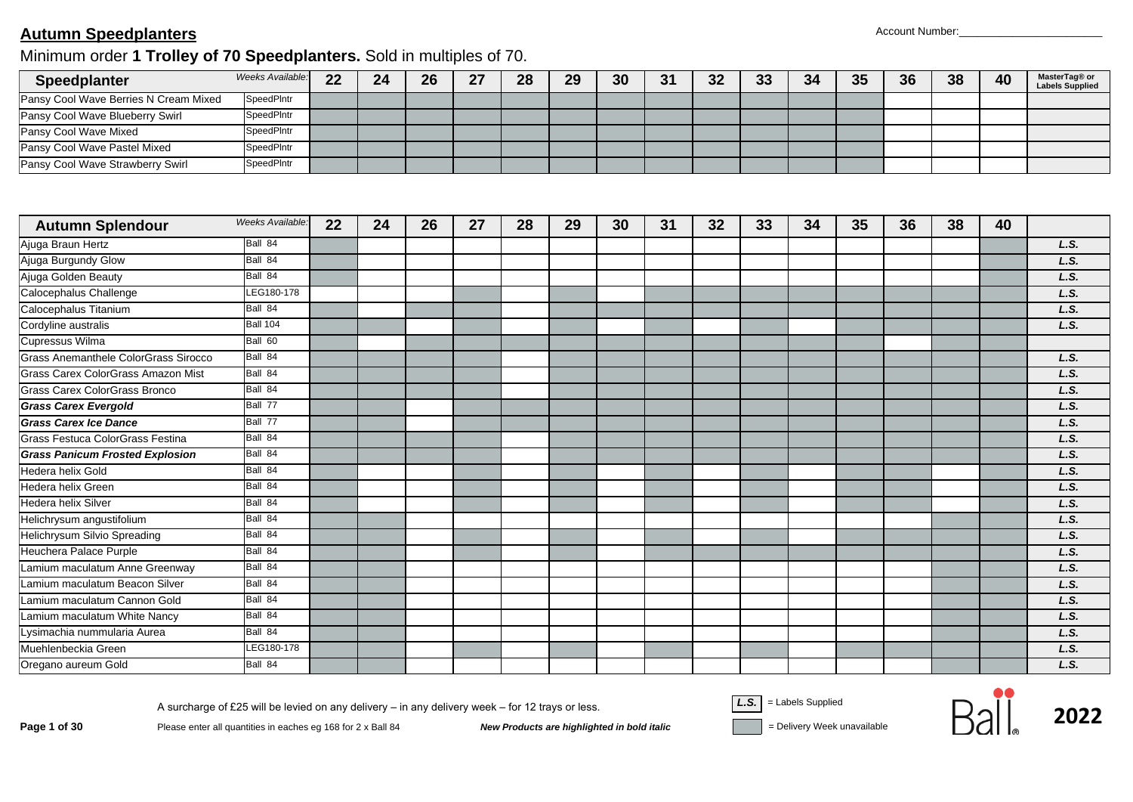#### **Autumn Speedplanters** Account Number:

## Minimum order **1 Trolley of 70 Speedplanters.** Sold in multiples of 70.

| Speedplanter                              | Weeks Available:  | 22 | 24 | 26 | 27 | 28 | 29 | 30 | 31 | 32 | 33 | 34 | 35 | 36 | 38 | 40 | MasterTag® or<br><b>Labels Supplied</b> |
|-------------------------------------------|-------------------|----|----|----|----|----|----|----|----|----|----|----|----|----|----|----|-----------------------------------------|
| Pansy Cool Wave Berries N Cream Mixed     | SpeedPIntr        |    |    |    |    |    |    |    |    |    |    |    |    |    |    |    |                                         |
| Pansy Cool Wave Blueberry Swirl           | SpeedPIntr        |    |    |    |    |    |    |    |    |    |    |    |    |    |    |    |                                         |
| Pansy Cool Wave Mixed                     | SpeedPIntr        |    |    |    |    |    |    |    |    |    |    |    |    |    |    |    |                                         |
| Pansy Cool Wave Pastel Mixed              | <b>SpeedPIntr</b> |    |    |    |    |    |    |    |    |    |    |    |    |    |    |    |                                         |
| Pansy Cool Wave Strawberry Swirl          | SpeedPIntr        |    |    |    |    |    |    |    |    |    |    |    |    |    |    |    |                                         |
|                                           | Weeks Available:  |    |    |    |    |    |    |    |    |    |    |    |    |    |    |    |                                         |
| <b>Autumn Splendour</b>                   |                   | 22 | 24 | 26 | 27 | 28 | 29 | 30 | 31 | 32 | 33 | 34 | 35 | 36 | 38 | 40 |                                         |
| Ajuga Braun Hertz                         | Ball 84           |    |    |    |    |    |    |    |    |    |    |    |    |    |    |    | L.S.                                    |
| Ajuga Burgundy Glow                       | Ball 84           |    |    |    |    |    |    |    |    |    |    |    |    |    |    |    | L.S.                                    |
| Ajuga Golden Beauty                       | Ball 84           |    |    |    |    |    |    |    |    |    |    |    |    |    |    |    | L.S.                                    |
| Calocephalus Challenge                    | LEG180-178        |    |    |    |    |    |    |    |    |    |    |    |    |    |    |    | L.S.                                    |
| Calocephalus Titanium                     | Ball 84           |    |    |    |    |    |    |    |    |    |    |    |    |    |    |    | L.S.                                    |
| Cordyline australis                       | Ball 104          |    |    |    |    |    |    |    |    |    |    |    |    |    |    |    | L.S.                                    |
| Cupressus Wilma                           | Ball 60           |    |    |    |    |    |    |    |    |    |    |    |    |    |    |    |                                         |
| Grass Anemanthele ColorGrass Sirocco      | Ball 84           |    |    |    |    |    |    |    |    |    |    |    |    |    |    |    | L.S.                                    |
| <b>Grass Carex ColorGrass Amazon Mist</b> | Ball 84           |    |    |    |    |    |    |    |    |    |    |    |    |    |    |    | L.S.                                    |
| <b>Grass Carex ColorGrass Bronco</b>      | Ball 84           |    |    |    |    |    |    |    |    |    |    |    |    |    |    |    | L.S.                                    |
| <b>Grass Carex Evergold</b>               | Ball 77           |    |    |    |    |    |    |    |    |    |    |    |    |    |    |    | L.S.                                    |
| <b>Grass Carex Ice Dance</b>              | Ball 77           |    |    |    |    |    |    |    |    |    |    |    |    |    |    |    | L.S.                                    |
| Grass Festuca ColorGrass Festina          | Ball 84           |    |    |    |    |    |    |    |    |    |    |    |    |    |    |    | L.S.                                    |
| <b>Grass Panicum Frosted Explosion</b>    | Ball 84           |    |    |    |    |    |    |    |    |    |    |    |    |    |    |    | L.S.                                    |
| <b>Hedera helix Gold</b>                  | Ball 84           |    |    |    |    |    |    |    |    |    |    |    |    |    |    |    | L.S.                                    |
| Hedera helix Green                        | Ball 84           |    |    |    |    |    |    |    |    |    |    |    |    |    |    |    | L.S.                                    |
| <b>Hedera helix Silver</b>                | Ball 84           |    |    |    |    |    |    |    |    |    |    |    |    |    |    |    | L.S.                                    |
| Helichrysum angustifolium                 | Ball 84           |    |    |    |    |    |    |    |    |    |    |    |    |    |    |    | L.S.                                    |
| Helichrysum Silvio Spreading              | Ball 84           |    |    |    |    |    |    |    |    |    |    |    |    |    |    |    | L.S.                                    |
| Heuchera Palace Purple                    | Ball 84           |    |    |    |    |    |    |    |    |    |    |    |    |    |    |    | L.S.                                    |
| Lamium maculatum Anne Greenway            | Ball 84           |    |    |    |    |    |    |    |    |    |    |    |    |    |    |    | L.S.                                    |
| Lamium maculatum Beacon Silver            | Ball 84           |    |    |    |    |    |    |    |    |    |    |    |    |    |    |    | L.S.                                    |
| Lamium maculatum Cannon Gold              | Ball 84           |    |    |    |    |    |    |    |    |    |    |    |    |    |    |    | L.S.                                    |
| Lamium maculatum White Nancy              | Ball 84           |    |    |    |    |    |    |    |    |    |    |    |    |    |    |    | L.S.                                    |
| Lysimachia nummularia Aurea               | Ball 84           |    |    |    |    |    |    |    |    |    |    |    |    |    |    |    | L.S.                                    |
| Muehlenbeckia Green                       | LEG180-178        |    |    |    |    |    |    |    |    |    |    |    |    |    |    |    | L.S.                                    |
| Oregano aureum Gold                       | Ball 84           |    |    |    |    |    |    |    |    |    |    |    |    |    |    |    | L.S.                                    |

Page 1 of 30 Please enter all quantities in eaches eg 168 for 2 x Ball 84 New Products are highlighted in bold italic<br>Please enter all quantities in eaches eg 168 for 2 x Ball 84 New Products are highlighted in bold itali

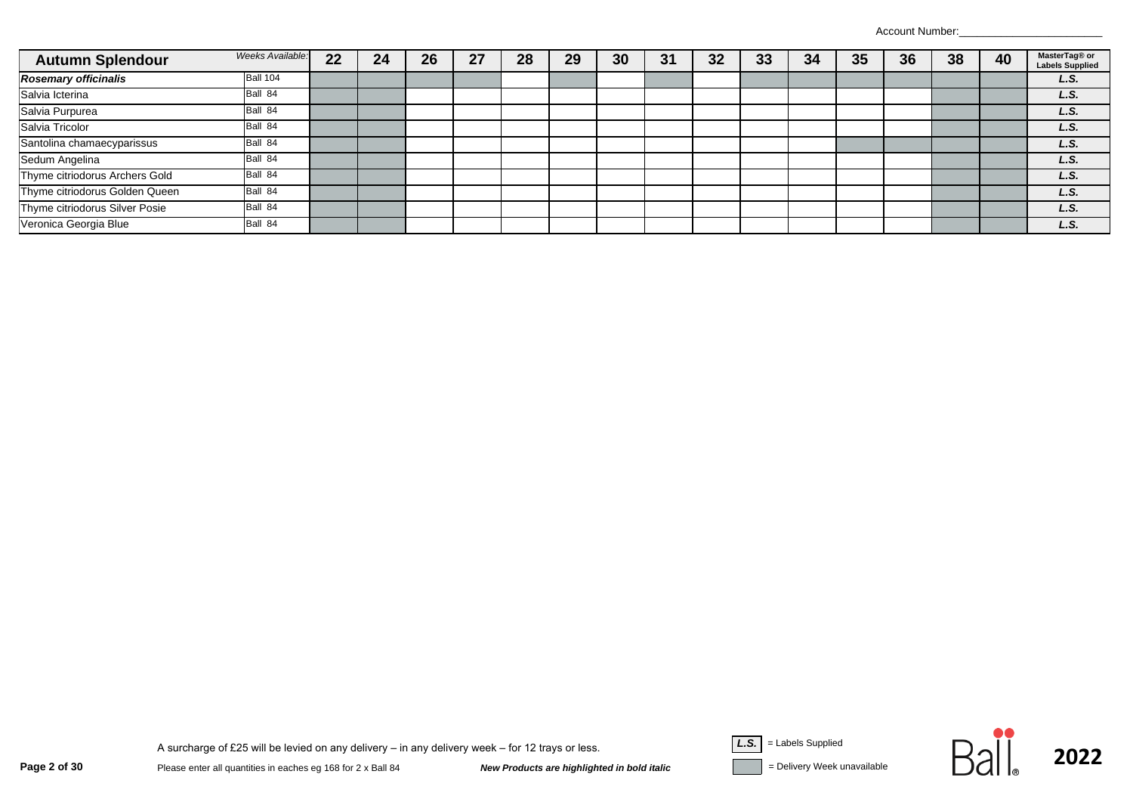Account Number:

| <b>Autumn Splendour</b>        | Weeks Available: | 22 | 24 | 26 | 27 | 28 | 29 | 30 | 31 | 32 | 33 | 34 | 35 | 36 | 38 | 40 | MasterTag® or<br><b>Labels Supplied</b> |
|--------------------------------|------------------|----|----|----|----|----|----|----|----|----|----|----|----|----|----|----|-----------------------------------------|
| <b>Rosemary officinalis</b>    | <b>Ball 104</b>  |    |    |    |    |    |    |    |    |    |    |    |    |    |    |    | L.S.                                    |
| Salvia Icterina                | Ball 84          |    |    |    |    |    |    |    |    |    |    |    |    |    |    |    | L.S.                                    |
| Salvia Purpurea                | Ball 84          |    |    |    |    |    |    |    |    |    |    |    |    |    |    |    | L.S.                                    |
| Salvia Tricolor                | Ball 84          |    |    |    |    |    |    |    |    |    |    |    |    |    |    |    | L.S.                                    |
| Santolina chamaecyparissus     | Ball 84          |    |    |    |    |    |    |    |    |    |    |    |    |    |    |    | L.S.                                    |
| Sedum Angelina                 | Ball 84          |    |    |    |    |    |    |    |    |    |    |    |    |    |    |    | L.S.                                    |
| Thyme citriodorus Archers Gold | Ball 84          |    |    |    |    |    |    |    |    |    |    |    |    |    |    |    | L.S.                                    |
| Thyme citriodorus Golden Queen | Ball 84          |    |    |    |    |    |    |    |    |    |    |    |    |    |    |    | L.S.                                    |
| Thyme citriodorus Silver Posie | Ball 84          |    |    |    |    |    |    |    |    |    |    |    |    |    |    |    | L.S.                                    |
| Veronica Georgia Blue          | Ball 84          |    |    |    |    |    |    |    |    |    |    |    |    |    |    |    | L.S.                                    |



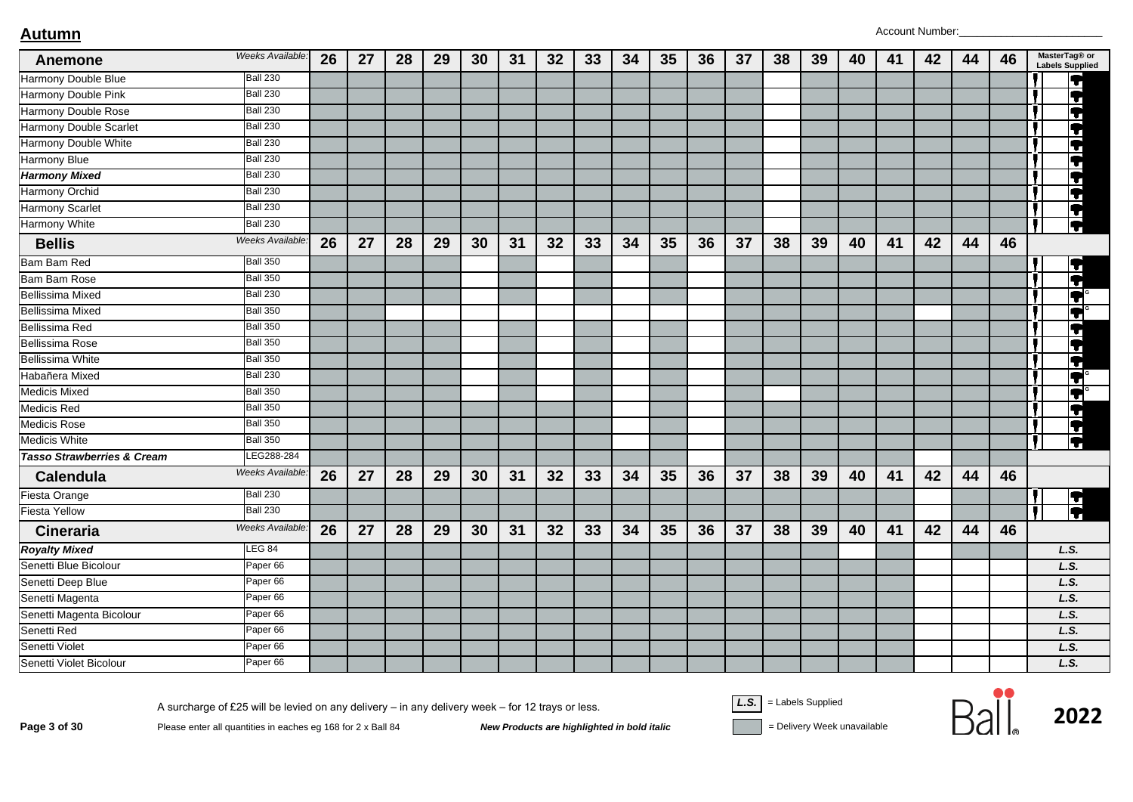| Anemone                               | Weeks Available: | 26 | 27 | 28 | 29 | 30 | 31 | 32 | 33 | 34 | 35 | 36 | 37 | 38 | 39 | 40 | 41 | 42 | 44 | 46 | MasterTag® or<br><b>Labels Supplied</b> |
|---------------------------------------|------------------|----|----|----|----|----|----|----|----|----|----|----|----|----|----|----|----|----|----|----|-----------------------------------------|
| Harmony Double Blue                   | <b>Ball 230</b>  |    |    |    |    |    |    |    |    |    |    |    |    |    |    |    |    |    |    |    | 7                                       |
| Harmony Double Pink                   | <b>Ball 230</b>  |    |    |    |    |    |    |    |    |    |    |    |    |    |    |    |    |    |    |    | F                                       |
| Harmony Double Rose                   | <b>Ball 230</b>  |    |    |    |    |    |    |    |    |    |    |    |    |    |    |    |    |    |    |    | Ħ                                       |
| <b>Harmony Double Scarlet</b>         | <b>Ball 230</b>  |    |    |    |    |    |    |    |    |    |    |    |    |    |    |    |    |    |    |    | T                                       |
| Harmony Double White                  | <b>Ball 230</b>  |    |    |    |    |    |    |    |    |    |    |    |    |    |    |    |    |    |    |    | 7                                       |
| Harmony Blue                          | <b>Ball 230</b>  |    |    |    |    |    |    |    |    |    |    |    |    |    |    |    |    |    |    |    | $\blacktriangledown$                    |
| <b>Harmony Mixed</b>                  | <b>Ball 230</b>  |    |    |    |    |    |    |    |    |    |    |    |    |    |    |    |    |    |    |    | Q                                       |
| <b>Harmony Orchid</b>                 | <b>Ball 230</b>  |    |    |    |    |    |    |    |    |    |    |    |    |    |    |    |    |    |    |    | $\overline{\textbf{P}}$                 |
| <b>Harmony Scarlet</b>                | <b>Ball 230</b>  |    |    |    |    |    |    |    |    |    |    |    |    |    |    |    |    |    |    |    | $\overline{\bm{P}}$                     |
| <b>Harmony White</b>                  | <b>Ball 230</b>  |    |    |    |    |    |    |    |    |    |    |    |    |    |    |    |    |    |    |    |                                         |
| <b>Bellis</b>                         | Weeks Available: | 26 | 27 | 28 | 29 | 30 | 31 | 32 | 33 | 34 | 35 | 36 | 37 | 38 | 39 | 40 | 41 | 42 | 44 | 46 |                                         |
| Bam Bam Red                           | <b>Ball 350</b>  |    |    |    |    |    |    |    |    |    |    |    |    |    |    |    |    |    |    |    |                                         |
| <b>Bam Bam Rose</b>                   | <b>Ball 350</b>  |    |    |    |    |    |    |    |    |    |    |    |    |    |    |    |    |    |    |    | dit.                                    |
| <b>Bellissima Mixed</b>               | <b>Ball 230</b>  |    |    |    |    |    |    |    |    |    |    |    |    |    |    |    |    |    |    |    | Q                                       |
| Bellissima Mixed                      | <b>Ball 350</b>  |    |    |    |    |    |    |    |    |    |    |    |    |    |    |    |    |    |    |    | Q                                       |
| Bellissima Red                        | <b>Ball 350</b>  |    |    |    |    |    |    |    |    |    |    |    |    |    |    |    |    |    |    |    | F                                       |
| <b>Bellissima Rose</b>                | <b>Ball 350</b>  |    |    |    |    |    |    |    |    |    |    |    |    |    |    |    |    |    |    |    | F                                       |
| <b>Bellissima White</b>               | <b>Ball 350</b>  |    |    |    |    |    |    |    |    |    |    |    |    |    |    |    |    |    |    |    | $\blacktriangledown$                    |
| Habañera Mixed                        | <b>Ball 230</b>  |    |    |    |    |    |    |    |    |    |    |    |    |    |    |    |    |    |    |    | $\blacktriangledown$                    |
| <b>Medicis Mixed</b>                  | <b>Ball 350</b>  |    |    |    |    |    |    |    |    |    |    |    |    |    |    |    |    |    |    |    | F                                       |
| <b>Medicis Red</b>                    | <b>Ball 350</b>  |    |    |    |    |    |    |    |    |    |    |    |    |    |    |    |    |    |    |    | F                                       |
| <b>Medicis Rose</b>                   | <b>Ball 350</b>  |    |    |    |    |    |    |    |    |    |    |    |    |    |    |    |    |    |    |    |                                         |
| <b>Medicis White</b>                  | <b>Ball 350</b>  |    |    |    |    |    |    |    |    |    |    |    |    |    |    |    |    |    |    |    | E                                       |
| <b>Tasso Strawberries &amp; Cream</b> | LEG288-284       |    |    |    |    |    |    |    |    |    |    |    |    |    |    |    |    |    |    |    |                                         |
| Calendula                             | Weeks Available: | 26 | 27 | 28 | 29 | 30 | 31 | 32 | 33 | 34 | 35 | 36 | 37 | 38 | 39 | 40 | 41 | 42 | 44 | 46 |                                         |
| <b>Fiesta Orange</b>                  | <b>Ball 230</b>  |    |    |    |    |    |    |    |    |    |    |    |    |    |    |    |    |    |    |    |                                         |
| <b>Fiesta Yellow</b>                  | <b>Ball 230</b>  |    |    |    |    |    |    |    |    |    |    |    |    |    |    |    |    |    |    |    | $\overline{\textbf{1}}$                 |
| Cineraria                             | Weeks Available: | 26 | 27 | 28 | 29 | 30 | 31 | 32 | 33 | 34 | 35 | 36 | 37 | 38 | 39 | 40 | 41 | 42 | 44 | 46 |                                         |
| <b>Royalty Mixed</b>                  | LEG 84           |    |    |    |    |    |    |    |    |    |    |    |    |    |    |    |    |    |    |    | L.S.                                    |
| Senetti Blue Bicolour                 | Paper 66         |    |    |    |    |    |    |    |    |    |    |    |    |    |    |    |    |    |    |    | L.S.                                    |
| Senetti Deep Blue                     | Paper 66         |    |    |    |    |    |    |    |    |    |    |    |    |    |    |    |    |    |    |    | L.S.                                    |
| Senetti Magenta                       | Paper 66         |    |    |    |    |    |    |    |    |    |    |    |    |    |    |    |    |    |    |    | L.S.                                    |
| Senetti Magenta Bicolour              | Paper 66         |    |    |    |    |    |    |    |    |    |    |    |    |    |    |    |    |    |    |    | L.S.                                    |
| Senetti Red                           | Paper 66         |    |    |    |    |    |    |    |    |    |    |    |    |    |    |    |    |    |    |    | L.S.                                    |
| Senetti Violet                        | Paper 66         |    |    |    |    |    |    |    |    |    |    |    |    |    |    |    |    |    |    |    | L.S.                                    |
| Senetti Violet Bicolour               | Paper 66         |    |    |    |    |    |    |    |    |    |    |    |    |    |    |    |    |    |    |    | L.S.                                    |

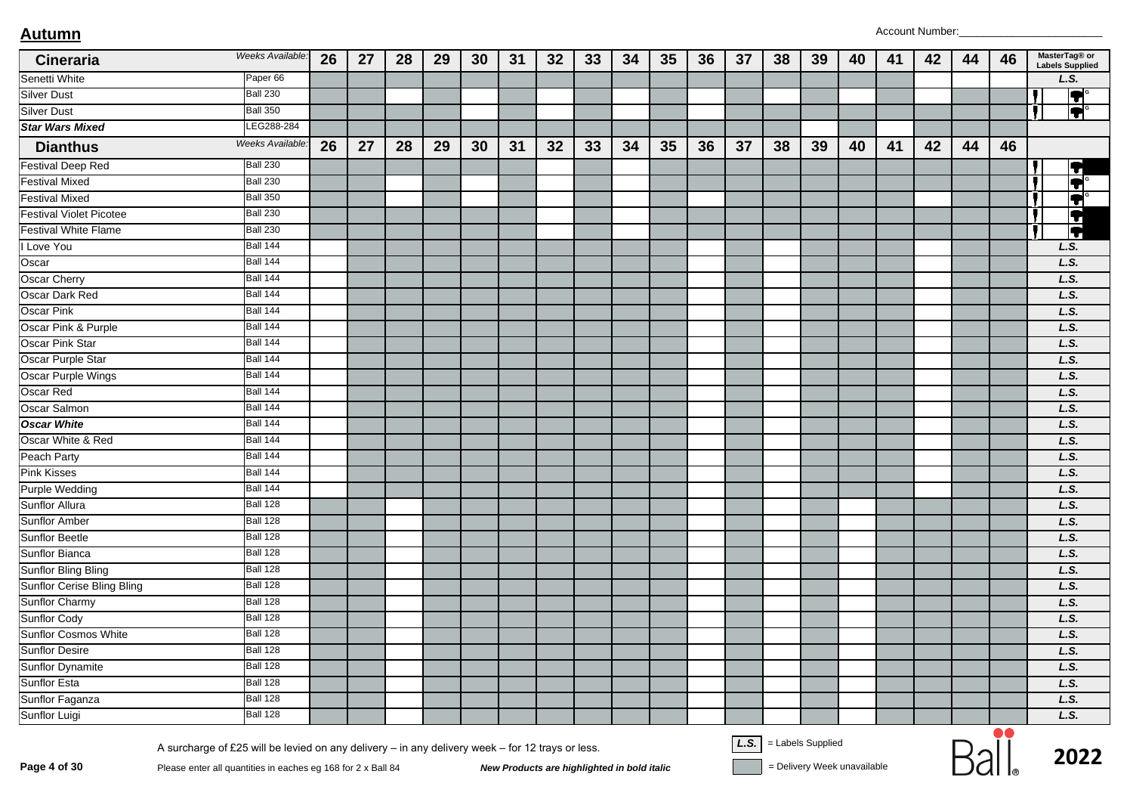| Cineraria                                                                                                                                                                        | Weeks Available:        | 26 | 27 | 28 | 29 | 30 | 31                                          | 32 | 33 | 34 | 35 | 36 | 37 | 38                       | 39 | 40                          | 41 | 42 | 44 | 46 | MasterTag® or<br><b>Labels Supplied</b> |
|----------------------------------------------------------------------------------------------------------------------------------------------------------------------------------|-------------------------|----|----|----|----|----|---------------------------------------------|----|----|----|----|----|----|--------------------------|----|-----------------------------|----|----|----|----|-----------------------------------------|
| Senetti White                                                                                                                                                                    | Paper 66                |    |    |    |    |    |                                             |    |    |    |    |    |    |                          |    |                             |    |    |    |    | L.S.                                    |
| <b>Silver Dust</b>                                                                                                                                                               | <b>Ball 230</b>         |    |    |    |    |    |                                             |    |    |    |    |    |    |                          |    |                             |    |    |    |    | $ \bullet $                             |
| <b>Silver Dust</b>                                                                                                                                                               | <b>Ball 350</b>         |    |    |    |    |    |                                             |    |    |    |    |    |    |                          |    |                             |    |    |    |    | $\overline{\mathbf{P}}$                 |
| <b>Star Wars Mixed</b>                                                                                                                                                           | LEG288-284              |    |    |    |    |    |                                             |    |    |    |    |    |    |                          |    |                             |    |    |    |    |                                         |
| <b>Dianthus</b>                                                                                                                                                                  | <b>Weeks Available:</b> | 26 | 27 | 28 | 29 | 30 | 31                                          | 32 | 33 | 34 | 35 | 36 | 37 | 38                       | 39 | 40                          | 41 | 42 | 44 | 46 |                                         |
| <b>Festival Deep Red</b>                                                                                                                                                         | <b>Ball 230</b>         |    |    |    |    |    |                                             |    |    |    |    |    |    |                          |    |                             |    |    |    |    | F                                       |
| <b>Festival Mixed</b>                                                                                                                                                            | <b>Ball 230</b>         |    |    |    |    |    |                                             |    |    |    |    |    |    |                          |    |                             |    |    |    |    | $\overline{\textbf{1}}$                 |
| <b>Festival Mixed</b>                                                                                                                                                            | <b>Ball 350</b>         |    |    |    |    |    |                                             |    |    |    |    |    |    |                          |    |                             |    |    |    |    | $ \bullet $                             |
| <b>Festival Violet Picotee</b>                                                                                                                                                   | <b>Ball 230</b>         |    |    |    |    |    |                                             |    |    |    |    |    |    |                          |    |                             |    |    |    |    | F                                       |
| <b>Festival White Flame</b>                                                                                                                                                      | <b>Ball 230</b>         |    |    |    |    |    |                                             |    |    |    |    |    |    |                          |    |                             |    |    |    |    | $\overline{\textbf{P}}$                 |
| Love You                                                                                                                                                                         | <b>Ball 144</b>         |    |    |    |    |    |                                             |    |    |    |    |    |    |                          |    |                             |    |    |    |    | L.S.                                    |
| Oscar                                                                                                                                                                            | <b>Ball 144</b>         |    |    |    |    |    |                                             |    |    |    |    |    |    |                          |    |                             |    |    |    |    | L.S.                                    |
| <b>Oscar Cherry</b>                                                                                                                                                              | <b>Ball 144</b>         |    |    |    |    |    |                                             |    |    |    |    |    |    |                          |    |                             |    |    |    |    | L.S.                                    |
| <b>Oscar Dark Red</b>                                                                                                                                                            | <b>Ball 144</b>         |    |    |    |    |    |                                             |    |    |    |    |    |    |                          |    |                             |    |    |    |    | L.S.                                    |
| <b>Oscar Pink</b>                                                                                                                                                                | <b>Ball 144</b>         |    |    |    |    |    |                                             |    |    |    |    |    |    |                          |    |                             |    |    |    |    | L.S.                                    |
| Oscar Pink & Purple                                                                                                                                                              | <b>Ball 144</b>         |    |    |    |    |    |                                             |    |    |    |    |    |    |                          |    |                             |    |    |    |    | L.S.                                    |
| Oscar Pink Star                                                                                                                                                                  | <b>Ball 144</b>         |    |    |    |    |    |                                             |    |    |    |    |    |    |                          |    |                             |    |    |    |    | L.S.                                    |
| Oscar Purple Star                                                                                                                                                                | <b>Ball 144</b>         |    |    |    |    |    |                                             |    |    |    |    |    |    |                          |    |                             |    |    |    |    | L.S.                                    |
| Oscar Purple Wings                                                                                                                                                               | <b>Ball 144</b>         |    |    |    |    |    |                                             |    |    |    |    |    |    |                          |    |                             |    |    |    |    | L.S.                                    |
| Oscar Red                                                                                                                                                                        | <b>Ball 144</b>         |    |    |    |    |    |                                             |    |    |    |    |    |    |                          |    |                             |    |    |    |    | L.S.                                    |
| Oscar Salmon                                                                                                                                                                     | <b>Ball 144</b>         |    |    |    |    |    |                                             |    |    |    |    |    |    |                          |    |                             |    |    |    |    | L.S.                                    |
| <b>Oscar White</b>                                                                                                                                                               | <b>Ball 144</b>         |    |    |    |    |    |                                             |    |    |    |    |    |    |                          |    |                             |    |    |    |    | L.S.                                    |
| Oscar White & Red                                                                                                                                                                | <b>Ball 144</b>         |    |    |    |    |    |                                             |    |    |    |    |    |    |                          |    |                             |    |    |    |    | L.S.                                    |
| Peach Party                                                                                                                                                                      | <b>Ball 144</b>         |    |    |    |    |    |                                             |    |    |    |    |    |    |                          |    |                             |    |    |    |    | L.S.                                    |
| <b>Pink Kisses</b>                                                                                                                                                               | <b>Ball 144</b>         |    |    |    |    |    |                                             |    |    |    |    |    |    |                          |    |                             |    |    |    |    | L.S.                                    |
| <b>Purple Wedding</b>                                                                                                                                                            | <b>Ball 144</b>         |    |    |    |    |    |                                             |    |    |    |    |    |    |                          |    |                             |    |    |    |    | L.S.                                    |
| Sunflor Allura                                                                                                                                                                   | <b>Ball 128</b>         |    |    |    |    |    |                                             |    |    |    |    |    |    |                          |    |                             |    |    |    |    | L.S.                                    |
| <b>Sunflor Amber</b>                                                                                                                                                             | <b>Ball 128</b>         |    |    |    |    |    |                                             |    |    |    |    |    |    |                          |    |                             |    |    |    |    | L.S.                                    |
| <b>Sunflor Beetle</b>                                                                                                                                                            | <b>Ball 128</b>         |    |    |    |    |    |                                             |    |    |    |    |    |    |                          |    |                             |    |    |    |    | L.S.                                    |
| Sunflor Bianca                                                                                                                                                                   | <b>Ball 128</b>         |    |    |    |    |    |                                             |    |    |    |    |    |    |                          |    |                             |    |    |    |    | L.S.                                    |
| <b>Sunflor Bling Bling</b>                                                                                                                                                       | <b>Ball 128</b>         |    |    |    |    |    |                                             |    |    |    |    |    |    |                          |    |                             |    |    |    |    | L.S.                                    |
| <b>Sunflor Cerise Bling Bling</b>                                                                                                                                                | <b>Ball 128</b>         |    |    |    |    |    |                                             |    |    |    |    |    |    |                          |    |                             |    |    |    |    | L.S.                                    |
| <b>Sunflor Charmy</b>                                                                                                                                                            | <b>Ball 128</b>         |    |    |    |    |    |                                             |    |    |    |    |    |    |                          |    |                             |    |    |    |    | L.S.                                    |
| <b>Sunflor Cody</b>                                                                                                                                                              | <b>Ball 128</b>         |    |    |    |    |    |                                             |    |    |    |    |    |    |                          |    |                             |    |    |    |    | L.S.                                    |
| <b>Sunflor Cosmos White</b>                                                                                                                                                      | <b>Ball 128</b>         |    |    |    |    |    |                                             |    |    |    |    |    |    |                          |    |                             |    |    |    |    | L.S.                                    |
| <b>Sunflor Desire</b>                                                                                                                                                            | <b>Ball 128</b>         |    |    |    |    |    |                                             |    |    |    |    |    |    |                          |    |                             |    |    |    |    | L.S.                                    |
| Sunflor Dynamite                                                                                                                                                                 | <b>Ball 128</b>         |    |    |    |    |    |                                             |    |    |    |    |    |    |                          |    |                             |    |    |    |    | L.S.                                    |
| <b>Sunflor Esta</b>                                                                                                                                                              | <b>Ball 128</b>         |    |    |    |    |    |                                             |    |    |    |    |    |    |                          |    |                             |    |    |    |    | L.S.                                    |
| Sunflor Faganza                                                                                                                                                                  | <b>Ball 128</b>         |    |    |    |    |    |                                             |    |    |    |    |    |    |                          |    |                             |    |    |    |    | L.S.                                    |
| Sunflor Luigi                                                                                                                                                                    | <b>Ball 128</b>         |    |    |    |    |    |                                             |    |    |    |    |    |    |                          |    |                             |    |    |    |    | L.S.                                    |
| A surcharge of £25 will be levied on any delivery - in any delivery week - for 12 trays or less.<br>Page 4 of 30<br>Please enter all quantities in eaches eg 168 for 2 x Ball 84 |                         |    |    |    |    |    | New Products are highlighted in bold italic |    |    |    |    |    |    | $L.S.$ = Labels Supplied |    | = Delivery Week unavailable |    |    |    | 00 | 2022                                    |

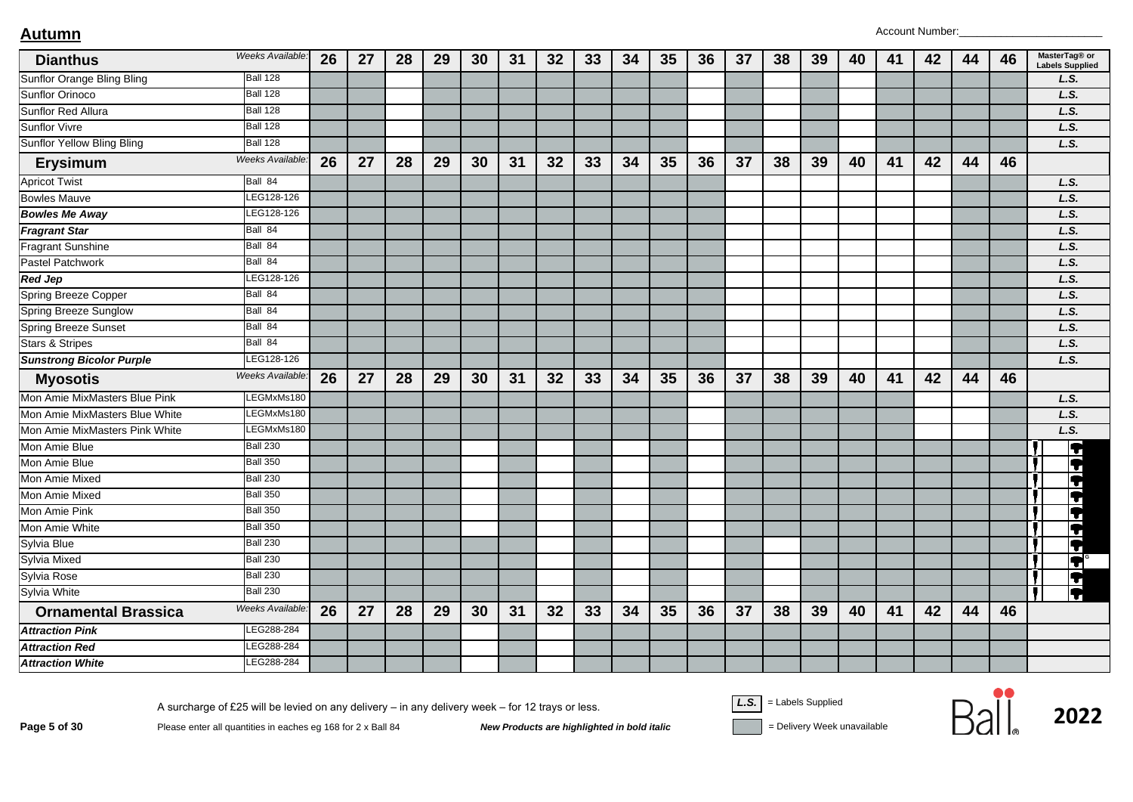| <b>Dianthus</b>                 | Weeks Available: | 26 | 27 | 28 | 29 | 30 | 31 | 32 | 33 | 34 | 35 | 36 | 37 | 38 | 39 | 40 | 41 | 42 | 44 | 46 | MasterTag® or<br><b>Labels Supplied</b> |
|---------------------------------|------------------|----|----|----|----|----|----|----|----|----|----|----|----|----|----|----|----|----|----|----|-----------------------------------------|
| Sunflor Orange Bling Bling      | <b>Ball 128</b>  |    |    |    |    |    |    |    |    |    |    |    |    |    |    |    |    |    |    |    | L.S.                                    |
| <b>Sunflor Orinoco</b>          | <b>Ball 128</b>  |    |    |    |    |    |    |    |    |    |    |    |    |    |    |    |    |    |    |    | L.S.                                    |
| Sunflor Red Allura              | <b>Ball 128</b>  |    |    |    |    |    |    |    |    |    |    |    |    |    |    |    |    |    |    |    | L.S.                                    |
| <b>Sunflor Vivre</b>            | <b>Ball 128</b>  |    |    |    |    |    |    |    |    |    |    |    |    |    |    |    |    |    |    |    | L.S.                                    |
| Sunflor Yellow Bling Bling      | <b>Ball 128</b>  |    |    |    |    |    |    |    |    |    |    |    |    |    |    |    |    |    |    |    | L.S.                                    |
| <b>Erysimum</b>                 | Weeks Available. | 26 | 27 | 28 | 29 | 30 | 31 | 32 | 33 | 34 | 35 | 36 | 37 | 38 | 39 | 40 | 41 | 42 | 44 | 46 |                                         |
| <b>Apricot Twist</b>            | Ball 84          |    |    |    |    |    |    |    |    |    |    |    |    |    |    |    |    |    |    |    | L.S.                                    |
| <b>Bowles Mauve</b>             | LEG128-126       |    |    |    |    |    |    |    |    |    |    |    |    |    |    |    |    |    |    |    | L.S.                                    |
| <b>Bowles Me Away</b>           | LEG128-126       |    |    |    |    |    |    |    |    |    |    |    |    |    |    |    |    |    |    |    | L.S.                                    |
| <b>Fragrant Star</b>            | Ball 84          |    |    |    |    |    |    |    |    |    |    |    |    |    |    |    |    |    |    |    | L.S.                                    |
| <b>Fragrant Sunshine</b>        | Ball 84          |    |    |    |    |    |    |    |    |    |    |    |    |    |    |    |    |    |    |    | L.S.                                    |
| Pastel Patchwork                | Ball 84          |    |    |    |    |    |    |    |    |    |    |    |    |    |    |    |    |    |    |    | L.S.                                    |
| <b>Red Jep</b>                  | LEG128-126       |    |    |    |    |    |    |    |    |    |    |    |    |    |    |    |    |    |    |    | L.S.                                    |
| <b>Spring Breeze Copper</b>     | Ball 84          |    |    |    |    |    |    |    |    |    |    |    |    |    |    |    |    |    |    |    | L.S.                                    |
| <b>Spring Breeze Sunglow</b>    | Ball 84          |    |    |    |    |    |    |    |    |    |    |    |    |    |    |    |    |    |    |    | L.S.                                    |
| Spring Breeze Sunset            | Ball 84          |    |    |    |    |    |    |    |    |    |    |    |    |    |    |    |    |    |    |    | L.S.                                    |
| <b>Stars &amp; Stripes</b>      | Ball 84          |    |    |    |    |    |    |    |    |    |    |    |    |    |    |    |    |    |    |    | L.S.                                    |
| <b>Sunstrong Bicolor Purple</b> | LEG128-126       |    |    |    |    |    |    |    |    |    |    |    |    |    |    |    |    |    |    |    | L.S.                                    |
| <b>Myosotis</b>                 | Weeks Available: | 26 | 27 | 28 | 29 | 30 | 31 | 32 | 33 | 34 | 35 | 36 | 37 | 38 | 39 | 40 | 41 | 42 | 44 | 46 |                                         |
| Mon Amie MixMasters Blue Pink   | LEGMxMs180       |    |    |    |    |    |    |    |    |    |    |    |    |    |    |    |    |    |    |    | L.S.                                    |
| Mon Amie MixMasters Blue White  | LEGMxMs180       |    |    |    |    |    |    |    |    |    |    |    |    |    |    |    |    |    |    |    | L.S.                                    |
| Mon Amie MixMasters Pink White  | LEGMxMs180       |    |    |    |    |    |    |    |    |    |    |    |    |    |    |    |    |    |    |    | L.S.                                    |
| Mon Amie Blue                   | <b>Ball 230</b>  |    |    |    |    |    |    |    |    |    |    |    |    |    |    |    |    |    |    |    | F                                       |
| Mon Amie Blue                   | <b>Ball 350</b>  |    |    |    |    |    |    |    |    |    |    |    |    |    |    |    |    |    |    |    | $\blacktriangledown$                    |
| Mon Amie Mixed                  | <b>Ball 230</b>  |    |    |    |    |    |    |    |    |    |    |    |    |    |    |    |    |    |    |    | T                                       |
| Mon Amie Mixed                  | <b>Ball 350</b>  |    |    |    |    |    |    |    |    |    |    |    |    |    |    |    |    |    |    |    | $\blacktriangledown$                    |
| Mon Amie Pink                   | <b>Ball 350</b>  |    |    |    |    |    |    |    |    |    |    |    |    |    |    |    |    |    |    |    | ŧ                                       |
| Mon Amie White                  | <b>Ball 350</b>  |    |    |    |    |    |    |    |    |    |    |    |    |    |    |    |    |    |    |    | $\blacktriangleright$                   |
| Sylvia Blue                     | <b>Ball 230</b>  |    |    |    |    |    |    |    |    |    |    |    |    |    |    |    |    |    |    |    | Ħ                                       |
| Sylvia Mixed                    | <b>Ball 230</b>  |    |    |    |    |    |    |    |    |    |    |    |    |    |    |    |    |    |    |    | Ħ                                       |
| Sylvia Rose                     | <b>Ball 230</b>  |    |    |    |    |    |    |    |    |    |    |    |    |    |    |    |    |    |    |    |                                         |
| Sylvia White                    | <b>Ball 230</b>  |    |    |    |    |    |    |    |    |    |    |    |    |    |    |    |    |    |    |    | $\frac{1}{2}$                           |
| <b>Ornamental Brassica</b>      | Weeks Available. | 26 | 27 | 28 | 29 | 30 | 31 | 32 | 33 | 34 | 35 | 36 | 37 | 38 | 39 | 40 | 41 | 42 | 44 | 46 |                                         |
| <b>Attraction Pink</b>          | LEG288-284       |    |    |    |    |    |    |    |    |    |    |    |    |    |    |    |    |    |    |    |                                         |
| <b>Attraction Red</b>           | LEG288-284       |    |    |    |    |    |    |    |    |    |    |    |    |    |    |    |    |    |    |    |                                         |
| <b>Attraction White</b>         | LEG288-284       |    |    |    |    |    |    |    |    |    |    |    |    |    |    |    |    |    |    |    |                                         |

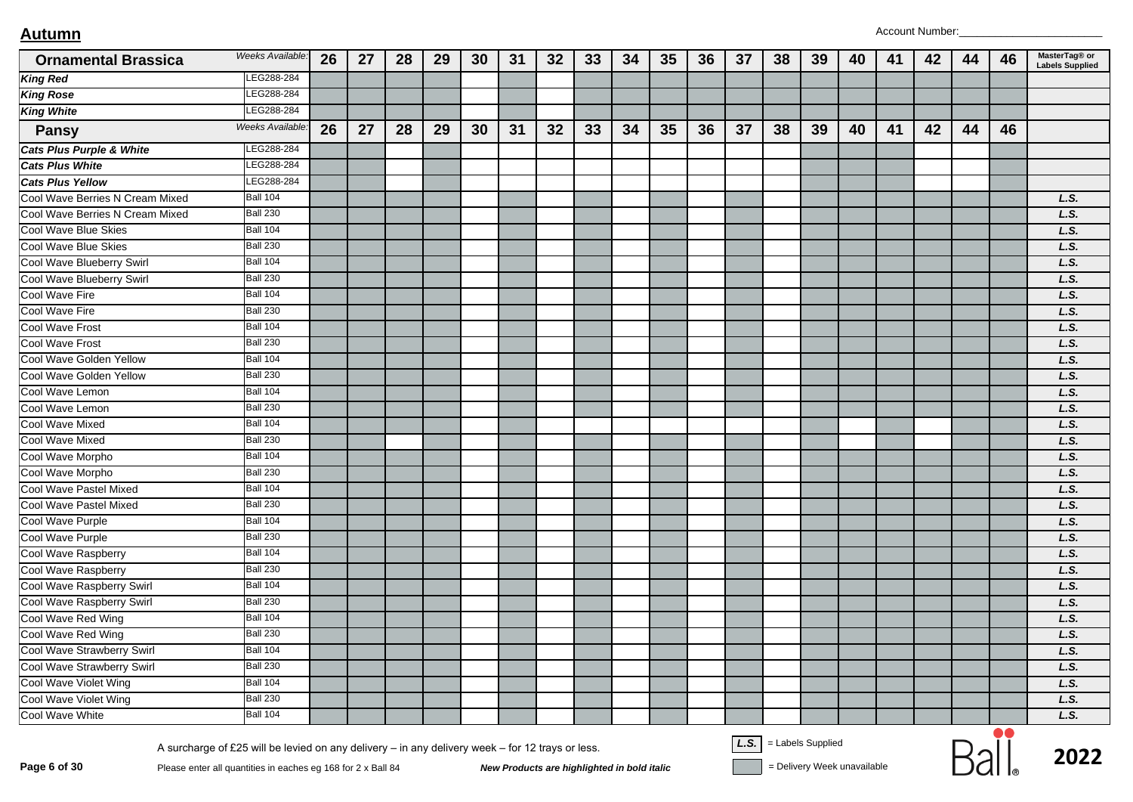| <b>Ornamental Brassica</b>          | Weeks Available: | 26 | 27 | 28 | 29 | 30 | 31 | 32 | 33 | 34 | 35 | 36 | 37 | 38                                                                                                                                                                                                                                                                                                                                                                                   | 39 | 40 | 41 | 42 | 44 | 46 | MasterTag® or<br><b>Labels Supplied</b> |
|-------------------------------------|------------------|----|----|----|----|----|----|----|----|----|----|----|----|--------------------------------------------------------------------------------------------------------------------------------------------------------------------------------------------------------------------------------------------------------------------------------------------------------------------------------------------------------------------------------------|----|----|----|----|----|----|-----------------------------------------|
| <b>King Red</b>                     | LEG288-284       |    |    |    |    |    |    |    |    |    |    |    |    |                                                                                                                                                                                                                                                                                                                                                                                      |    |    |    |    |    |    |                                         |
| <b>King Rose</b>                    | EG288-284        |    |    |    |    |    |    |    |    |    |    |    |    |                                                                                                                                                                                                                                                                                                                                                                                      |    |    |    |    |    |    |                                         |
| <b>King White</b>                   | LEG288-284       |    |    |    |    |    |    |    |    |    |    |    |    |                                                                                                                                                                                                                                                                                                                                                                                      |    |    |    |    |    |    |                                         |
| <b>Pansy</b>                        | Weeks Available: | 26 | 27 | 28 | 29 | 30 | 31 | 32 | 33 | 34 | 35 | 36 | 37 | 38                                                                                                                                                                                                                                                                                                                                                                                   | 39 | 40 | 41 | 42 | 44 | 46 |                                         |
| <b>Cats Plus Purple &amp; White</b> | LEG288-284       |    |    |    |    |    |    |    |    |    |    |    |    |                                                                                                                                                                                                                                                                                                                                                                                      |    |    |    |    |    |    |                                         |
| <b>Cats Plus White</b>              | EG288-284        |    |    |    |    |    |    |    |    |    |    |    |    |                                                                                                                                                                                                                                                                                                                                                                                      |    |    |    |    |    |    |                                         |
| <b>Cats Plus Yellow</b>             | LEG288-284       |    |    |    |    |    |    |    |    |    |    |    |    |                                                                                                                                                                                                                                                                                                                                                                                      |    |    |    |    |    |    |                                         |
| Cool Wave Berries N Cream Mixed     | <b>Ball 104</b>  |    |    |    |    |    |    |    |    |    |    |    |    |                                                                                                                                                                                                                                                                                                                                                                                      |    |    |    |    |    |    | L.S.                                    |
| Cool Wave Berries N Cream Mixed     | <b>Ball 230</b>  |    |    |    |    |    |    |    |    |    |    |    |    |                                                                                                                                                                                                                                                                                                                                                                                      |    |    |    |    |    |    | L.S.                                    |
| Cool Wave Blue Skies                | <b>Ball 104</b>  |    |    |    |    |    |    |    |    |    |    |    |    |                                                                                                                                                                                                                                                                                                                                                                                      |    |    |    |    |    |    | L.S.                                    |
| Cool Wave Blue Skies                | <b>Ball 230</b>  |    |    |    |    |    |    |    |    |    |    |    |    |                                                                                                                                                                                                                                                                                                                                                                                      |    |    |    |    |    |    | L.S.                                    |
| Cool Wave Blueberry Swirl           | <b>Ball 104</b>  |    |    |    |    |    |    |    |    |    |    |    |    |                                                                                                                                                                                                                                                                                                                                                                                      |    |    |    |    |    |    | L.S.                                    |
| Cool Wave Blueberry Swirl           | <b>Ball 230</b>  |    |    |    |    |    |    |    |    |    |    |    |    |                                                                                                                                                                                                                                                                                                                                                                                      |    |    |    |    |    |    | L.S.                                    |
| Cool Wave Fire                      | <b>Ball 104</b>  |    |    |    |    |    |    |    |    |    |    |    |    |                                                                                                                                                                                                                                                                                                                                                                                      |    |    |    |    |    |    | L.S.                                    |
| Cool Wave Fire                      | <b>Ball 230</b>  |    |    |    |    |    |    |    |    |    |    |    |    |                                                                                                                                                                                                                                                                                                                                                                                      |    |    |    |    |    |    | L.S.                                    |
| <b>Cool Wave Frost</b>              | <b>Ball 104</b>  |    |    |    |    |    |    |    |    |    |    |    |    |                                                                                                                                                                                                                                                                                                                                                                                      |    |    |    |    |    |    | L.S.                                    |
| Cool Wave Frost                     | <b>Ball 230</b>  |    |    |    |    |    |    |    |    |    |    |    |    |                                                                                                                                                                                                                                                                                                                                                                                      |    |    |    |    |    |    | L.S.                                    |
| Cool Wave Golden Yellow             | Ball 104         |    |    |    |    |    |    |    |    |    |    |    |    |                                                                                                                                                                                                                                                                                                                                                                                      |    |    |    |    |    |    | L.S.                                    |
| Cool Wave Golden Yellow             | <b>Ball 230</b>  |    |    |    |    |    |    |    |    |    |    |    |    |                                                                                                                                                                                                                                                                                                                                                                                      |    |    |    |    |    |    | L.S.                                    |
| Cool Wave Lemon                     | <b>Ball 104</b>  |    |    |    |    |    |    |    |    |    |    |    |    |                                                                                                                                                                                                                                                                                                                                                                                      |    |    |    |    |    |    | L.S.                                    |
| Cool Wave Lemon                     | <b>Ball 230</b>  |    |    |    |    |    |    |    |    |    |    |    |    |                                                                                                                                                                                                                                                                                                                                                                                      |    |    |    |    |    |    | L.S.                                    |
| <b>Cool Wave Mixed</b>              | <b>Ball 104</b>  |    |    |    |    |    |    |    |    |    |    |    |    |                                                                                                                                                                                                                                                                                                                                                                                      |    |    |    |    |    |    | L.S.                                    |
| Cool Wave Mixed                     | <b>Ball 230</b>  |    |    |    |    |    |    |    |    |    |    |    |    |                                                                                                                                                                                                                                                                                                                                                                                      |    |    |    |    |    |    | L.S.                                    |
| Cool Wave Morpho                    | <b>Ball 104</b>  |    |    |    |    |    |    |    |    |    |    |    |    |                                                                                                                                                                                                                                                                                                                                                                                      |    |    |    |    |    |    | L.S.                                    |
| Cool Wave Morpho                    | <b>Ball 230</b>  |    |    |    |    |    |    |    |    |    |    |    |    |                                                                                                                                                                                                                                                                                                                                                                                      |    |    |    |    |    |    | L.S.                                    |
| Cool Wave Pastel Mixed              | <b>Ball 104</b>  |    |    |    |    |    |    |    |    |    |    |    |    |                                                                                                                                                                                                                                                                                                                                                                                      |    |    |    |    |    |    | L.S.                                    |
| Cool Wave Pastel Mixed              | <b>Ball 230</b>  |    |    |    |    |    |    |    |    |    |    |    |    |                                                                                                                                                                                                                                                                                                                                                                                      |    |    |    |    |    |    | L.S.                                    |
| Cool Wave Purple                    | <b>Ball 104</b>  |    |    |    |    |    |    |    |    |    |    |    |    |                                                                                                                                                                                                                                                                                                                                                                                      |    |    |    |    |    |    | L.S.                                    |
| Cool Wave Purple                    | <b>Ball 230</b>  |    |    |    |    |    |    |    |    |    |    |    |    |                                                                                                                                                                                                                                                                                                                                                                                      |    |    |    |    |    |    | L.S.                                    |
| Cool Wave Raspberry                 | <b>Ball 104</b>  |    |    |    |    |    |    |    |    |    |    |    |    |                                                                                                                                                                                                                                                                                                                                                                                      |    |    |    |    |    |    | L.S.                                    |
| Cool Wave Raspberry                 | <b>Ball 230</b>  |    |    |    |    |    |    |    |    |    |    |    |    |                                                                                                                                                                                                                                                                                                                                                                                      |    |    |    |    |    |    | L.S.                                    |
| Cool Wave Raspberry Swirl           | <b>Ball 104</b>  |    |    |    |    |    |    |    |    |    |    |    |    |                                                                                                                                                                                                                                                                                                                                                                                      |    |    |    |    |    |    | L.S.                                    |
| Cool Wave Raspberry Swirl           | <b>Ball 230</b>  |    |    |    |    |    |    |    |    |    |    |    |    |                                                                                                                                                                                                                                                                                                                                                                                      |    |    |    |    |    |    | L.S.                                    |
| Cool Wave Red Wing                  | <b>Ball 104</b>  |    |    |    |    |    |    |    |    |    |    |    |    |                                                                                                                                                                                                                                                                                                                                                                                      |    |    |    |    |    |    | L.S.                                    |
| Cool Wave Red Wing                  | <b>Ball 230</b>  |    |    |    |    |    |    |    |    |    |    |    |    |                                                                                                                                                                                                                                                                                                                                                                                      |    |    |    |    |    |    | L.S.                                    |
| Cool Wave Strawberry Swirl          | <b>Ball 104</b>  |    |    |    |    |    |    |    |    |    |    |    |    |                                                                                                                                                                                                                                                                                                                                                                                      |    |    |    |    |    |    | L.S.                                    |
| Cool Wave Strawberry Swirl          | <b>Ball 230</b>  |    |    |    |    |    |    |    |    |    |    |    |    |                                                                                                                                                                                                                                                                                                                                                                                      |    |    |    |    |    |    | L.S.                                    |
| Cool Wave Violet Wing               | <b>Ball 104</b>  |    |    |    |    |    |    |    |    |    |    |    |    |                                                                                                                                                                                                                                                                                                                                                                                      |    |    |    |    |    |    | L.S.                                    |
| Cool Wave Violet Wing               | <b>Ball 230</b>  |    |    |    |    |    |    |    |    |    |    |    |    |                                                                                                                                                                                                                                                                                                                                                                                      |    |    |    |    |    |    | L.S.                                    |
| Cool Wave White                     | <b>Ball 104</b>  |    |    |    |    |    |    |    |    |    |    |    |    |                                                                                                                                                                                                                                                                                                                                                                                      |    |    |    |    |    |    | L.S.                                    |
|                                     |                  |    |    |    |    |    |    |    |    |    |    |    |    | $\overline{11}$ $\overline{1}$ $\overline{1}$ $\overline{1}$ $\overline{1}$ $\overline{1}$ $\overline{1}$ $\overline{1}$ $\overline{1}$ $\overline{1}$ $\overline{1}$ $\overline{1}$ $\overline{1}$ $\overline{1}$ $\overline{1}$ $\overline{1}$ $\overline{1}$ $\overline{1}$ $\overline{1}$ $\overline{1}$ $\overline{1}$ $\overline{1}$ $\overline{1}$ $\overline{1}$ $\overline$ |    |    |    |    |    | 80 |                                         |

Page 6 of 30 Please enter all quantities in eaches eg 168 for 2 x Ball 84 New Products are highlighted in bold italic Pelivery Week unavailable Please enter all quantities in eaches eg 168 for 2 x Ball 84 New Products are

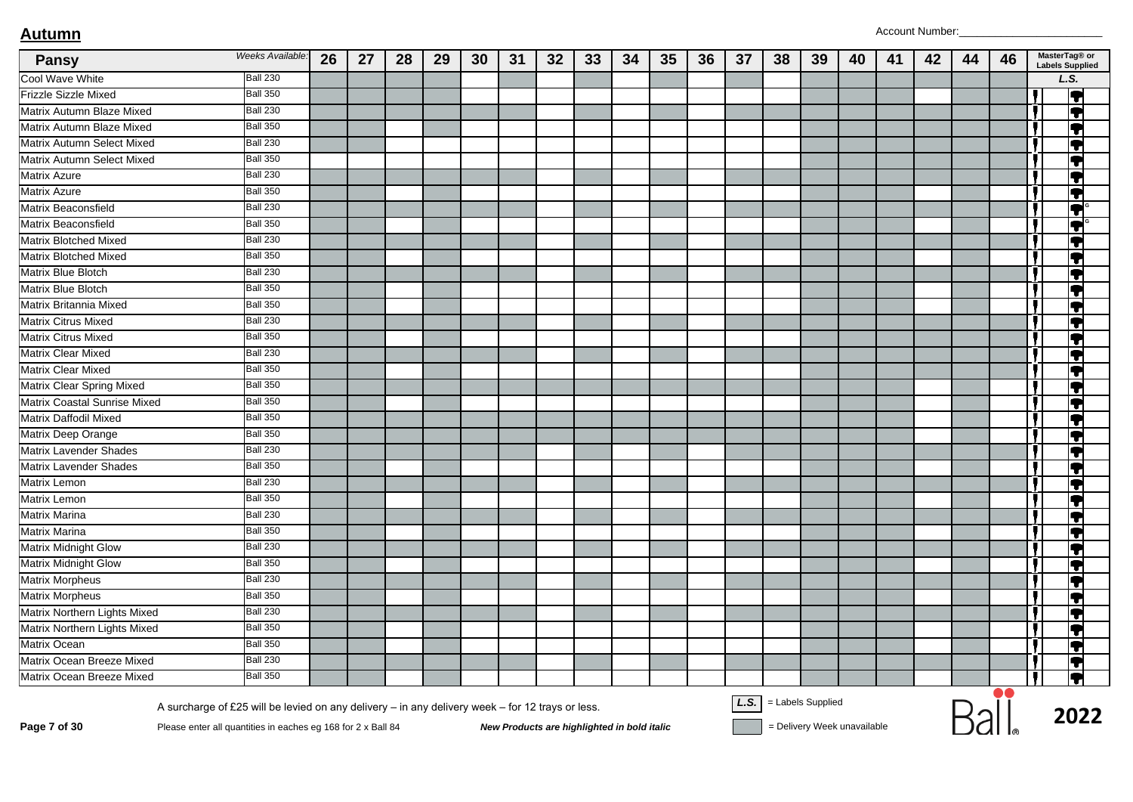| <b>Pansy</b>                  | Weeks Available:                                                                                 | 26 | 27 | 28 | 29 | 30 | 31 | 32 | 33                                          | 34 | 35 | 36 | 37   | 38                | 39                          | 40 | 41 | 42 | 44 | 46 | MasterTag® or<br><b>Labels Supplied</b> |
|-------------------------------|--------------------------------------------------------------------------------------------------|----|----|----|----|----|----|----|---------------------------------------------|----|----|----|------|-------------------|-----------------------------|----|----|----|----|----|-----------------------------------------|
| Cool Wave White               | <b>Ball 230</b>                                                                                  |    |    |    |    |    |    |    |                                             |    |    |    |      |                   |                             |    |    |    |    |    | L.S.                                    |
| Frizzle Sizzle Mixed          | <b>Ball 350</b>                                                                                  |    |    |    |    |    |    |    |                                             |    |    |    |      |                   |                             |    |    |    |    |    | Ţ                                       |
| Matrix Autumn Blaze Mixed     | <b>Ball 230</b>                                                                                  |    |    |    |    |    |    |    |                                             |    |    |    |      |                   |                             |    |    |    |    |    | Į                                       |
| Matrix Autumn Blaze Mixed     | <b>Ball 350</b>                                                                                  |    |    |    |    |    |    |    |                                             |    |    |    |      |                   |                             |    |    |    |    |    | ł                                       |
| Matrix Autumn Select Mixed    | <b>Ball 230</b>                                                                                  |    |    |    |    |    |    |    |                                             |    |    |    |      |                   |                             |    |    |    |    |    | IT                                      |
| Matrix Autumn Select Mixed    | <b>Ball 350</b>                                                                                  |    |    |    |    |    |    |    |                                             |    |    |    |      |                   |                             |    |    |    |    |    | T                                       |
| Matrix Azure                  | <b>Ball 230</b>                                                                                  |    |    |    |    |    |    |    |                                             |    |    |    |      |                   |                             |    |    |    |    |    | Į                                       |
| Matrix Azure                  | <b>Ball 350</b>                                                                                  |    |    |    |    |    |    |    |                                             |    |    |    |      |                   |                             |    |    |    |    |    | T                                       |
| Matrix Beaconsfield           | <b>Ball 230</b>                                                                                  |    |    |    |    |    |    |    |                                             |    |    |    |      |                   |                             |    |    |    |    |    | IT                                      |
| Matrix Beaconsfield           | <b>Ball 350</b>                                                                                  |    |    |    |    |    |    |    |                                             |    |    |    |      |                   |                             |    |    |    |    |    | T                                       |
| Matrix Blotched Mixed         | <b>Ball 230</b>                                                                                  |    |    |    |    |    |    |    |                                             |    |    |    |      |                   |                             |    |    |    |    |    | IT                                      |
| Matrix Blotched Mixed         | <b>Ball 350</b>                                                                                  |    |    |    |    |    |    |    |                                             |    |    |    |      |                   |                             |    |    |    |    |    | $\bullet$                               |
| Matrix Blue Blotch            | <b>Ball 230</b>                                                                                  |    |    |    |    |    |    |    |                                             |    |    |    |      |                   |                             |    |    |    |    |    | IT                                      |
| <b>Matrix Blue Blotch</b>     | <b>Ball 350</b>                                                                                  |    |    |    |    |    |    |    |                                             |    |    |    |      |                   |                             |    |    |    |    |    | T                                       |
| Matrix Britannia Mixed        | <b>Ball 350</b>                                                                                  |    |    |    |    |    |    |    |                                             |    |    |    |      |                   |                             |    |    |    |    |    | Į                                       |
| Matrix Citrus Mixed           | <b>Ball 230</b>                                                                                  |    |    |    |    |    |    |    |                                             |    |    |    |      |                   |                             |    |    |    |    |    | $\bullet$                               |
| Matrix Citrus Mixed           | <b>Ball 350</b>                                                                                  |    |    |    |    |    |    |    |                                             |    |    |    |      |                   |                             |    |    |    |    |    | IT                                      |
| <b>Matrix Clear Mixed</b>     | <b>Ball 230</b>                                                                                  |    |    |    |    |    |    |    |                                             |    |    |    |      |                   |                             |    |    |    |    |    | T                                       |
| <b>Matrix Clear Mixed</b>     | <b>Ball 350</b>                                                                                  |    |    |    |    |    |    |    |                                             |    |    |    |      |                   |                             |    |    |    |    |    | Į                                       |
| Matrix Clear Spring Mixed     | <b>Ball 350</b>                                                                                  |    |    |    |    |    |    |    |                                             |    |    |    |      |                   |                             |    |    |    |    |    | T                                       |
| Matrix Coastal Sunrise Mixed  | <b>Ball 350</b>                                                                                  |    |    |    |    |    |    |    |                                             |    |    |    |      |                   |                             |    |    |    |    |    | IT                                      |
| Matrix Daffodil Mixed         | <b>Ball 350</b>                                                                                  |    |    |    |    |    |    |    |                                             |    |    |    |      |                   |                             |    |    |    |    |    | T                                       |
| Matrix Deep Orange            | <b>Ball 350</b>                                                                                  |    |    |    |    |    |    |    |                                             |    |    |    |      |                   |                             |    |    |    |    |    | Ţ                                       |
| Matrix Lavender Shades        | <b>Ball 230</b>                                                                                  |    |    |    |    |    |    |    |                                             |    |    |    |      |                   |                             |    |    |    |    |    | T                                       |
| <b>Matrix Lavender Shades</b> | <b>Ball 350</b>                                                                                  |    |    |    |    |    |    |    |                                             |    |    |    |      |                   |                             |    |    |    |    |    | IT                                      |
| Matrix Lemon                  | <b>Ball 230</b>                                                                                  |    |    |    |    |    |    |    |                                             |    |    |    |      |                   |                             |    |    |    |    |    | T                                       |
| Matrix Lemon                  | <b>Ball 350</b>                                                                                  |    |    |    |    |    |    |    |                                             |    |    |    |      |                   |                             |    |    |    |    |    | Ţ                                       |
| Matrix Marina                 | <b>Ball 230</b>                                                                                  |    |    |    |    |    |    |    |                                             |    |    |    |      |                   |                             |    |    |    |    |    | T                                       |
| Matrix Marina                 | <b>Ball 350</b>                                                                                  |    |    |    |    |    |    |    |                                             |    |    |    |      |                   |                             |    |    |    |    |    | IT                                      |
| Matrix Midnight Glow          | <b>Ball 230</b>                                                                                  |    |    |    |    |    |    |    |                                             |    |    |    |      |                   |                             |    |    |    |    |    | T                                       |
| <b>Matrix Midnight Glow</b>   | <b>Ball 350</b>                                                                                  |    |    |    |    |    |    |    |                                             |    |    |    |      |                   |                             |    |    |    |    |    | Ţ                                       |
| <b>Matrix Morpheus</b>        | <b>Ball 230</b>                                                                                  |    |    |    |    |    |    |    |                                             |    |    |    |      |                   |                             |    |    |    |    |    | T                                       |
| <b>Matrix Morpheus</b>        | <b>Ball 350</b>                                                                                  |    |    |    |    |    |    |    |                                             |    |    |    |      |                   |                             |    |    |    |    |    | IT                                      |
| Matrix Northern Lights Mixed  | <b>Ball 230</b>                                                                                  |    |    |    |    |    |    |    |                                             |    |    |    |      |                   |                             |    |    |    |    |    | T                                       |
| Matrix Northern Lights Mixed  | <b>Ball 350</b>                                                                                  |    |    |    |    |    |    |    |                                             |    |    |    |      |                   |                             |    |    |    |    |    | Ţ                                       |
| Matrix Ocean                  | <b>Ball 350</b>                                                                                  |    |    |    |    |    |    |    |                                             |    |    |    |      |                   |                             |    |    |    |    |    | T                                       |
| Matrix Ocean Breeze Mixed     | <b>Ball 230</b>                                                                                  |    |    |    |    |    |    |    |                                             |    |    |    |      |                   |                             |    |    |    |    |    | ĮŦ                                      |
| Matrix Ocean Breeze Mixed     | <b>Ball 350</b>                                                                                  |    |    |    |    |    |    |    |                                             |    |    |    |      |                   |                             |    |    |    |    |    | Į                                       |
|                               | A surcharge of £25 will be levied on any delivery - in any delivery week - for 12 trays or less. |    |    |    |    |    |    |    |                                             |    |    |    | L.S. | = Labels Supplied | = Delivery Week unavailable |    |    |    |    |    | 2022                                    |
| Page 7 of 30                  | Please enter all quantities in eaches eg 168 for 2 x Ball 84                                     |    |    |    |    |    |    |    | New Products are highlighted in bold italic |    |    |    |      |                   |                             |    |    |    |    |    |                                         |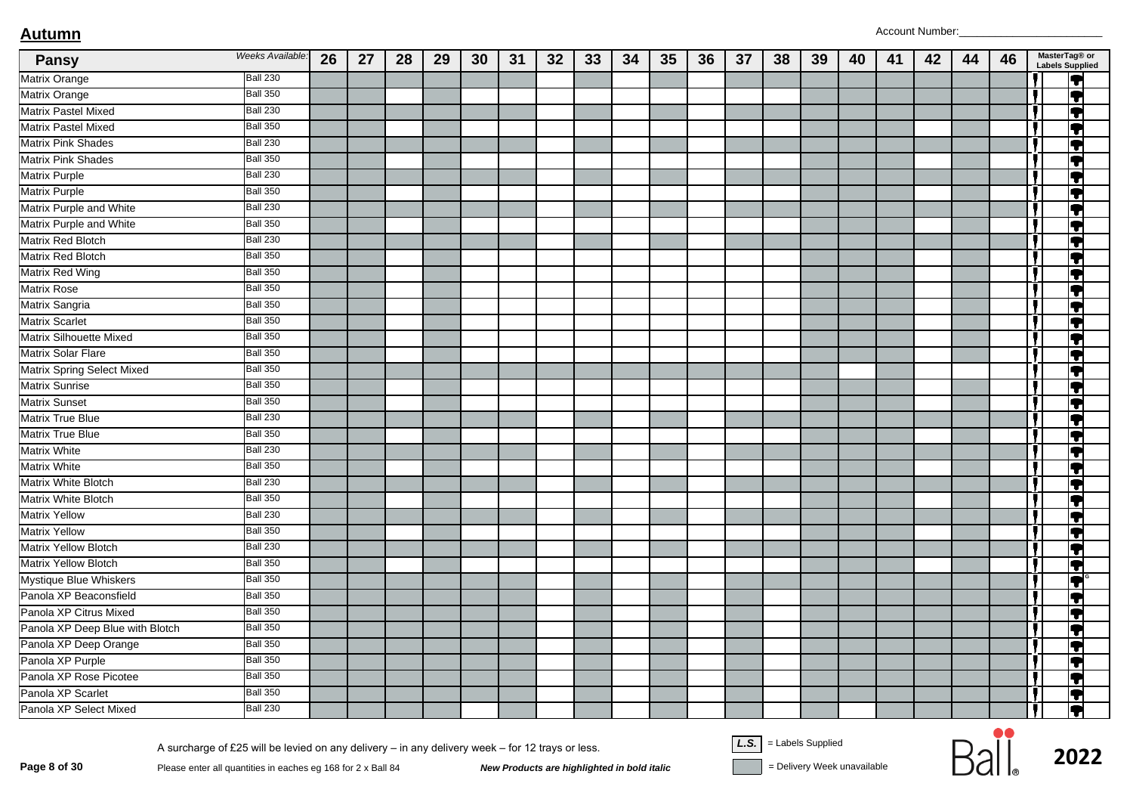| <b>Pansy</b>                    | Weeks Available: | 26 | 27 | 28 | 29 | 30 | 31 | 32 | 33 | 34 | 35 | 36 | 37 | 38 | 39 | 40 | 41 | 42 | 44 | 46 | MasterTag® or<br><b>Labels Supplied</b> |
|---------------------------------|------------------|----|----|----|----|----|----|----|----|----|----|----|----|----|----|----|----|----|----|----|-----------------------------------------|
| <b>Matrix Orange</b>            | <b>Ball 230</b>  |    |    |    |    |    |    |    |    |    |    |    |    |    |    |    |    |    |    |    | H                                       |
| <b>Matrix Orange</b>            | <b>Ball 350</b>  |    |    |    |    |    |    |    |    |    |    |    |    |    |    |    |    |    |    |    | IT                                      |
| Matrix Pastel Mixed             | <b>Ball 230</b>  |    |    |    |    |    |    |    |    |    |    |    |    |    |    |    |    |    |    |    | IT                                      |
| <b>Matrix Pastel Mixed</b>      | <b>Ball 350</b>  |    |    |    |    |    |    |    |    |    |    |    |    |    |    |    |    |    |    |    | IT                                      |
| <b>Matrix Pink Shades</b>       | <b>Ball 230</b>  |    |    |    |    |    |    |    |    |    |    |    |    |    |    |    |    |    |    |    | IŦ                                      |
| <b>Matrix Pink Shades</b>       | <b>Ball 350</b>  |    |    |    |    |    |    |    |    |    |    |    |    |    |    |    |    |    |    |    | T                                       |
| <b>Matrix Purple</b>            | <b>Ball 230</b>  |    |    |    |    |    |    |    |    |    |    |    |    |    |    |    |    |    |    |    | $\overline{\bullet}$                    |
| <b>Matrix Purple</b>            | <b>Ball 350</b>  |    |    |    |    |    |    |    |    |    |    |    |    |    |    |    |    |    |    |    | P                                       |
| Matrix Purple and White         | <b>Ball 230</b>  |    |    |    |    |    |    |    |    |    |    |    |    |    |    |    |    |    |    |    | Į                                       |
| Matrix Purple and White         | <b>Ball 350</b>  |    |    |    |    |    |    |    |    |    |    |    |    |    |    |    |    |    |    |    | Ţ                                       |
| <b>Matrix Red Blotch</b>        | Ball 230         |    |    |    |    |    |    |    |    |    |    |    |    |    |    |    |    |    |    |    | $\blacktriangledown$                    |
| Matrix Red Blotch               | <b>Ball 350</b>  |    |    |    |    |    |    |    |    |    |    |    |    |    |    |    |    |    |    |    | T                                       |
| <b>Matrix Red Wing</b>          | <b>Ball 350</b>  |    |    |    |    |    |    |    |    |    |    |    |    |    |    |    |    |    |    |    | IT                                      |
| <b>Matrix Rose</b>              | <b>Ball 350</b>  |    |    |    |    |    |    |    |    |    |    |    |    |    |    |    |    |    |    |    | IT                                      |
| Matrix Sangria                  | <b>Ball 350</b>  |    |    |    |    |    |    |    |    |    |    |    |    |    |    |    |    |    |    |    | Ţ                                       |
| <b>Matrix Scarlet</b>           | <b>Ball 350</b>  |    |    |    |    |    |    |    |    |    |    |    |    |    |    |    |    |    |    |    | IT                                      |
| <b>Matrix Silhouette Mixed</b>  | <b>Ball 350</b>  |    |    |    |    |    |    |    |    |    |    |    |    |    |    |    |    |    |    |    | IT                                      |
| <b>Matrix Solar Flare</b>       | <b>Ball 350</b>  |    |    |    |    |    |    |    |    |    |    |    |    |    |    |    |    |    |    |    | T                                       |
| Matrix Spring Select Mixed      | <b>Ball 350</b>  |    |    |    |    |    |    |    |    |    |    |    |    |    |    |    |    |    |    |    | Ţ                                       |
| <b>Matrix Sunrise</b>           | <b>Ball 350</b>  |    |    |    |    |    |    |    |    |    |    |    |    |    |    |    |    |    |    |    | Ţ                                       |
| <b>Matrix Sunset</b>            | <b>Ball 350</b>  |    |    |    |    |    |    |    |    |    |    |    |    |    |    |    |    |    |    |    | IT                                      |
| <b>Matrix True Blue</b>         | <b>Ball 230</b>  |    |    |    |    |    |    |    |    |    |    |    |    |    |    |    |    |    |    |    | IT                                      |
| <b>Matrix True Blue</b>         | <b>Ball 350</b>  |    |    |    |    |    |    |    |    |    |    |    |    |    |    |    |    |    |    |    | ĮŦ                                      |
| <b>Matrix White</b>             | <b>Ball 230</b>  |    |    |    |    |    |    |    |    |    |    |    |    |    |    |    |    |    |    |    | T                                       |
| <b>Matrix White</b>             | <b>Ball 350</b>  |    |    |    |    |    |    |    |    |    |    |    |    |    |    |    |    |    |    |    | IT                                      |
| Matrix White Blotch             | <b>Ball 230</b>  |    |    |    |    |    |    |    |    |    |    |    |    |    |    |    |    |    |    |    | Į                                       |
| Matrix White Blotch             | <b>Ball 350</b>  |    |    |    |    |    |    |    |    |    |    |    |    |    |    |    |    |    |    |    | T                                       |
| <b>Matrix Yellow</b>            | <b>Ball 230</b>  |    |    |    |    |    |    |    |    |    |    |    |    |    |    |    |    |    |    |    | IT                                      |
| <b>Matrix Yellow</b>            | <b>Ball 350</b>  |    |    |    |    |    |    |    |    |    |    |    |    |    |    |    |    |    |    |    | IT                                      |
| <b>Matrix Yellow Blotch</b>     | <b>Ball 230</b>  |    |    |    |    |    |    |    |    |    |    |    |    |    |    |    |    |    |    |    | Ţ                                       |
| <b>Matrix Yellow Blotch</b>     | <b>Ball 350</b>  |    |    |    |    |    |    |    |    |    |    |    |    |    |    |    |    |    |    |    | Ţ                                       |
| Mystique Blue Whiskers          | <b>Ball 350</b>  |    |    |    |    |    |    |    |    |    |    |    |    |    |    |    |    |    |    |    | $\bullet$                               |
| Panola XP Beaconsfield          | <b>Ball 350</b>  |    |    |    |    |    |    |    |    |    |    |    |    |    |    |    |    |    |    |    | 7                                       |
| Panola XP Citrus Mixed          | <b>Ball 350</b>  |    |    |    |    |    |    |    |    |    |    |    |    |    |    |    |    |    |    |    | ĮŦ                                      |
| Panola XP Deep Blue with Blotch | <b>Ball 350</b>  |    |    |    |    |    |    |    |    |    |    |    |    |    |    |    |    |    |    |    | ♥                                       |
| Panola XP Deep Orange           | <b>Ball 350</b>  |    |    |    |    |    |    |    |    |    |    |    |    |    |    |    |    |    |    |    | IT                                      |
| Panola XP Purple                | <b>Ball 350</b>  |    |    |    |    |    |    |    |    |    |    |    |    |    |    |    |    |    |    |    | IT                                      |
| Panola XP Rose Picotee          | <b>Ball 350</b>  |    |    |    |    |    |    |    |    |    |    |    |    |    |    |    |    |    |    |    | IT                                      |
| Panola XP Scarlet               | <b>Ball 350</b>  |    |    |    |    |    |    |    |    |    |    |    |    |    |    |    |    |    |    |    | IT                                      |
| Panola XP Select Mixed          | <b>Ball 230</b>  |    |    |    |    |    |    |    |    |    |    |    |    |    |    |    |    |    |    |    | 9                                       |

A surcharge of £25 will be levied on any delivery – in any delivery week – for 12 trays or less.<br>Page 8 of 30 Please enter all quantities in eaches eg 168 for 2 x Ball 84 New Products are highlighted in bold italic = Deli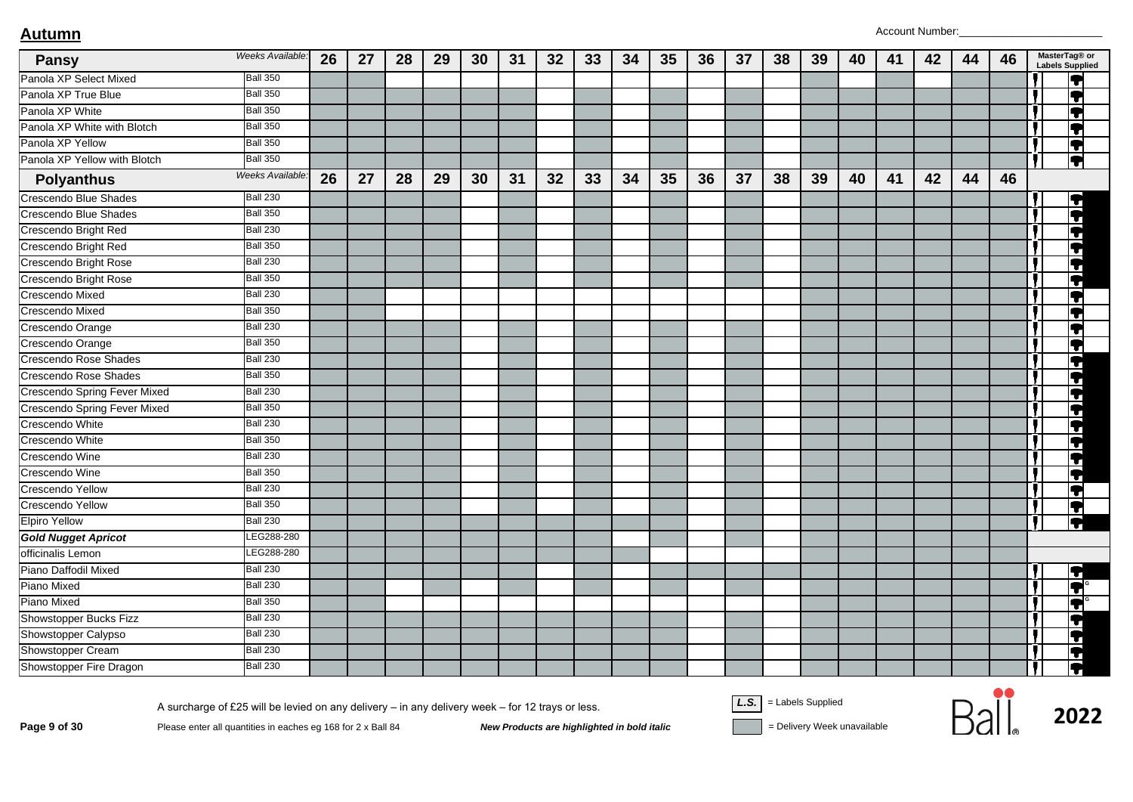| <b>Pansy</b>                 | Weeks Available: | 26 | 27 | 28 | 29 | 30 | 31 | 32 | 33 | 34 | 35 | 36 | 37 | 38 | 39 | 40 | 41 | 42 | 44 | 46 | MasterTag® or<br><b>Labels Supplied</b> |
|------------------------------|------------------|----|----|----|----|----|----|----|----|----|----|----|----|----|----|----|----|----|----|----|-----------------------------------------|
| Panola XP Select Mixed       | <b>Ball 350</b>  |    |    |    |    |    |    |    |    |    |    |    |    |    |    |    |    |    |    |    | T                                       |
| Panola XP True Blue          | <b>Ball 350</b>  |    |    |    |    |    |    |    |    |    |    |    |    |    |    |    |    |    |    |    | IT                                      |
| Panola XP White              | <b>Ball 350</b>  |    |    |    |    |    |    |    |    |    |    |    |    |    |    |    |    |    |    |    | $\bullet$                               |
| Panola XP White with Blotch  | <b>Ball 350</b>  |    |    |    |    |    |    |    |    |    |    |    |    |    |    |    |    |    |    |    | Ţ                                       |
| Panola XP Yellow             | <b>Ball 350</b>  |    |    |    |    |    |    |    |    |    |    |    |    |    |    |    |    |    |    |    | IT                                      |
| Panola XP Yellow with Blotch | <b>Ball 350</b>  |    |    |    |    |    |    |    |    |    |    |    |    |    |    |    |    |    |    |    | $\overline{\bullet}$                    |
| <b>Polyanthus</b>            | Weeks Available: | 26 | 27 | 28 | 29 | 30 | 31 | 32 | 33 | 34 | 35 | 36 | 37 | 38 | 39 | 40 | 41 | 42 | 44 | 46 |                                         |
| Crescendo Blue Shades        | <b>Ball 230</b>  |    |    |    |    |    |    |    |    |    |    |    |    |    |    |    |    |    |    |    | IT                                      |
| <b>Crescendo Blue Shades</b> | <b>Ball 350</b>  |    |    |    |    |    |    |    |    |    |    |    |    |    |    |    |    |    |    |    | Ħ                                       |
| Crescendo Bright Red         | <b>Ball 230</b>  |    |    |    |    |    |    |    |    |    |    |    |    |    |    |    |    |    |    |    | 0                                       |
| Crescendo Bright Red         | <b>Ball 350</b>  |    |    |    |    |    |    |    |    |    |    |    |    |    |    |    |    |    |    |    | T                                       |
| Crescendo Bright Rose        | <b>Ball 230</b>  |    |    |    |    |    |    |    |    |    |    |    |    |    |    |    |    |    |    |    | T                                       |
| Crescendo Bright Rose        | <b>Ball 350</b>  |    |    |    |    |    |    |    |    |    |    |    |    |    |    |    |    |    |    |    | T                                       |
| Crescendo Mixed              | <b>Ball 230</b>  |    |    |    |    |    |    |    |    |    |    |    |    |    |    |    |    |    |    |    | IT                                      |
| Crescendo Mixed              | <b>Ball 350</b>  |    |    |    |    |    |    |    |    |    |    |    |    |    |    |    |    |    |    |    | T                                       |
| Crescendo Orange             | <b>Ball 230</b>  |    |    |    |    |    |    |    |    |    |    |    |    |    |    |    |    |    |    |    | $\bullet$                               |
| Crescendo Orange             | <b>Ball 350</b>  |    |    |    |    |    |    |    |    |    |    |    |    |    |    |    |    |    |    |    | IT                                      |
| Crescendo Rose Shades        | <b>Ball 230</b>  |    |    |    |    |    |    |    |    |    |    |    |    |    |    |    |    |    |    |    | Ļ                                       |
| Crescendo Rose Shades        | <b>Ball 350</b>  |    |    |    |    |    |    |    |    |    |    |    |    |    |    |    |    |    |    |    | $\overline{\phantom{a}}$                |
| Crescendo Spring Fever Mixed | <b>Ball 230</b>  |    |    |    |    |    |    |    |    |    |    |    |    |    |    |    |    |    |    |    | 4                                       |
| Crescendo Spring Fever Mixed | <b>Ball 350</b>  |    |    |    |    |    |    |    |    |    |    |    |    |    |    |    |    |    |    |    | T                                       |
| Crescendo White              | <b>Ball 230</b>  |    |    |    |    |    |    |    |    |    |    |    |    |    |    |    |    |    |    |    | Ţ                                       |
| Crescendo White              | <b>Ball 350</b>  |    |    |    |    |    |    |    |    |    |    |    |    |    |    |    |    |    |    |    | a                                       |
| Crescendo Wine               | <b>Ball 230</b>  |    |    |    |    |    |    |    |    |    |    |    |    |    |    |    |    |    |    |    | T                                       |
| Crescendo Wine               | <b>Ball 350</b>  |    |    |    |    |    |    |    |    |    |    |    |    |    |    |    |    |    |    |    | T                                       |
| Crescendo Yellow             | <b>Ball 230</b>  |    |    |    |    |    |    |    |    |    |    |    |    |    |    |    |    |    |    |    | T                                       |
| Crescendo Yellow             | <b>Ball 350</b>  |    |    |    |    |    |    |    |    |    |    |    |    |    |    |    |    |    |    |    | IT                                      |
| <b>Elpiro Yellow</b>         | <b>Ball 230</b>  |    |    |    |    |    |    |    |    |    |    |    |    |    |    |    |    |    |    |    | F                                       |
| <b>Gold Nugget Apricot</b>   | EG288-280        |    |    |    |    |    |    |    |    |    |    |    |    |    |    |    |    |    |    |    |                                         |
| officinalis Lemon            | LEG288-280       |    |    |    |    |    |    |    |    |    |    |    |    |    |    |    |    |    |    |    |                                         |
| Piano Daffodil Mixed         | <b>Ball 230</b>  |    |    |    |    |    |    |    |    |    |    |    |    |    |    |    |    |    |    |    | $\blacktriangledown$                    |
| Piano Mixed                  | <b>Ball 230</b>  |    |    |    |    |    |    |    |    |    |    |    |    |    |    |    |    |    |    |    | T                                       |
| Piano Mixed                  | <b>Ball 350</b>  |    |    |    |    |    |    |    |    |    |    |    |    |    |    |    |    |    |    |    | $\blacktriangledown$                    |
| Showstopper Bucks Fizz       | <b>Ball 230</b>  |    |    |    |    |    |    |    |    |    |    |    |    |    |    |    |    |    |    |    | IT                                      |
| Showstopper Calypso          | <b>Ball 230</b>  |    |    |    |    |    |    |    |    |    |    |    |    |    |    |    |    |    |    |    | $\blacklozenge$                         |
| Showstopper Cream            | <b>Ball 230</b>  |    |    |    |    |    |    |    |    |    |    |    |    |    |    |    |    |    |    |    | $\blacklozenge$                         |
| Showstopper Fire Dragon      | <b>Ball 230</b>  |    |    |    |    |    |    |    |    |    |    |    |    |    |    |    |    |    |    |    | Ţ                                       |

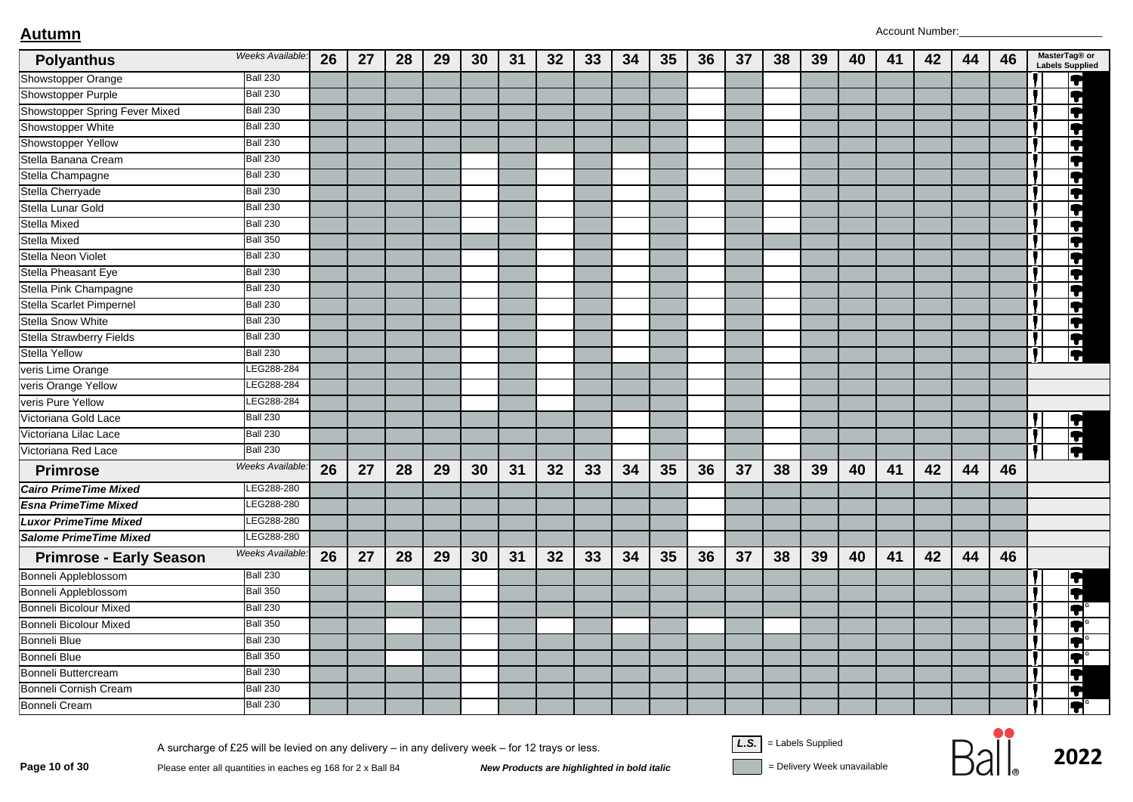| <b>Polyanthus</b>               | Weeks Available: | 26 | 27 | 28 | 29 | 30 | 31 | 32 | 33 | 34 | 35 | 36 | 37 | 38 | 39 | 40 | 41 | 42 | 44 | 46 | MasterTag® or<br><b>Labels Supplied</b> |
|---------------------------------|------------------|----|----|----|----|----|----|----|----|----|----|----|----|----|----|----|----|----|----|----|-----------------------------------------|
| Showstopper Orange              | <b>Ball 230</b>  |    |    |    |    |    |    |    |    |    |    |    |    |    |    |    |    |    |    |    | $\bullet$                               |
| Showstopper Purple              | <b>Ball 230</b>  |    |    |    |    |    |    |    |    |    |    |    |    |    |    |    |    |    |    |    | $\blacktriangledown$                    |
| Showstopper Spring Fever Mixed  | <b>Ball 230</b>  |    |    |    |    |    |    |    |    |    |    |    |    |    |    |    |    |    |    |    | T                                       |
| Showstopper White               | <b>Ball 230</b>  |    |    |    |    |    |    |    |    |    |    |    |    |    |    |    |    |    |    |    | $\blacktriangledown$                    |
| Showstopper Yellow              | <b>Ball 230</b>  |    |    |    |    |    |    |    |    |    |    |    |    |    |    |    |    |    |    |    | $\overline{\P}$                         |
| Stella Banana Cream             | <b>Ball 230</b>  |    |    |    |    |    |    |    |    |    |    |    |    |    |    |    |    |    |    |    | $\blacktriangledown$                    |
| Stella Champagne                | <b>Ball 230</b>  |    |    |    |    |    |    |    |    |    |    |    |    |    |    |    |    |    |    |    | $\blacktriangledown$                    |
| Stella Cherryade                | <b>Ball 230</b>  |    |    |    |    |    |    |    |    |    |    |    |    |    |    |    |    |    |    |    | 9                                       |
| Stella Lunar Gold               | <b>Ball 230</b>  |    |    |    |    |    |    |    |    |    |    |    |    |    |    |    |    |    |    |    | $\blacktriangledown$                    |
| <b>Stella Mixed</b>             | <b>Ball 230</b>  |    |    |    |    |    |    |    |    |    |    |    |    |    |    |    |    |    |    |    | $\overline{\bullet}$                    |
| Stella Mixed                    | <b>Ball 350</b>  |    |    |    |    |    |    |    |    |    |    |    |    |    |    |    |    |    |    |    | $\overline{\bullet}$                    |
| Stella Neon Violet              | <b>Ball 230</b>  |    |    |    |    |    |    |    |    |    |    |    |    |    |    |    |    |    |    |    | $\blacktriangledown$                    |
| Stella Pheasant Eye             | <b>Ball 230</b>  |    |    |    |    |    |    |    |    |    |    |    |    |    |    |    |    |    |    |    | $\blacklozenge$                         |
| Stella Pink Champagne           | <b>Ball 230</b>  |    |    |    |    |    |    |    |    |    |    |    |    |    |    |    |    |    |    |    | $\blacktriangledown$                    |
| Stella Scarlet Pimpernel        | <b>Ball 230</b>  |    |    |    |    |    |    |    |    |    |    |    |    |    |    |    |    |    |    |    | $\blacktriangledown$                    |
| <b>Stella Snow White</b>        | <b>Ball 230</b>  |    |    |    |    |    |    |    |    |    |    |    |    |    |    |    |    |    |    |    | Ţ                                       |
| <b>Stella Strawberry Fields</b> | <b>Ball 230</b>  |    |    |    |    |    |    |    |    |    |    |    |    |    |    |    |    |    |    |    | $\overline{\mathbf{C}}$                 |
| <b>Stella Yellow</b>            | <b>Ball 230</b>  |    |    |    |    |    |    |    |    |    |    |    |    |    |    |    |    |    |    |    | $\overline{\Omega}$                     |
| veris Lime Orange               | EG288-284        |    |    |    |    |    |    |    |    |    |    |    |    |    |    |    |    |    |    |    |                                         |
| veris Orange Yellow             | LEG288-284       |    |    |    |    |    |    |    |    |    |    |    |    |    |    |    |    |    |    |    |                                         |
| veris Pure Yellow               | <b>EG288-284</b> |    |    |    |    |    |    |    |    |    |    |    |    |    |    |    |    |    |    |    |                                         |
| Victoriana Gold Lace            | <b>Ball 230</b>  |    |    |    |    |    |    |    |    |    |    |    |    |    |    |    |    |    |    |    | r                                       |
| Victoriana Lilac Lace           | <b>Ball 230</b>  |    |    |    |    |    |    |    |    |    |    |    |    |    |    |    |    |    |    |    | $\overline{\textbf{P}}$                 |
| Victoriana Red Lace             | <b>Ball 230</b>  |    |    |    |    |    |    |    |    |    |    |    |    |    |    |    |    |    |    |    | $\overline{\P}$                         |
| <b>Primrose</b>                 | Weeks Available: | 26 | 27 | 28 | 29 | 30 | 31 | 32 | 33 | 34 | 35 | 36 | 37 | 38 | 39 | 40 | 41 | 42 | 44 | 46 |                                         |
| <b>Cairo PrimeTime Mixed</b>    | LEG288-280       |    |    |    |    |    |    |    |    |    |    |    |    |    |    |    |    |    |    |    |                                         |
| <b>Esna PrimeTime Mixed</b>     | EG288-280        |    |    |    |    |    |    |    |    |    |    |    |    |    |    |    |    |    |    |    |                                         |
| <b>Luxor PrimeTime Mixed</b>    | EG288-280        |    |    |    |    |    |    |    |    |    |    |    |    |    |    |    |    |    |    |    |                                         |
| <b>Salome PrimeTime Mixed</b>   | LEG288-280       |    |    |    |    |    |    |    |    |    |    |    |    |    |    |    |    |    |    |    |                                         |
| <b>Primrose - Early Season</b>  | Weeks Available: | 26 | 27 | 28 | 29 | 30 | 31 | 32 | 33 | 34 | 35 | 36 | 37 | 38 | 39 | 40 | 41 | 42 | 44 | 46 |                                         |
| Bonneli Appleblossom            | <b>Ball 230</b>  |    |    |    |    |    |    |    |    |    |    |    |    |    |    |    |    |    |    |    | r                                       |
| Bonneli Appleblossom            | <b>Ball 350</b>  |    |    |    |    |    |    |    |    |    |    |    |    |    |    |    |    |    |    |    | $\blacktriangleright$                   |
| <b>Bonneli Bicolour Mixed</b>   | <b>Ball 230</b>  |    |    |    |    |    |    |    |    |    |    |    |    |    |    |    |    |    |    |    | $\blacksquare$                          |
| <b>Bonneli Bicolour Mixed</b>   | <b>Ball 350</b>  |    |    |    |    |    |    |    |    |    |    |    |    |    |    |    |    |    |    |    | T                                       |
| <b>Bonneli Blue</b>             | <b>Ball 230</b>  |    |    |    |    |    |    |    |    |    |    |    |    |    |    |    |    |    |    |    | T                                       |
| <b>Bonneli Blue</b>             | <b>Ball 350</b>  |    |    |    |    |    |    |    |    |    |    |    |    |    |    |    |    |    |    |    | $\bullet$                               |
| Bonneli Buttercream             | <b>Ball 230</b>  |    |    |    |    |    |    |    |    |    |    |    |    |    |    |    |    |    |    |    | T                                       |
| Bonneli Cornish Cream           | <b>Ball 230</b>  |    |    |    |    |    |    |    |    |    |    |    |    |    |    |    |    |    |    |    | $\overline{\textbf{v}}$                 |
| <b>Bonneli Cream</b>            | <b>Ball 230</b>  |    |    |    |    |    |    |    |    |    |    |    |    |    |    |    |    |    |    |    | ОI                                      |

 $\frac{1}{2022}$ <br>Page 10 of 30 Please enter all quantities in eaches eg 168 for 2 x Ball 84 New Products are highlighted in bold italic Polivery Week unavailable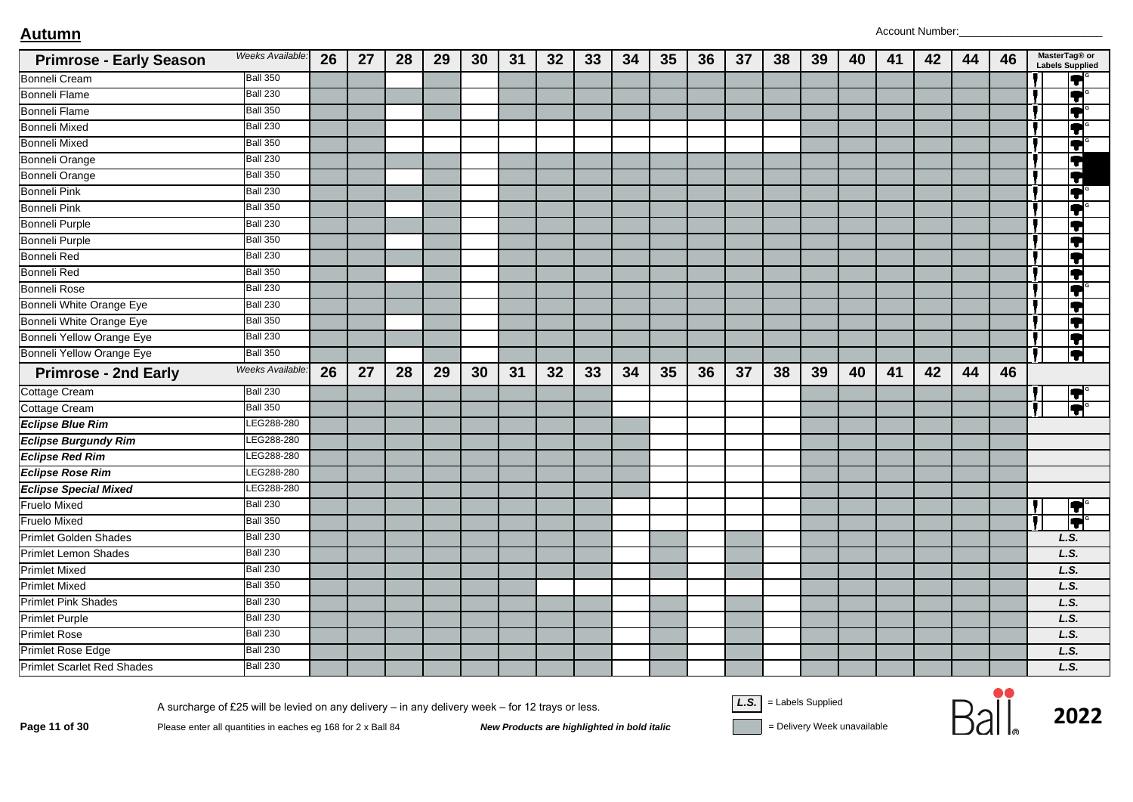| <b>Primrose - Early Season</b>    | Weeks Available:       | 26 | 27 | 28 | 29 | 30 | 31 | 32 | 33 | 34 | 35 | 36 | 37 | 38 | 39 | 40 | 41 | 42 | 44 | 46 | MasterTag® or<br><b>Labels Supplied</b> |
|-----------------------------------|------------------------|----|----|----|----|----|----|----|----|----|----|----|----|----|----|----|----|----|----|----|-----------------------------------------|
| <b>Bonneli Cream</b>              | <b>Ball 350</b>        |    |    |    |    |    |    |    |    |    |    |    |    |    |    |    |    |    |    |    | IT                                      |
| <b>Bonneli Flame</b>              | <b>Ball 230</b>        |    |    |    |    |    |    |    |    |    |    |    |    |    |    |    |    |    |    |    | $\overline{\blacklozenge}$              |
| <b>Bonneli Flame</b>              | <b>Ball 350</b>        |    |    |    |    |    |    |    |    |    |    |    |    |    |    |    |    |    |    |    | ļ                                       |
| <b>Bonneli Mixed</b>              | <b>Ball 230</b>        |    |    |    |    |    |    |    |    |    |    |    |    |    |    |    |    |    |    |    | IT                                      |
| <b>Bonneli Mixed</b>              | <b>Ball 350</b>        |    |    |    |    |    |    |    |    |    |    |    |    |    |    |    |    |    |    |    | $ \bullet $                             |
| Bonneli Orange                    | <b>Ball 230</b>        |    |    |    |    |    |    |    |    |    |    |    |    |    |    |    |    |    |    |    | $\overline{\blacklozenge}$              |
| <b>Bonneli Orange</b>             | <b>Ball 350</b>        |    |    |    |    |    |    |    |    |    |    |    |    |    |    |    |    |    |    |    | Ħ                                       |
| <b>Bonneli Pink</b>               | <b>Ball 230</b>        |    |    |    |    |    |    |    |    |    |    |    |    |    |    |    |    |    |    |    | Ţ                                       |
| <b>Bonneli Pink</b>               | <b>Ball 350</b>        |    |    |    |    |    |    |    |    |    |    |    |    |    |    |    |    |    |    |    | Ļ                                       |
| <b>Bonneli Purple</b>             | <b>Ball 230</b>        |    |    |    |    |    |    |    |    |    |    |    |    |    |    |    |    |    |    |    | IT                                      |
| <b>Bonneli Purple</b>             | <b>Ball 350</b>        |    |    |    |    |    |    |    |    |    |    |    |    |    |    |    |    |    |    |    | Ţ                                       |
| <b>Bonneli Red</b>                | <b>Ball 230</b>        |    |    |    |    |    |    |    |    |    |    |    |    |    |    |    |    |    |    |    | Ţ                                       |
| Bonneli Red                       | <b>Ball 350</b>        |    |    |    |    |    |    |    |    |    |    |    |    |    |    |    |    |    |    |    | é                                       |
| <b>Bonneli Rose</b>               | <b>Ball 230</b>        |    |    |    |    |    |    |    |    |    |    |    |    |    |    |    |    |    |    |    | ĮŢ                                      |
| Bonneli White Orange Eye          | <b>Ball 230</b>        |    |    |    |    |    |    |    |    |    |    |    |    |    |    |    |    |    |    |    | Į                                       |
| Bonneli White Orange Eye          | <b>Ball 350</b>        |    |    |    |    |    |    |    |    |    |    |    |    |    |    |    |    |    |    |    | ĮŢ                                      |
| <b>Bonneli Yellow Orange Eye</b>  | <b>Ball 230</b>        |    |    |    |    |    |    |    |    |    |    |    |    |    |    |    |    |    |    |    | Į                                       |
| <b>Bonneli Yellow Orange Eye</b>  | <b>Ball 350</b>        |    |    |    |    |    |    |    |    |    |    |    |    |    |    |    |    |    |    |    | q                                       |
| <b>Primrose - 2nd Early</b>       | <b>Weeks Available</b> | 26 | 27 | 28 | 29 | 30 | 31 | 32 | 33 | 34 | 35 | 36 | 37 | 38 | 39 | 40 | 41 | 42 | 44 | 46 |                                         |
| Cottage Cream                     | Ball 230               |    |    |    |    |    |    |    |    |    |    |    |    |    |    |    |    |    |    |    | T                                       |
| <b>Cottage Cream</b>              | <b>Ball 350</b>        |    |    |    |    |    |    |    |    |    |    |    |    |    |    |    |    |    |    |    | Q                                       |
| <b>Eclipse Blue Rim</b>           | LEG288-280             |    |    |    |    |    |    |    |    |    |    |    |    |    |    |    |    |    |    |    |                                         |
| <b>Eclipse Burgundy Rim</b>       | LEG288-280             |    |    |    |    |    |    |    |    |    |    |    |    |    |    |    |    |    |    |    |                                         |
| <b>Eclipse Red Rim</b>            | LEG288-280             |    |    |    |    |    |    |    |    |    |    |    |    |    |    |    |    |    |    |    |                                         |
| <b>Eclipse Rose Rim</b>           | LEG288-280             |    |    |    |    |    |    |    |    |    |    |    |    |    |    |    |    |    |    |    |                                         |
| <b>Eclipse Special Mixed</b>      | LEG288-280             |    |    |    |    |    |    |    |    |    |    |    |    |    |    |    |    |    |    |    |                                         |
| Fruelo Mixed                      | Ball 230               |    |    |    |    |    |    |    |    |    |    |    |    |    |    |    |    |    |    |    | T                                       |
| <b>Fruelo Mixed</b>               | <b>Ball 350</b>        |    |    |    |    |    |    |    |    |    |    |    |    |    |    |    |    |    |    |    | $\overline{\P}$                         |
| <b>Primlet Golden Shades</b>      | <b>Ball 230</b>        |    |    |    |    |    |    |    |    |    |    |    |    |    |    |    |    |    |    |    | L.S.                                    |
| <b>Primlet Lemon Shades</b>       | <b>Ball 230</b>        |    |    |    |    |    |    |    |    |    |    |    |    |    |    |    |    |    |    |    | L.S.                                    |
| <b>Primlet Mixed</b>              | <b>Ball 230</b>        |    |    |    |    |    |    |    |    |    |    |    |    |    |    |    |    |    |    |    | L.S.                                    |
| <b>Primlet Mixed</b>              | <b>Ball 350</b>        |    |    |    |    |    |    |    |    |    |    |    |    |    |    |    |    |    |    |    | L.S.                                    |
| <b>Primlet Pink Shades</b>        | <b>Ball 230</b>        |    |    |    |    |    |    |    |    |    |    |    |    |    |    |    |    |    |    |    | L.S.                                    |
| <b>Primlet Purple</b>             | <b>Ball 230</b>        |    |    |    |    |    |    |    |    |    |    |    |    |    |    |    |    |    |    |    | L.S.                                    |
| <b>Primlet Rose</b>               | Ball 230               |    |    |    |    |    |    |    |    |    |    |    |    |    |    |    |    |    |    |    | L.S.                                    |
| <b>Primlet Rose Edge</b>          | <b>Ball 230</b>        |    |    |    |    |    |    |    |    |    |    |    |    |    |    |    |    |    |    |    | L.S.                                    |
| <b>Primlet Scarlet Red Shades</b> | <b>Ball 230</b>        |    |    |    |    |    |    |    |    |    |    |    |    |    |    |    |    |    |    |    | L.S.                                    |

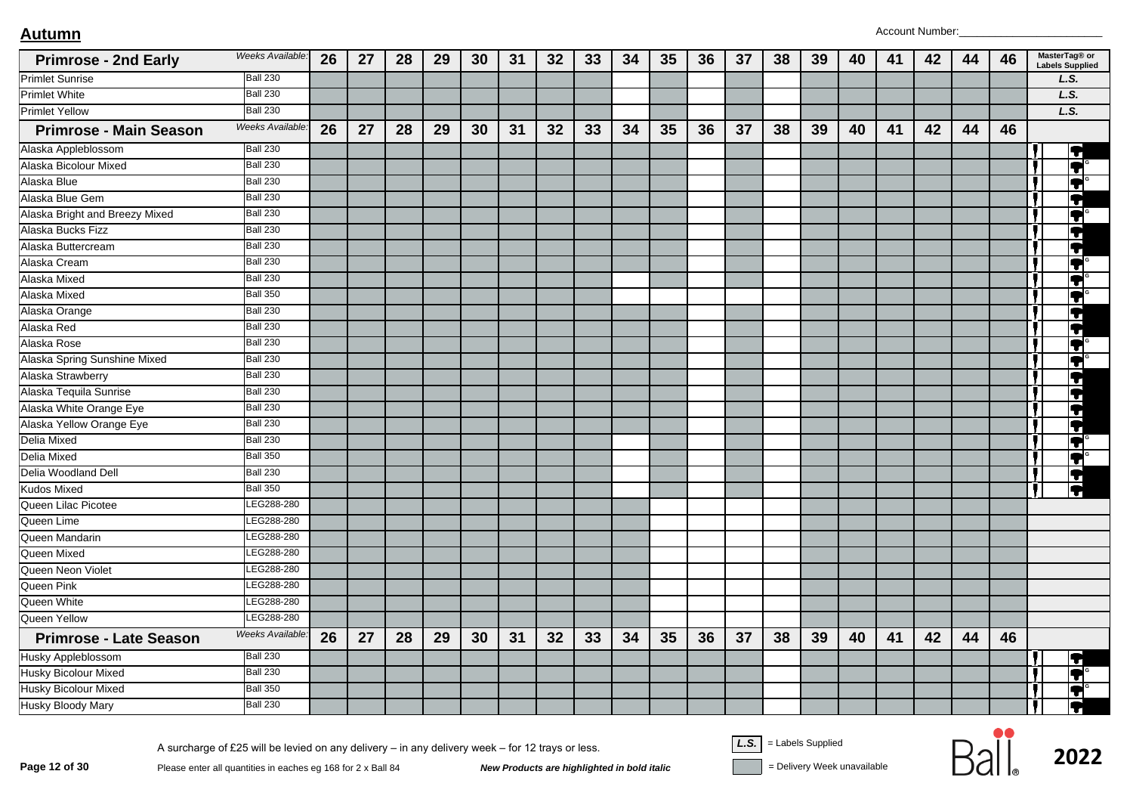| <b>Primrose - 2nd Early</b>    | Weeks Available: | 26 | 27 | 28 | 29 | 30 | 31 | 32 | 33 | 34 | 35 | 36 | 37 | 38 | 39 | 40 | 41 | 42 | 44 | 46 |   | MasterTag® or<br><b>Labels Supplied</b> |
|--------------------------------|------------------|----|----|----|----|----|----|----|----|----|----|----|----|----|----|----|----|----|----|----|---|-----------------------------------------|
| <b>Primlet Sunrise</b>         | <b>Ball 230</b>  |    |    |    |    |    |    |    |    |    |    |    |    |    |    |    |    |    |    |    |   | L.S.                                    |
| <b>Primlet White</b>           | <b>Ball 230</b>  |    |    |    |    |    |    |    |    |    |    |    |    |    |    |    |    |    |    |    |   | L.S.                                    |
| <b>Primlet Yellow</b>          | <b>Ball 230</b>  |    |    |    |    |    |    |    |    |    |    |    |    |    |    |    |    |    |    |    |   | L.S.                                    |
| <b>Primrose - Main Season</b>  | Weeks Available: | 26 | 27 | 28 | 29 | 30 | 31 | 32 | 33 | 34 | 35 | 36 | 37 | 38 | 39 | 40 | 41 | 42 | 44 | 46 |   |                                         |
| Alaska Appleblossom            | <b>Ball 230</b>  |    |    |    |    |    |    |    |    |    |    |    |    |    |    |    |    |    |    |    |   | $\overline{\blacklozenge}$              |
| Alaska Bicolour Mixed          | <b>Ball 230</b>  |    |    |    |    |    |    |    |    |    |    |    |    |    |    |    |    |    |    |    |   | $\blacktriangledown$                    |
| Alaska Blue                    | <b>Ball 230</b>  |    |    |    |    |    |    |    |    |    |    |    |    |    |    |    |    |    |    |    |   | IT                                      |
| Alaska Blue Gem                | <b>Ball 230</b>  |    |    |    |    |    |    |    |    |    |    |    |    |    |    |    |    |    |    |    |   | T                                       |
| Alaska Bright and Breezy Mixed | <b>Ball 230</b>  |    |    |    |    |    |    |    |    |    |    |    |    |    |    |    |    |    |    |    |   | Q                                       |
| Alaska Bucks Fizz              | <b>Ball 230</b>  |    |    |    |    |    |    |    |    |    |    |    |    |    |    |    |    |    |    |    |   | T                                       |
| Alaska Buttercream             | <b>Ball 230</b>  |    |    |    |    |    |    |    |    |    |    |    |    |    |    |    |    |    |    |    | Ţ | IT                                      |
| Alaska Cream                   | <b>Ball 230</b>  |    |    |    |    |    |    |    |    |    |    |    |    |    |    |    |    |    |    |    |   | T                                       |
| Alaska Mixed                   | <b>Ball 230</b>  |    |    |    |    |    |    |    |    |    |    |    |    |    |    |    |    |    |    |    |   | T                                       |
| Alaska Mixed                   | <b>Ball 350</b>  |    |    |    |    |    |    |    |    |    |    |    |    |    |    |    |    |    |    |    |   | T                                       |
| Alaska Orange                  | <b>Ball 230</b>  |    |    |    |    |    |    |    |    |    |    |    |    |    |    |    |    |    |    |    |   | T                                       |
| Alaska Red                     | <b>Ball 230</b>  |    |    |    |    |    |    |    |    |    |    |    |    |    |    |    |    |    |    |    |   | T                                       |
| Alaska Rose                    | <b>Ball 230</b>  |    |    |    |    |    |    |    |    |    |    |    |    |    |    |    |    |    |    |    |   | F                                       |
| Alaska Spring Sunshine Mixed   | <b>Ball 230</b>  |    |    |    |    |    |    |    |    |    |    |    |    |    |    |    |    |    |    |    |   | IŦ                                      |
| Alaska Strawberry              | <b>Ball 230</b>  |    |    |    |    |    |    |    |    |    |    |    |    |    |    |    |    |    |    |    |   | T                                       |
| Alaska Tequila Sunrise         | <b>Ball 230</b>  |    |    |    |    |    |    |    |    |    |    |    |    |    |    |    |    |    |    |    |   | 4                                       |
| Alaska White Orange Eye        | <b>Ball 230</b>  |    |    |    |    |    |    |    |    |    |    |    |    |    |    |    |    |    |    |    |   | T                                       |
| Alaska Yellow Orange Eye       | <b>Ball 230</b>  |    |    |    |    |    |    |    |    |    |    |    |    |    |    |    |    |    |    |    |   | F                                       |
| <b>Delia Mixed</b>             | <b>Ball 230</b>  |    |    |    |    |    |    |    |    |    |    |    |    |    |    |    |    |    |    |    |   | $\blacktriangledown$                    |
| <b>Delia Mixed</b>             | <b>Ball 350</b>  |    |    |    |    |    |    |    |    |    |    |    |    |    |    |    |    |    |    |    |   | T                                       |
| Delia Woodland Dell            | <b>Ball 230</b>  |    |    |    |    |    |    |    |    |    |    |    |    |    |    |    |    |    |    |    |   | F                                       |
| <b>Kudos Mixed</b>             | <b>Ball 350</b>  |    |    |    |    |    |    |    |    |    |    |    |    |    |    |    |    |    |    |    |   | T                                       |
| Queen Lilac Picotee            | LEG288-280       |    |    |    |    |    |    |    |    |    |    |    |    |    |    |    |    |    |    |    |   |                                         |
| Queen Lime                     | LEG288-280       |    |    |    |    |    |    |    |    |    |    |    |    |    |    |    |    |    |    |    |   |                                         |
| Queen Mandarin                 | LEG288-280       |    |    |    |    |    |    |    |    |    |    |    |    |    |    |    |    |    |    |    |   |                                         |
| Queen Mixed                    | LEG288-280       |    |    |    |    |    |    |    |    |    |    |    |    |    |    |    |    |    |    |    |   |                                         |
| Queen Neon Violet              | EG288-280        |    |    |    |    |    |    |    |    |    |    |    |    |    |    |    |    |    |    |    |   |                                         |
| Queen Pink                     | LEG288-280       |    |    |    |    |    |    |    |    |    |    |    |    |    |    |    |    |    |    |    |   |                                         |
| Queen White                    | LEG288-280       |    |    |    |    |    |    |    |    |    |    |    |    |    |    |    |    |    |    |    |   |                                         |
| Queen Yellow                   | LEG288-280       |    |    |    |    |    |    |    |    |    |    |    |    |    |    |    |    |    |    |    |   |                                         |
| <b>Primrose - Late Season</b>  | Weeks Available: | 26 | 27 | 28 | 29 | 30 | 31 | 32 | 33 | 34 | 35 | 36 | 37 | 38 | 39 | 40 | 41 | 42 | 44 | 46 |   |                                         |
| <b>Husky Appleblossom</b>      | <b>Ball 230</b>  |    |    |    |    |    |    |    |    |    |    |    |    |    |    |    |    |    |    |    |   | IT                                      |
| <b>Husky Bicolour Mixed</b>    | <b>Ball 230</b>  |    |    |    |    |    |    |    |    |    |    |    |    |    |    |    |    |    |    |    |   | $\blacktriangledown$                    |
| <b>Husky Bicolour Mixed</b>    | <b>Ball 350</b>  |    |    |    |    |    |    |    |    |    |    |    |    |    |    |    |    |    |    |    |   | T                                       |
| Husky Bloody Mary              | <b>Ball 230</b>  |    |    |    |    |    |    |    |    |    |    |    |    |    |    |    |    |    |    |    |   | n                                       |

**Page 12 of 30**<br>Please enter all quantities in eaches eg 168 for 2 x Ball 84<br>**New Products are highlighted in bold italic** and **The Supplied** Polivery Week unavailable

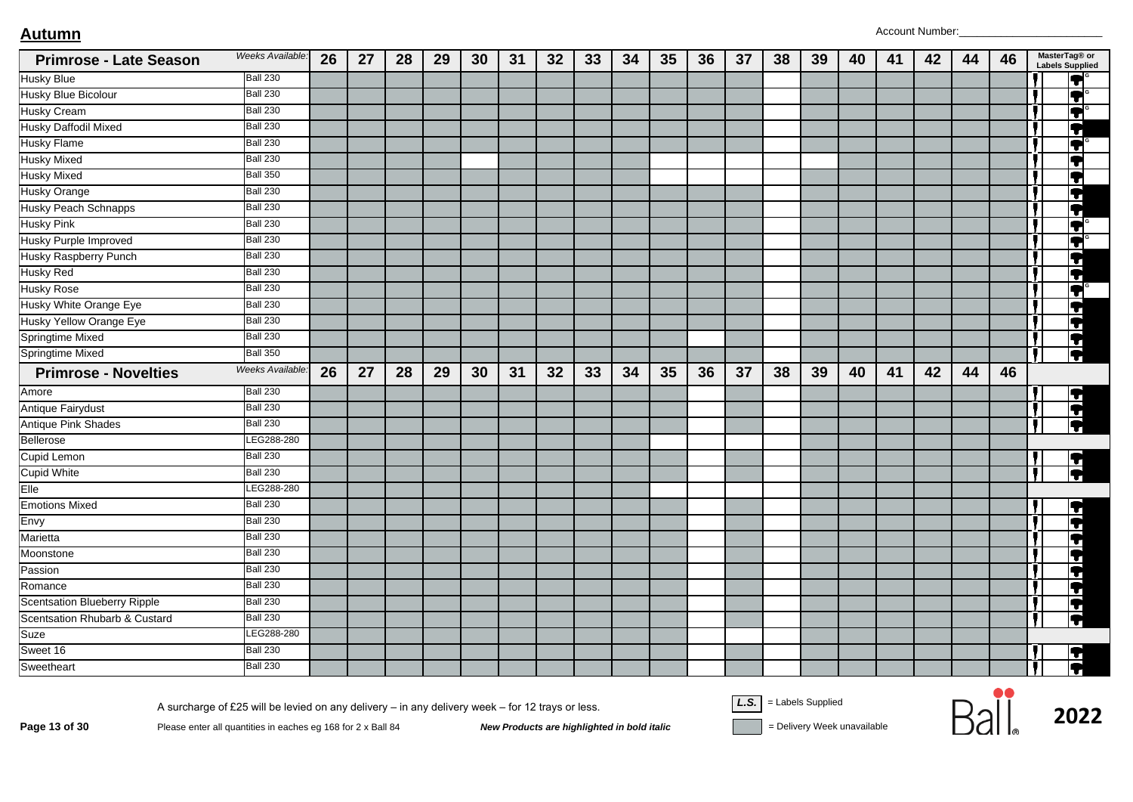| <b>Primrose - Late Season</b>       | Weeks Available:       | 26 | 27 | 28 | 29 | 30 | 31 | 32 | 33 | 34 | 35 | 36 | 37 | 38 | 39 | 40 | 41 | 42 | 44 | 46 |   | MasterTag® or<br><b>Labels Supplied</b>     |
|-------------------------------------|------------------------|----|----|----|----|----|----|----|----|----|----|----|----|----|----|----|----|----|----|----|---|---------------------------------------------|
| <b>Husky Blue</b>                   | <b>Ball 230</b>        |    |    |    |    |    |    |    |    |    |    |    |    |    |    |    |    |    |    |    |   | F                                           |
| <b>Husky Blue Bicolour</b>          | <b>Ball 230</b>        |    |    |    |    |    |    |    |    |    |    |    |    |    |    |    |    |    |    |    |   | F                                           |
| Husky Cream                         | <b>Ball 230</b>        |    |    |    |    |    |    |    |    |    |    |    |    |    |    |    |    |    |    |    |   | IT                                          |
| <b>Husky Daffodil Mixed</b>         | <b>Ball 230</b>        |    |    |    |    |    |    |    |    |    |    |    |    |    |    |    |    |    |    |    |   | T                                           |
| <b>Husky Flame</b>                  | <b>Ball 230</b>        |    |    |    |    |    |    |    |    |    |    |    |    |    |    |    |    |    |    |    |   | $\blacktriangledown$                        |
| <b>Husky Mixed</b>                  | <b>Ball 230</b>        |    |    |    |    |    |    |    |    |    |    |    |    |    |    |    |    |    |    |    |   | IT                                          |
| <b>Husky Mixed</b>                  | <b>Ball 350</b>        |    |    |    |    |    |    |    |    |    |    |    |    |    |    |    |    |    |    |    |   | IT                                          |
| <b>Husky Orange</b>                 | <b>Ball 230</b>        |    |    |    |    |    |    |    |    |    |    |    |    |    |    |    |    |    |    |    |   | $\overline{\textbf{1}}$                     |
| <b>Husky Peach Schnapps</b>         | <b>Ball 230</b>        |    |    |    |    |    |    |    |    |    |    |    |    |    |    |    |    |    |    |    |   | $\overline{\textbf{1}}$                     |
| <b>Husky Pink</b>                   | <b>Ball 230</b>        |    |    |    |    |    |    |    |    |    |    |    |    |    |    |    |    |    |    |    |   | T                                           |
| <b>Husky Purple Improved</b>        | <b>Ball 230</b>        |    |    |    |    |    |    |    |    |    |    |    |    |    |    |    |    |    |    |    |   | IT                                          |
| <b>Husky Raspberry Punch</b>        | <b>Ball 230</b>        |    |    |    |    |    |    |    |    |    |    |    |    |    |    |    |    |    |    |    |   | F                                           |
| <b>Husky Red</b>                    | <b>Ball 230</b>        |    |    |    |    |    |    |    |    |    |    |    |    |    |    |    |    |    |    |    |   | Ħ                                           |
| <b>Husky Rose</b>                   | <b>Ball 230</b>        |    |    |    |    |    |    |    |    |    |    |    |    |    |    |    |    |    |    |    |   | $\overline{\textbf{1}}$                     |
| Husky White Orange Eye              | <b>Ball 230</b>        |    |    |    |    |    |    |    |    |    |    |    |    |    |    |    |    |    |    |    |   | q                                           |
| Husky Yellow Orange Eye             | <b>Ball 230</b>        |    |    |    |    |    |    |    |    |    |    |    |    |    |    |    |    |    |    |    |   | $\overline{\textbf{r}}$                     |
| Springtime Mixed                    | Ball 230               |    |    |    |    |    |    |    |    |    |    |    |    |    |    |    |    |    |    |    |   | ĪT                                          |
| <b>Springtime Mixed</b>             | <b>Ball 350</b>        |    |    |    |    |    |    |    |    |    |    |    |    |    |    |    |    |    |    |    |   | $\overline{\P}$                             |
| <b>Primrose - Novelties</b>         | <b>Weeks Available</b> | 26 | 27 | 28 | 29 | 30 | 31 | 32 | 33 | 34 | 35 | 36 | 37 | 38 | 39 | 40 | 41 | 42 | 44 | 46 |   |                                             |
| Amore                               | <b>Ball 230</b>        |    |    |    |    |    |    |    |    |    |    |    |    |    |    |    |    |    |    |    |   | $\overline{\mathbf{P}}$                     |
| <b>Antique Fairydust</b>            | Ball 230               |    |    |    |    |    |    |    |    |    |    |    |    |    |    |    |    |    |    |    |   | þ                                           |
| <b>Antique Pink Shades</b>          | Ball 230               |    |    |    |    |    |    |    |    |    |    |    |    |    |    |    |    |    |    |    |   | $\overline{\P}$                             |
| Bellerose                           | LEG288-280             |    |    |    |    |    |    |    |    |    |    |    |    |    |    |    |    |    |    |    |   |                                             |
| Cupid Lemon                         | <b>Ball 230</b>        |    |    |    |    |    |    |    |    |    |    |    |    |    |    |    |    |    |    |    |   |                                             |
| <b>Cupid White</b>                  | <b>Ball 230</b>        |    |    |    |    |    |    |    |    |    |    |    |    |    |    |    |    |    |    |    | Б | $\overline{\blacktriangleleft\blacksquare}$ |
| Elle                                | LEG288-280             |    |    |    |    |    |    |    |    |    |    |    |    |    |    |    |    |    |    |    |   |                                             |
| <b>Emotions Mixed</b>               | <b>Ball 230</b>        |    |    |    |    |    |    |    |    |    |    |    |    |    |    |    |    |    |    |    |   | T                                           |
| Envy                                | <b>Ball 230</b>        |    |    |    |    |    |    |    |    |    |    |    |    |    |    |    |    |    |    |    |   | T                                           |
| Marietta                            | <b>Ball 230</b>        |    |    |    |    |    |    |    |    |    |    |    |    |    |    |    |    |    |    |    |   | 4                                           |
| Moonstone                           | <b>Ball 230</b>        |    |    |    |    |    |    |    |    |    |    |    |    |    |    |    |    |    |    |    |   | T                                           |
| Passion                             | <b>Ball 230</b>        |    |    |    |    |    |    |    |    |    |    |    |    |    |    |    |    |    |    |    |   | $\blacktriangleright$                       |
| Romance                             | <b>Ball 230</b>        |    |    |    |    |    |    |    |    |    |    |    |    |    |    |    |    |    |    |    |   | F                                           |
| <b>Scentsation Blueberry Ripple</b> | <b>Ball 230</b>        |    |    |    |    |    |    |    |    |    |    |    |    |    |    |    |    |    |    |    |   | 7                                           |
| Scentsation Rhubarb & Custard       | <b>Ball 230</b>        |    |    |    |    |    |    |    |    |    |    |    |    |    |    |    |    |    |    |    |   | ĪT                                          |
| Suze                                | LEG288-280             |    |    |    |    |    |    |    |    |    |    |    |    |    |    |    |    |    |    |    |   |                                             |
| Sweet 16                            | <b>Ball 230</b>        |    |    |    |    |    |    |    |    |    |    |    |    |    |    |    |    |    |    |    |   | $\overline{\P}$                             |
| Sweetheart                          | Ball 230               |    |    |    |    |    |    |    |    |    |    |    |    |    |    |    |    |    |    |    |   |                                             |

A surcharge of £25 will be levied on any delivery – in any delivery week – for 12 trays or less.<br>Page 13 of 30 Please enter all quantities in eaches eg 168 for 2 x Ball 84 New Products are highlighted in bold italic = Del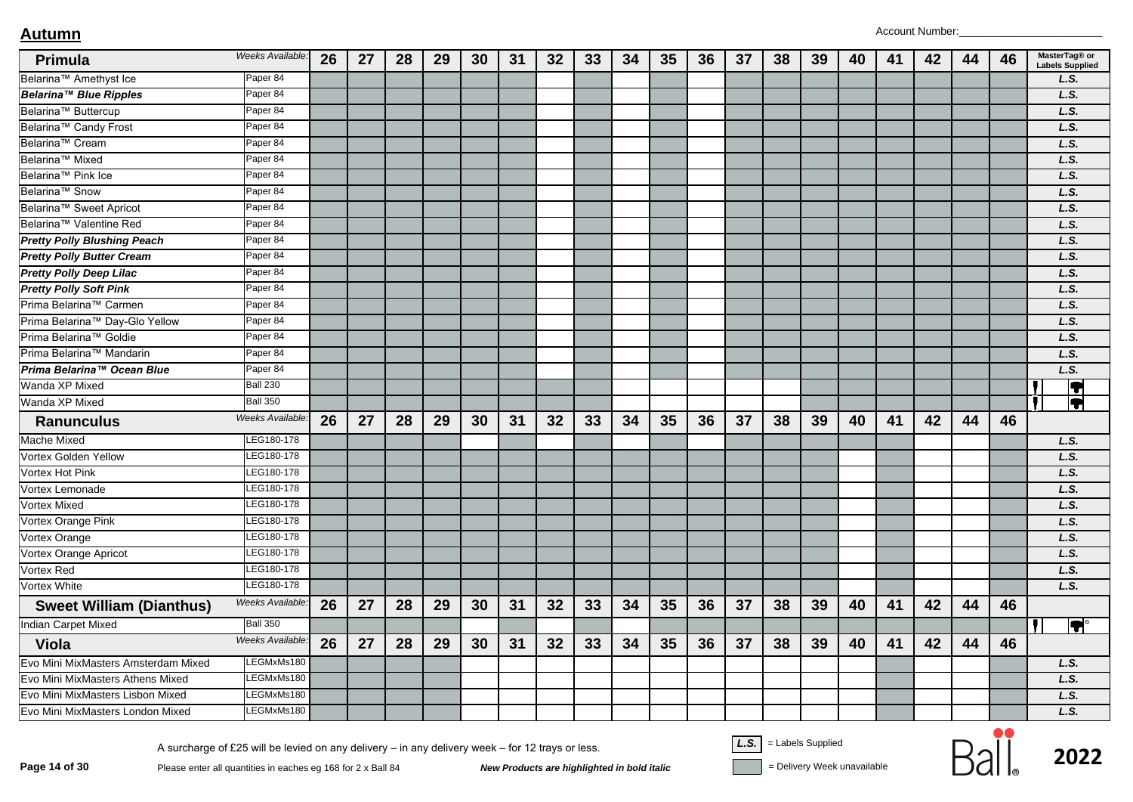| Primula                             | Weeks Available: | 26 | 27 | 28 | 29 | 30 | 31 | 32 | 33 | 34 | 35 | 36 | 37 | 38 | 39 | 40 | 41 | 42 | 44 | 46 | MasterTag® or<br><b>Labels Supplied</b> |
|-------------------------------------|------------------|----|----|----|----|----|----|----|----|----|----|----|----|----|----|----|----|----|----|----|-----------------------------------------|
| Belarina™ Amethyst Ice              | Paper 84         |    |    |    |    |    |    |    |    |    |    |    |    |    |    |    |    |    |    |    | L.S.                                    |
| Belarina™ Blue Ripples              | Paper 84         |    |    |    |    |    |    |    |    |    |    |    |    |    |    |    |    |    |    |    | L.S.                                    |
| Belarina <sup>™</sup> Buttercup     | Paper 84         |    |    |    |    |    |    |    |    |    |    |    |    |    |    |    |    |    |    |    | L.S.                                    |
| Belarina <sup>™</sup> Candy Frost   | Paper 84         |    |    |    |    |    |    |    |    |    |    |    |    |    |    |    |    |    |    |    | L.S.                                    |
| Belarina <sup>™</sup> Cream         | Paper 84         |    |    |    |    |    |    |    |    |    |    |    |    |    |    |    |    |    |    |    | L.S.                                    |
| Belarina <sup>™</sup> Mixed         | Paper 84         |    |    |    |    |    |    |    |    |    |    |    |    |    |    |    |    |    |    |    | L.S.                                    |
| Belarina <sup>™</sup> Pink Ice      | Paper 84         |    |    |    |    |    |    |    |    |    |    |    |    |    |    |    |    |    |    |    | L.S.                                    |
| Belarina <sup>™</sup> Snow          | Paper 84         |    |    |    |    |    |    |    |    |    |    |    |    |    |    |    |    |    |    |    | L.S.                                    |
| Belarina <sup>™</sup> Sweet Apricot | Paper 84         |    |    |    |    |    |    |    |    |    |    |    |    |    |    |    |    |    |    |    | L.S.                                    |
| Belarina™ Valentine Red             | Paper 84         |    |    |    |    |    |    |    |    |    |    |    |    |    |    |    |    |    |    |    | L.S.                                    |
| <b>Pretty Polly Blushing Peach</b>  | Paper 84         |    |    |    |    |    |    |    |    |    |    |    |    |    |    |    |    |    |    |    | L.S.                                    |
| <b>Pretty Polly Butter Cream</b>    | Paper 84         |    |    |    |    |    |    |    |    |    |    |    |    |    |    |    |    |    |    |    | L.S.                                    |
| <b>Pretty Polly Deep Lilac</b>      | Paper 84         |    |    |    |    |    |    |    |    |    |    |    |    |    |    |    |    |    |    |    | L.S.                                    |
| <b>Pretty Polly Soft Pink</b>       | Paper 84         |    |    |    |    |    |    |    |    |    |    |    |    |    |    |    |    |    |    |    | L.S.                                    |
| Prima Belarina™ Carmen              | Paper 84         |    |    |    |    |    |    |    |    |    |    |    |    |    |    |    |    |    |    |    | L.S.                                    |
| Prima Belarina™ Day-Glo Yellow      | Paper 84         |    |    |    |    |    |    |    |    |    |    |    |    |    |    |    |    |    |    |    | L.S.                                    |
| Prima Belarina™ Goldie              | Paper 84         |    |    |    |    |    |    |    |    |    |    |    |    |    |    |    |    |    |    |    | L.S.                                    |
| Prima Belarina™ Mandarin            | Paper 84         |    |    |    |    |    |    |    |    |    |    |    |    |    |    |    |    |    |    |    | L.S.                                    |
| Prima Belarina™ Ocean Blue          | Paper 84         |    |    |    |    |    |    |    |    |    |    |    |    |    |    |    |    |    |    |    | L.S.                                    |
| Wanda XP Mixed                      | <b>Ball 230</b>  |    |    |    |    |    |    |    |    |    |    |    |    |    |    |    |    |    |    |    | IT                                      |
| Wanda XP Mixed                      | <b>Ball 350</b>  |    |    |    |    |    |    |    |    |    |    |    |    |    |    |    |    |    |    |    | 9                                       |
| <b>Ranunculus</b>                   | Weeks Available: | 26 | 27 | 28 | 29 | 30 | 31 | 32 | 33 | 34 | 35 | 36 | 37 | 38 | 39 | 40 | 41 | 42 | 44 | 46 |                                         |
| Mache Mixed                         | LEG180-178       |    |    |    |    |    |    |    |    |    |    |    |    |    |    |    |    |    |    |    | L.S.                                    |
| Vortex Golden Yellow                | LEG180-178       |    |    |    |    |    |    |    |    |    |    |    |    |    |    |    |    |    |    |    | L.S.                                    |
| Vortex Hot Pink                     | LEG180-178       |    |    |    |    |    |    |    |    |    |    |    |    |    |    |    |    |    |    |    | L.S.                                    |
| Vortex Lemonade                     | LEG180-178       |    |    |    |    |    |    |    |    |    |    |    |    |    |    |    |    |    |    |    | L.S.                                    |
| Vortex Mixed                        | LEG180-178       |    |    |    |    |    |    |    |    |    |    |    |    |    |    |    |    |    |    |    | L.S.                                    |
| Vortex Orange Pink                  | LEG180-178       |    |    |    |    |    |    |    |    |    |    |    |    |    |    |    |    |    |    |    | L.S.                                    |
| Vortex Orange                       | LEG180-178       |    |    |    |    |    |    |    |    |    |    |    |    |    |    |    |    |    |    |    | L.S.                                    |
| Vortex Orange Apricot               | LEG180-178       |    |    |    |    |    |    |    |    |    |    |    |    |    |    |    |    |    |    |    | L.S.                                    |
| Vortex Red                          | LEG180-178       |    |    |    |    |    |    |    |    |    |    |    |    |    |    |    |    |    |    |    | L.S.                                    |
| Vortex White                        | LEG180-178       |    |    |    |    |    |    |    |    |    |    |    |    |    |    |    |    |    |    |    | L.S.                                    |
| <b>Sweet William (Dianthus)</b>     | Weeks Available: | 26 | 27 | 28 | 29 | 30 | 31 | 32 | 33 | 34 | 35 | 36 | 37 | 38 | 39 | 40 | 41 | 42 | 44 | 46 |                                         |
| <b>Indian Carpet Mixed</b>          | <b>Ball 350</b>  |    |    |    |    |    |    |    |    |    |    |    |    |    |    |    |    |    |    |    | $ \bm{\tau} ^{\circ}$                   |
| Viola                               | Weeks Available: | 26 | 27 | 28 | 29 | 30 | 31 | 32 | 33 | 34 | 35 | 36 | 37 | 38 | 39 | 40 | 41 | 42 | 44 | 46 |                                         |
| Evo Mini MixMasters Amsterdam Mixed | LEGMxMs180       |    |    |    |    |    |    |    |    |    |    |    |    |    |    |    |    |    |    |    | L.S.                                    |
| Evo Mini MixMasters Athens Mixed    | LEGMxMs180       |    |    |    |    |    |    |    |    |    |    |    |    |    |    |    |    |    |    |    | L.S.                                    |
| Evo Mini MixMasters Lisbon Mixed    | LEGMxMs180       |    |    |    |    |    |    |    |    |    |    |    |    |    |    |    |    |    |    |    | L.S.                                    |
| Evo Mini MixMasters London Mixed    | LEGMxMs180       |    |    |    |    |    |    |    |    |    |    |    |    |    |    |    |    |    |    |    | L.S.                                    |

 $\frac{1}{2022}$ <br>Page 14 of 30 Please enter all quantities in eaches eg 168 for 2 x Ball 84 New Products are highlighted in bold italic<br>New Products are highlighted in bold italic<br>Pelivery Week unavailable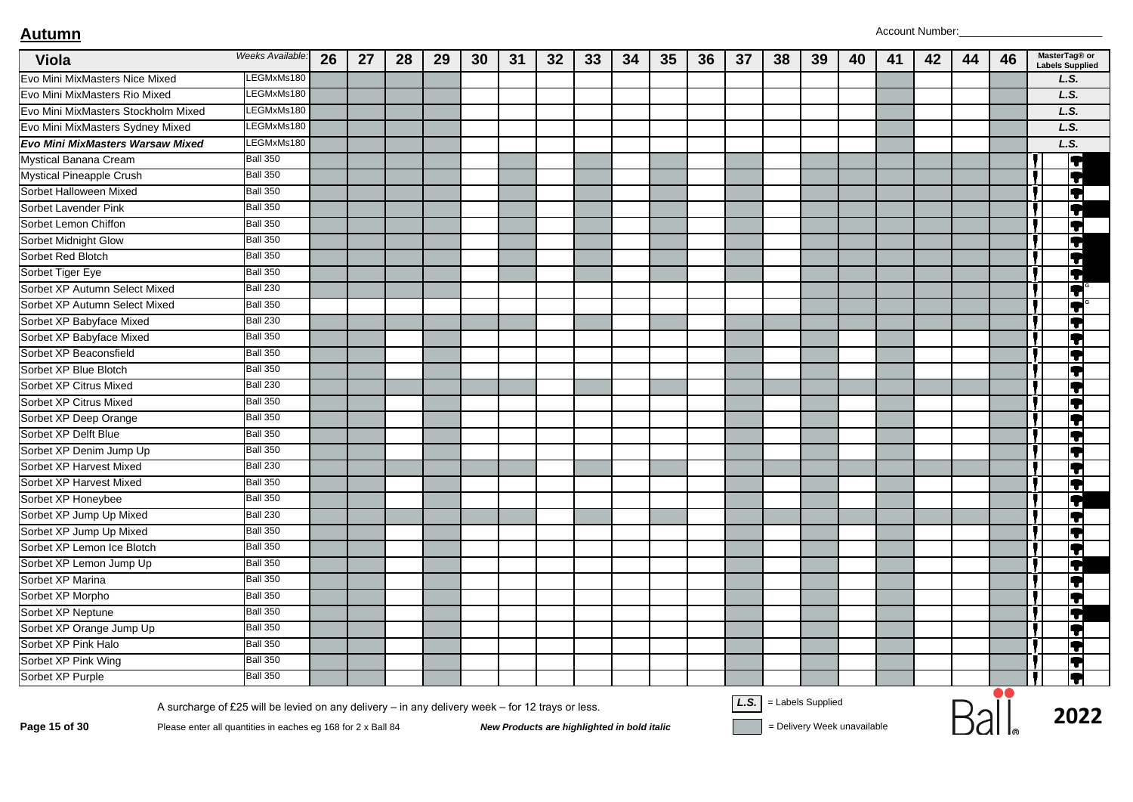| Viola                               | Weeks Available:                                                                                                                                                 | 26 | 27 | 28 | 29 | 30 | 31 | 32 | 33                                          | 34 | 35 | 36 | 37   | 38                | 39 | 40                          | 41 | 42 | 44 | 46 | MasterTag® or<br><b>Labels Supplied</b> |
|-------------------------------------|------------------------------------------------------------------------------------------------------------------------------------------------------------------|----|----|----|----|----|----|----|---------------------------------------------|----|----|----|------|-------------------|----|-----------------------------|----|----|----|----|-----------------------------------------|
| Evo Mini MixMasters Nice Mixed      | LEGMxMs180                                                                                                                                                       |    |    |    |    |    |    |    |                                             |    |    |    |      |                   |    |                             |    |    |    |    | L.S.                                    |
| Evo Mini MixMasters Rio Mixed       | LEGMxMs180                                                                                                                                                       |    |    |    |    |    |    |    |                                             |    |    |    |      |                   |    |                             |    |    |    |    | L.S.                                    |
| Evo Mini MixMasters Stockholm Mixed | LEGMxMs180                                                                                                                                                       |    |    |    |    |    |    |    |                                             |    |    |    |      |                   |    |                             |    |    |    |    | L.S.                                    |
| Evo Mini MixMasters Sydney Mixed    | LEGMxMs180                                                                                                                                                       |    |    |    |    |    |    |    |                                             |    |    |    |      |                   |    |                             |    |    |    |    | L.S.                                    |
| Evo Mini MixMasters Warsaw Mixed    | LEGMxMs180                                                                                                                                                       |    |    |    |    |    |    |    |                                             |    |    |    |      |                   |    |                             |    |    |    |    | L.S.                                    |
| Mystical Banana Cream               | <b>Ball 350</b>                                                                                                                                                  |    |    |    |    |    |    |    |                                             |    |    |    |      |                   |    |                             |    |    |    |    | T                                       |
| <b>Mystical Pineapple Crush</b>     | <b>Ball 350</b>                                                                                                                                                  |    |    |    |    |    |    |    |                                             |    |    |    |      |                   |    |                             |    |    |    |    | $\overline{\bullet}$                    |
| Sorbet Halloween Mixed              | <b>Ball 350</b>                                                                                                                                                  |    |    |    |    |    |    |    |                                             |    |    |    |      |                   |    |                             |    |    |    |    | 0                                       |
| Sorbet Lavender Pink                | <b>Ball 350</b>                                                                                                                                                  |    |    |    |    |    |    |    |                                             |    |    |    |      |                   |    |                             |    |    |    |    | Į                                       |
| Sorbet Lemon Chiffon                | <b>Ball 350</b>                                                                                                                                                  |    |    |    |    |    |    |    |                                             |    |    |    |      |                   |    |                             |    |    |    |    | Ţ                                       |
| Sorbet Midnight Glow                | <b>Ball 350</b>                                                                                                                                                  |    |    |    |    |    |    |    |                                             |    |    |    |      |                   |    |                             |    |    |    |    | ¢                                       |
| Sorbet Red Blotch                   | <b>Ball 350</b>                                                                                                                                                  |    |    |    |    |    |    |    |                                             |    |    |    |      |                   |    |                             |    |    |    |    | ¢                                       |
| Sorbet Tiger Eye                    | <b>Ball 350</b>                                                                                                                                                  |    |    |    |    |    |    |    |                                             |    |    |    |      |                   |    |                             |    |    |    |    | 0                                       |
| Sorbet XP Autumn Select Mixed       | <b>Ball 230</b>                                                                                                                                                  |    |    |    |    |    |    |    |                                             |    |    |    |      |                   |    |                             |    |    |    |    | ¢                                       |
| Sorbet XP Autumn Select Mixed       | <b>Ball 350</b>                                                                                                                                                  |    |    |    |    |    |    |    |                                             |    |    |    |      |                   |    |                             |    |    |    |    | T                                       |
| Sorbet XP Babyface Mixed            | <b>Ball 230</b>                                                                                                                                                  |    |    |    |    |    |    |    |                                             |    |    |    |      |                   |    |                             |    |    |    |    | T                                       |
| Sorbet XP Babyface Mixed            | <b>Ball 350</b>                                                                                                                                                  |    |    |    |    |    |    |    |                                             |    |    |    |      |                   |    |                             |    |    |    |    | T                                       |
| Sorbet XP Beaconsfield              | <b>Ball 350</b>                                                                                                                                                  |    |    |    |    |    |    |    |                                             |    |    |    |      |                   |    |                             |    |    |    |    | Ţ                                       |
| Sorbet XP Blue Blotch               | <b>Ball 350</b>                                                                                                                                                  |    |    |    |    |    |    |    |                                             |    |    |    |      |                   |    |                             |    |    |    |    | T                                       |
| Sorbet XP Citrus Mixed              | <b>Ball 230</b>                                                                                                                                                  |    |    |    |    |    |    |    |                                             |    |    |    |      |                   |    |                             |    |    |    |    | ç                                       |
| Sorbet XP Citrus Mixed              | <b>Ball 350</b>                                                                                                                                                  |    |    |    |    |    |    |    |                                             |    |    |    |      |                   |    |                             |    |    |    |    | T                                       |
| Sorbet XP Deep Orange               | <b>Ball 350</b>                                                                                                                                                  |    |    |    |    |    |    |    |                                             |    |    |    |      |                   |    |                             |    |    |    |    | Ţ                                       |
| Sorbet XP Delft Blue                | <b>Ball 350</b>                                                                                                                                                  |    |    |    |    |    |    |    |                                             |    |    |    |      |                   |    |                             |    |    |    |    | T                                       |
| Sorbet XP Denim Jump Up             | <b>Ball 350</b>                                                                                                                                                  |    |    |    |    |    |    |    |                                             |    |    |    |      |                   |    |                             |    |    |    |    | ç                                       |
| Sorbet XP Harvest Mixed             | <b>Ball 230</b>                                                                                                                                                  |    |    |    |    |    |    |    |                                             |    |    |    |      |                   |    |                             |    |    |    |    | T                                       |
| Sorbet XP Harvest Mixed             | <b>Ball 350</b>                                                                                                                                                  |    |    |    |    |    |    |    |                                             |    |    |    |      |                   |    |                             |    |    |    |    | Ţ                                       |
| Sorbet XP Honeybee                  | <b>Ball 350</b>                                                                                                                                                  |    |    |    |    |    |    |    |                                             |    |    |    |      |                   |    |                             |    |    |    |    | ç                                       |
| Sorbet XP Jump Up Mixed             | <b>Ball 230</b>                                                                                                                                                  |    |    |    |    |    |    |    |                                             |    |    |    |      |                   |    |                             |    |    |    |    | IT                                      |
| Sorbet XP Jump Up Mixed             | <b>Ball 350</b>                                                                                                                                                  |    |    |    |    |    |    |    |                                             |    |    |    |      |                   |    |                             |    |    |    |    | T                                       |
| Sorbet XP Lemon Ice Blotch          | <b>Ball 350</b>                                                                                                                                                  |    |    |    |    |    |    |    |                                             |    |    |    |      |                   |    |                             |    |    |    |    | Ţ                                       |
| Sorbet XP Lemon Jump Up             | <b>Ball 350</b>                                                                                                                                                  |    |    |    |    |    |    |    |                                             |    |    |    |      |                   |    |                             |    |    |    |    | Į                                       |
| Sorbet XP Marina                    | <b>Ball 350</b>                                                                                                                                                  |    |    |    |    |    |    |    |                                             |    |    |    |      |                   |    |                             |    |    |    |    | ç                                       |
| Sorbet XP Morpho                    | <b>Ball 350</b>                                                                                                                                                  |    |    |    |    |    |    |    |                                             |    |    |    |      |                   |    |                             |    |    |    |    | Į                                       |
| Sorbet XP Neptune                   | <b>Ball 350</b>                                                                                                                                                  |    |    |    |    |    |    |    |                                             |    |    |    |      |                   |    |                             |    |    |    |    | Ţ                                       |
| Sorbet XP Orange Jump Up            | <b>Ball 350</b>                                                                                                                                                  |    |    |    |    |    |    |    |                                             |    |    |    |      |                   |    |                             |    |    |    |    | T                                       |
| Sorbet XP Pink Halo                 | <b>Ball 350</b>                                                                                                                                                  |    |    |    |    |    |    |    |                                             |    |    |    |      |                   |    |                             |    |    |    |    | Ţ                                       |
| Sorbet XP Pink Wing                 | <b>Ball 350</b>                                                                                                                                                  |    |    |    |    |    |    |    |                                             |    |    |    |      |                   |    |                             |    |    |    |    | Į                                       |
| Sorbet XP Purple                    | <b>Ball 350</b>                                                                                                                                                  |    |    |    |    |    |    |    |                                             |    |    |    |      |                   |    |                             |    |    |    |    | Į                                       |
| Page 15 of 30                       | A surcharge of £25 will be levied on any delivery - in any delivery week - for 12 trays or less.<br>Please enter all quantities in eaches eg 168 for 2 x Ball 84 |    |    |    |    |    |    |    | New Products are highlighted in bold italic |    |    |    | L.S. | = Labels Supplied |    | = Delivery Week unavailable |    |    |    |    | 2022                                    |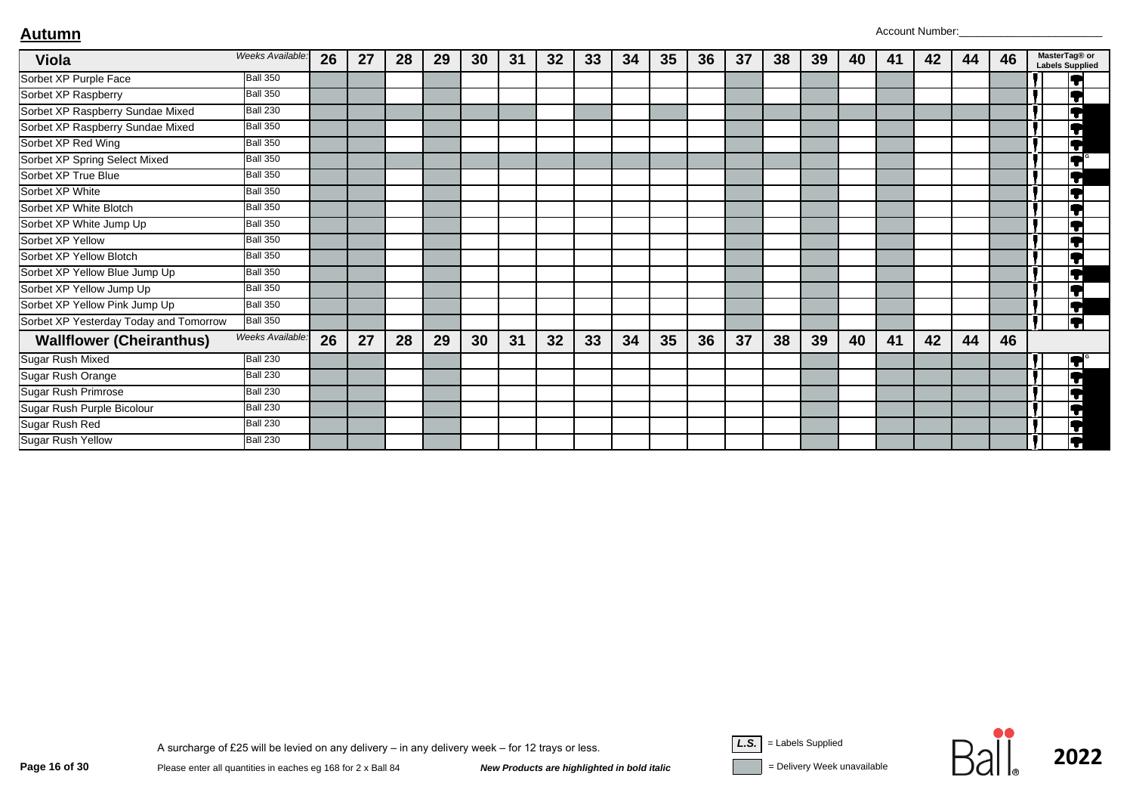| <b>Viola</b>                           | Weeks Available:        | 26 | 27 | 28 | 29 | 30 | 31 | 32 | 33 | 34 | 35 | 36 | 37 | 38 | 39 | 40 | 41 | 42 | 44 | 46 | MasterTag® or<br><b>Labels Supplied</b> |
|----------------------------------------|-------------------------|----|----|----|----|----|----|----|----|----|----|----|----|----|----|----|----|----|----|----|-----------------------------------------|
| Sorbet XP Purple Face                  | <b>Ball 350</b>         |    |    |    |    |    |    |    |    |    |    |    |    |    |    |    |    |    |    |    | lT                                      |
| Sorbet XP Raspberry                    | <b>Ball 350</b>         |    |    |    |    |    |    |    |    |    |    |    |    |    |    |    |    |    |    |    | IŦ                                      |
| Sorbet XP Raspberry Sundae Mixed       | <b>Ball 230</b>         |    |    |    |    |    |    |    |    |    |    |    |    |    |    |    |    |    |    |    | $\overline{\blacktriangledown}$         |
| Sorbet XP Raspberry Sundae Mixed       | <b>Ball 350</b>         |    |    |    |    |    |    |    |    |    |    |    |    |    |    |    |    |    |    |    | Į                                       |
| Sorbet XP Red Wing                     | <b>Ball 350</b>         |    |    |    |    |    |    |    |    |    |    |    |    |    |    |    |    |    |    |    | $\overline{\blacktriangledown}$         |
| Sorbet XP Spring Select Mixed          | <b>Ball 350</b>         |    |    |    |    |    |    |    |    |    |    |    |    |    |    |    |    |    |    |    | $\overline{\P}$                         |
| Sorbet XP True Blue                    | <b>Ball 350</b>         |    |    |    |    |    |    |    |    |    |    |    |    |    |    |    |    |    |    |    | ĮŢ                                      |
| Sorbet XP White                        | <b>Ball 350</b>         |    |    |    |    |    |    |    |    |    |    |    |    |    |    |    |    |    |    |    | ĮŢ                                      |
| Sorbet XP White Blotch                 | <b>Ball 350</b>         |    |    |    |    |    |    |    |    |    |    |    |    |    |    |    |    |    |    |    | $\overline{\bullet}$                    |
| Sorbet XP White Jump Up                | <b>Ball 350</b>         |    |    |    |    |    |    |    |    |    |    |    |    |    |    |    |    |    |    |    | ٦.                                      |
| Sorbet XP Yellow                       | <b>Ball 350</b>         |    |    |    |    |    |    |    |    |    |    |    |    |    |    |    |    |    |    |    | ٦                                       |
| Sorbet XP Yellow Blotch                | <b>Ball 350</b>         |    |    |    |    |    |    |    |    |    |    |    |    |    |    |    |    |    |    |    | ГJ                                      |
| Sorbet XP Yellow Blue Jump Up          | <b>Ball 350</b>         |    |    |    |    |    |    |    |    |    |    |    |    |    |    |    |    |    |    |    | Į                                       |
| Sorbet XP Yellow Jump Up               | <b>Ball 350</b>         |    |    |    |    |    |    |    |    |    |    |    |    |    |    |    |    |    |    |    | ĮT                                      |
| Sorbet XP Yellow Pink Jump Up          | <b>Ball 350</b>         |    |    |    |    |    |    |    |    |    |    |    |    |    |    |    |    |    |    |    | ĪŦ                                      |
| Sorbet XP Yesterday Today and Tomorrow | <b>Ball 350</b>         |    |    |    |    |    |    |    |    |    |    |    |    |    |    |    |    |    |    |    | ĪŢ                                      |
| <b>Wallflower (Cheiranthus)</b>        | <b>Weeks Available:</b> | 26 | 27 | 28 | 29 | 30 | 31 | 32 | 33 | 34 | 35 | 36 | 37 | 38 | 39 | 40 | 41 | 42 | 44 | 46 |                                         |
| Sugar Rush Mixed                       | <b>Ball 230</b>         |    |    |    |    |    |    |    |    |    |    |    |    |    |    |    |    |    |    |    | $\blacksquare$                          |
| Sugar Rush Orange                      | <b>Ball 230</b>         |    |    |    |    |    |    |    |    |    |    |    |    |    |    |    |    |    |    |    | F                                       |
| <b>Sugar Rush Primrose</b>             | <b>Ball 230</b>         |    |    |    |    |    |    |    |    |    |    |    |    |    |    |    |    |    |    |    | Ħ                                       |
| Sugar Rush Purple Bicolour             | <b>Ball 230</b>         |    |    |    |    |    |    |    |    |    |    |    |    |    |    |    |    |    |    |    | Ħ                                       |
| Sugar Rush Red                         | <b>Ball 230</b>         |    |    |    |    |    |    |    |    |    |    |    |    |    |    |    |    |    |    |    | ĪŦ                                      |
| Sugar Rush Yellow                      | <b>Ball 230</b>         |    |    |    |    |    |    |    |    |    |    |    |    |    |    |    |    |    |    |    | þ                                       |



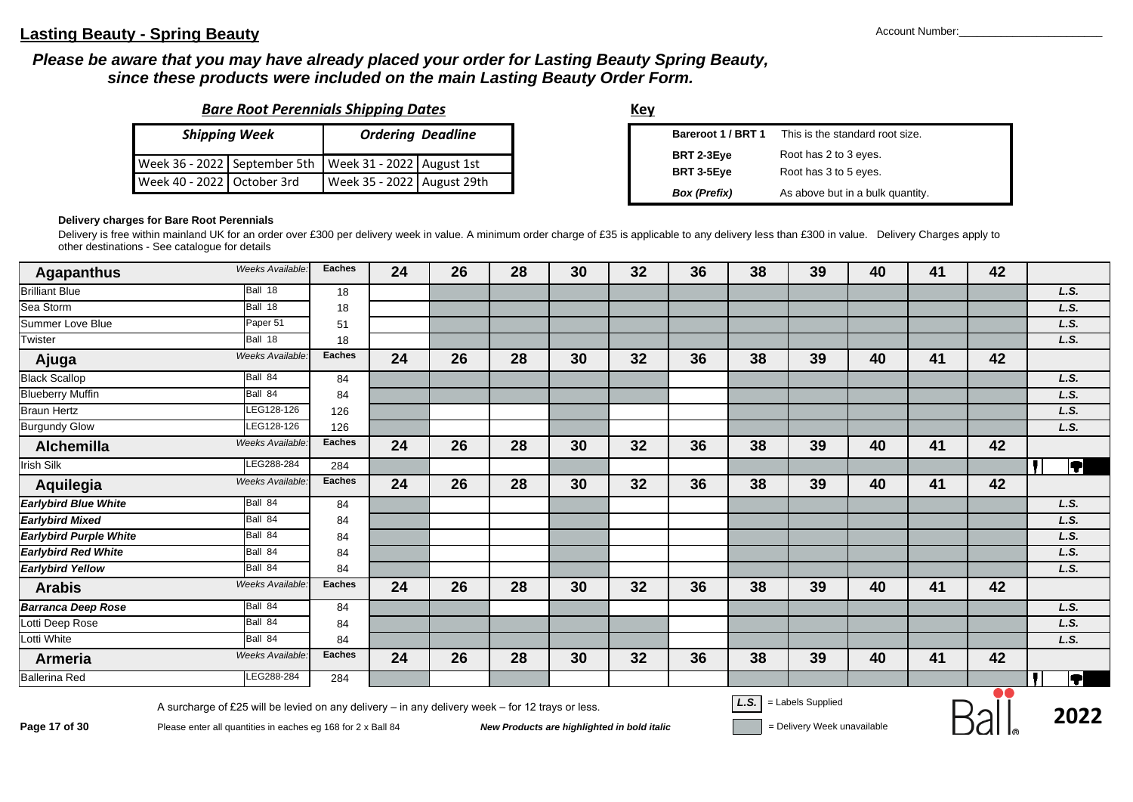#### **Lasting Beauty - Spring Beauty** Account Number:

#### *Please be aware that you may have already placed your order for Lasting Beauty Spring Beauty, since these products were included on the main Lasting Beauty Order Form.*

|  |  |  | <b>Bare Root Perennials Shipping Dates</b> |
|--|--|--|--------------------------------------------|
|  |  |  |                                            |

|                            | <b>Shipping Week</b> |                                                          | <b>Ordering Deadline</b> |
|----------------------------|----------------------|----------------------------------------------------------|--------------------------|
|                            |                      | Week 36 - 2022 September 5th   Week 31 - 2022 August 1st |                          |
| Week 40 - 2022 October 3rd |                      | Week 35 - 2022 August 29th                               |                          |

**Key**

| Bareroot 1 / BRT 1  | This is the standard root size.  |
|---------------------|----------------------------------|
| BRT 2-3Eye          | Root has 2 to 3 eyes.            |
| BRT 3-5Eye          | Root has 3 to 5 eyes.            |
| <b>Box</b> (Prefix) | As above but in a bulk quantity. |

#### **Delivery charges for Bare Root Perennials**

Delivery is free within mainland UK for an order over £300 per delivery week in value. A minimum order charge of £35 is applicable to any delivery less than £300 in value. Delivery Charges apply to other destinations - See catalogue for details

| <b>Agapanthus</b>             | Weeks Available: | <b>Eaches</b> | 24 | 26 | 28 | 30 | 32 | 36 | 38 | 39 | 40 | 41 | 42 |                         |
|-------------------------------|------------------|---------------|----|----|----|----|----|----|----|----|----|----|----|-------------------------|
| <b>Brilliant Blue</b>         | Ball 18          | 18            |    |    |    |    |    |    |    |    |    |    |    | L.S.                    |
| Sea Storm                     | Ball 18          | 18            |    |    |    |    |    |    |    |    |    |    |    | L.S.                    |
| Summer Love Blue              | Paper 51         | 51            |    |    |    |    |    |    |    |    |    |    |    | L.S.                    |
| Twister                       | Ball 18          | 18            |    |    |    |    |    |    |    |    |    |    |    | L.S.                    |
| Ajuga                         | Weeks Available: | <b>Eaches</b> | 24 | 26 | 28 | 30 | 32 | 36 | 38 | 39 | 40 | 41 | 42 |                         |
| <b>Black Scallop</b>          | Ball 84          | 84            |    |    |    |    |    |    |    |    |    |    |    | L.S.                    |
| <b>Blueberry Muffin</b>       | Ball 84          | 84            |    |    |    |    |    |    |    |    |    |    |    | L.S.                    |
| <b>Braun Hertz</b>            | LEG128-126       | 126           |    |    |    |    |    |    |    |    |    |    |    | L.S.                    |
| <b>Burgundy Glow</b>          | LEG128-126       | 126           |    |    |    |    |    |    |    |    |    |    |    | L.S.                    |
| <b>Alchemilla</b>             | Weeks Available: | Eaches        | 24 | 26 | 28 | 30 | 32 | 36 | 38 | 39 | 40 | 41 | 42 |                         |
| $Irish$ Silk                  | LEG288-284       | 284           |    |    |    |    |    |    |    |    |    |    |    | T                       |
| Aquilegia                     | Weeks Available: | <b>Eaches</b> | 24 | 26 | 28 | 30 | 32 | 36 | 38 | 39 | 40 | 41 | 42 |                         |
| <b>Earlybird Blue White</b>   | Ball 84          | 84            |    |    |    |    |    |    |    |    |    |    |    | L.S.                    |
| <b>Earlybird Mixed</b>        | Ball 84          | 84            |    |    |    |    |    |    |    |    |    |    |    | L.S.                    |
| <b>Earlybird Purple White</b> | Ball 84          | 84            |    |    |    |    |    |    |    |    |    |    |    | L.S.                    |
| <b>Earlybird Red White</b>    | Ball 84          | 84            |    |    |    |    |    |    |    |    |    |    |    | L.S.                    |
| <b>Earlybird Yellow</b>       | Ball 84          | 84            |    |    |    |    |    |    |    |    |    |    |    | L.S.                    |
| <b>Arabis</b>                 | Weeks Available: | <b>Eaches</b> | 24 | 26 | 28 | 30 | 32 | 36 | 38 | 39 | 40 | 41 | 42 |                         |
| <b>Barranca Deep Rose</b>     | Ball 84          | 84            |    |    |    |    |    |    |    |    |    |    |    | L.S.                    |
| Lotti Deep Rose               | Ball 84          | 84            |    |    |    |    |    |    |    |    |    |    |    | L.S.                    |
| Lotti White                   | Ball 84          | 84            |    |    |    |    |    |    |    |    |    |    |    | L.S.                    |
| <b>Armeria</b>                | Weeks Available: | <b>Eaches</b> | 24 | 26 | 28 | 30 | 32 | 36 | 38 | 39 | 40 | 41 | 42 |                         |
| <b>Ballerina Red</b>          | LEG288-284       | 284           |    |    |    |    |    |    |    |    |    |    |    | $\overline{\textbf{P}}$ |

A surcharge of £25 will be levied on any delivery – in any delivery week – for 12 trays or less.<br>Page 17 of 30 Please enter all quantities in eaches eg 168 for 2 x Ball 84 New Products are highlighted in bold italic = Del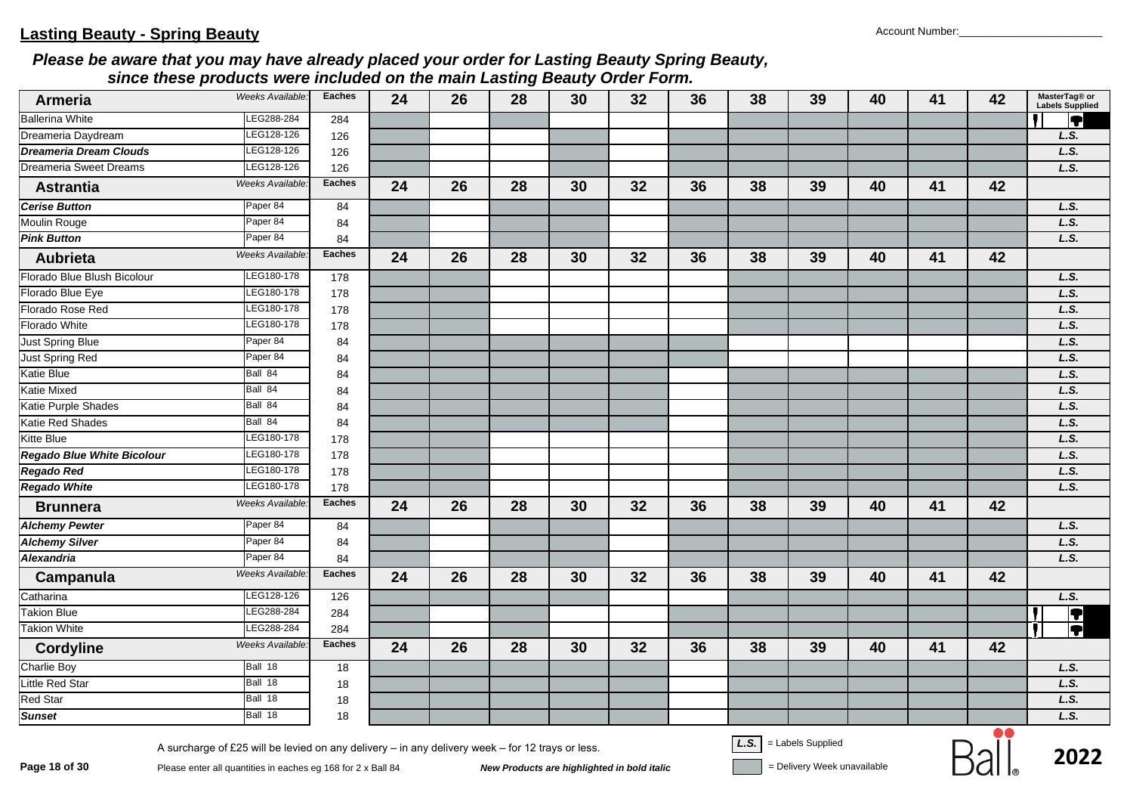| <b>Armeria</b>                    | Weeks Available: | <b>Eaches</b> | 24 | 26 | 28 | 30 | 32 | 36 | 38 | 39 | 40 | 41 | 42 | MasterTag® or<br><b>Labels Supplied</b> |
|-----------------------------------|------------------|---------------|----|----|----|----|----|----|----|----|----|----|----|-----------------------------------------|
| <b>Ballerina White</b>            | LEG288-284       | 284           |    |    |    |    |    |    |    |    |    |    |    | ĪT                                      |
| Dreameria Daydream                | LEG128-126       | 126           |    |    |    |    |    |    |    |    |    |    |    | L.S.                                    |
| <b>Dreameria Dream Clouds</b>     | LEG128-126       | 126           |    |    |    |    |    |    |    |    |    |    |    | L.S.                                    |
| <b>Dreameria Sweet Dreams</b>     | LEG128-126       | 126           |    |    |    |    |    |    |    |    |    |    |    | L.S.                                    |
| <b>Astrantia</b>                  | Weeks Available: | <b>Eaches</b> | 24 | 26 | 28 | 30 | 32 | 36 | 38 | 39 | 40 | 41 | 42 |                                         |
| <b>Cerise Button</b>              | Paper 84         | 84            |    |    |    |    |    |    |    |    |    |    |    | L.S.                                    |
| Moulin Rouge                      | Paper 84         | 84            |    |    |    |    |    |    |    |    |    |    |    | L.S.                                    |
| <b>Pink Button</b>                | Paper 84         | 84            |    |    |    |    |    |    |    |    |    |    |    | L.S.                                    |
| <b>Aubrieta</b>                   | Weeks Available. | <b>Eaches</b> | 24 | 26 | 28 | 30 | 32 | 36 | 38 | 39 | 40 | 41 | 42 |                                         |
| Florado Blue Blush Bicolour       | LEG180-178       | 178           |    |    |    |    |    |    |    |    |    |    |    | L.S.                                    |
| Florado Blue Eye                  | LEG180-178       | 178           |    |    |    |    |    |    |    |    |    |    |    | L.S.                                    |
| Florado Rose Red                  | LEG180-178       | 178           |    |    |    |    |    |    |    |    |    |    |    | L.S.                                    |
| Florado White                     | LEG180-178       | 178           |    |    |    |    |    |    |    |    |    |    |    | L.S.                                    |
| Just Spring Blue                  | Paper 84         | 84            |    |    |    |    |    |    |    |    |    |    |    | L.S.                                    |
| Just Spring Red                   | Paper 84         | 84            |    |    |    |    |    |    |    |    |    |    |    | L.S.                                    |
| <b>Katie Blue</b>                 | Ball 84          | 84            |    |    |    |    |    |    |    |    |    |    |    | L.S.                                    |
| <b>Katie Mixed</b>                | Ball 84          | 84            |    |    |    |    |    |    |    |    |    |    |    | L.S.                                    |
| Katie Purple Shades               | Ball 84          | 84            |    |    |    |    |    |    |    |    |    |    |    | L.S.                                    |
| Katie Red Shades                  | Ball 84          | 84            |    |    |    |    |    |    |    |    |    |    |    | L.S.                                    |
| <b>Kitte Blue</b>                 | LEG180-178       | 178           |    |    |    |    |    |    |    |    |    |    |    | L.S.                                    |
| <b>Regado Blue White Bicolour</b> | LEG180-178       | 178           |    |    |    |    |    |    |    |    |    |    |    | L.S.                                    |
| <b>Regado Red</b>                 | LEG180-178       | 178           |    |    |    |    |    |    |    |    |    |    |    | L.S.                                    |
| <b>Regado White</b>               | LEG180-178       | 178           |    |    |    |    |    |    |    |    |    |    |    | L.S.                                    |
| <b>Brunnera</b>                   | Weeks Available: | <b>Eaches</b> | 24 | 26 | 28 | 30 | 32 | 36 | 38 | 39 | 40 | 41 | 42 |                                         |
| <b>Alchemy Pewter</b>             | Paper 84         | 84            |    |    |    |    |    |    |    |    |    |    |    | L.S.                                    |
| <b>Alchemy Silver</b>             | Paper 84         | 84            |    |    |    |    |    |    |    |    |    |    |    | L.S.                                    |
| Alexandria                        | Paper 84         | 84            |    |    |    |    |    |    |    |    |    |    |    | L.S.                                    |
| Campanula                         | Weeks Available: | <b>Eaches</b> | 24 | 26 | 28 | 30 | 32 | 36 | 38 | 39 | 40 | 41 | 42 |                                         |
| Catharina                         | LEG128-126       | 126           |    |    |    |    |    |    |    |    |    |    |    | L.S.                                    |
| <b>Takion Blue</b>                | LEG288-284       | 284           |    |    |    |    |    |    |    |    |    |    |    |                                         |
| <b>Takion White</b>               | LEG288-284       | 284           |    |    |    |    |    |    |    |    |    |    |    | $\overline{\bm{E}}$<br>,                |
| <b>Cordyline</b>                  | Weeks Available. | <b>Eaches</b> | 24 | 26 | 28 | 30 | 32 | 36 | 38 | 39 | 40 | 41 | 42 |                                         |
| <b>Charlie Boy</b>                | Ball 18          | 18            |    |    |    |    |    |    |    |    |    |    |    | L.S.                                    |
| Little Red Star                   | Ball 18          | 18            |    |    |    |    |    |    |    |    |    |    |    | L.S.                                    |
| <b>Red Star</b>                   | Ball 18          | 18            |    |    |    |    |    |    |    |    |    |    |    | L.S.                                    |
| <b>Sunset</b>                     | Ball 18          | 18            |    |    |    |    |    |    |    |    |    |    |    | L.S.                                    |

**Page 18 of 30**<br>Please enter all quantities in eaches eg 168 for 2 x Ball 84<br>New Products are highlighted in bold italic **Devertion Sell and Supplied** Polivery Week unavailable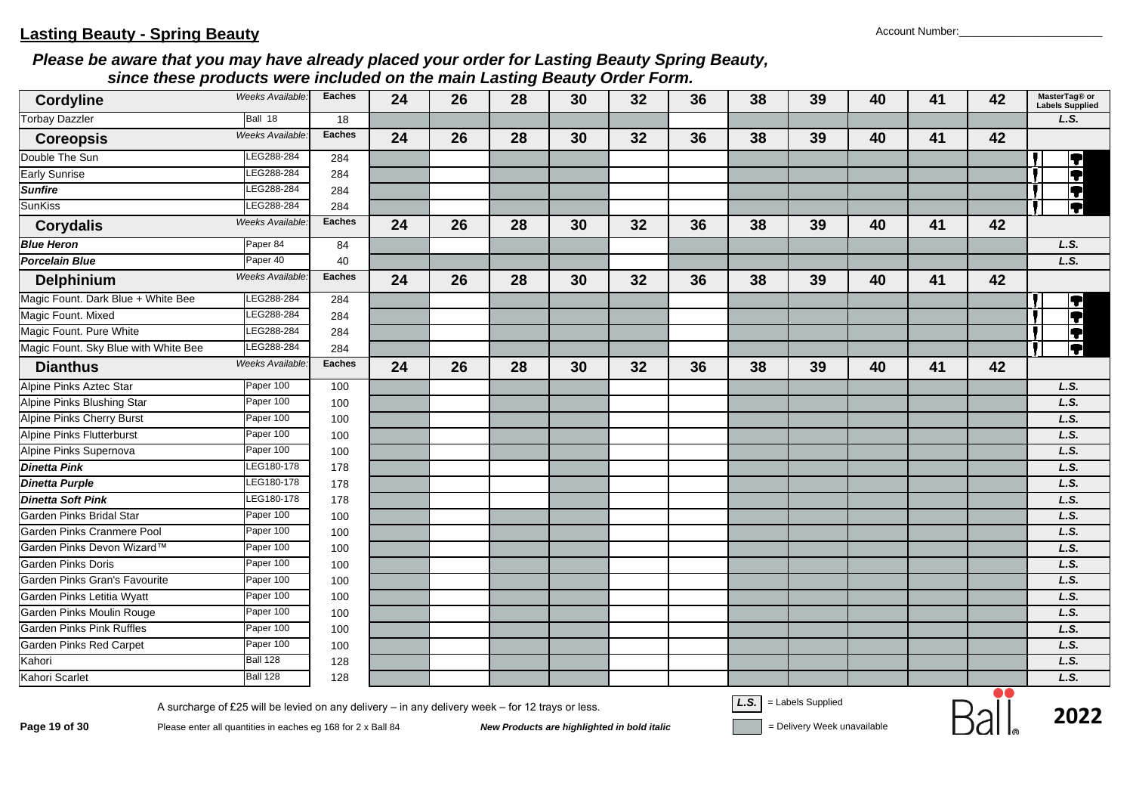| $\overline{\phantom{a}}$<br><b>Cordyline</b> | Weeks Available:                                                                                                                                                 | <b>Eaches</b> | 24 | 26 | 28                                          | 30 | 32 | 36 | 38   | 39                                               | 40 | 41 | 42 | MasterTag® or<br><b>Labels Supplied</b> |
|----------------------------------------------|------------------------------------------------------------------------------------------------------------------------------------------------------------------|---------------|----|----|---------------------------------------------|----|----|----|------|--------------------------------------------------|----|----|----|-----------------------------------------|
| <b>Torbay Dazzler</b>                        | Ball 18                                                                                                                                                          | 18            |    |    |                                             |    |    |    |      |                                                  |    |    |    | L.S.                                    |
| <b>Coreopsis</b>                             | Weeks Available:                                                                                                                                                 | <b>Eaches</b> | 24 | 26 | 28                                          | 30 | 32 | 36 | 38   | 39                                               | 40 | 41 | 42 |                                         |
| Double The Sun                               | LEG288-284                                                                                                                                                       | 284           |    |    |                                             |    |    |    |      |                                                  |    |    |    |                                         |
| <b>Early Sunrise</b>                         | EG288-284                                                                                                                                                        | 284           |    |    |                                             |    |    |    |      |                                                  |    |    |    |                                         |
| <b>Sunfire</b>                               | EG288-284                                                                                                                                                        | 284           |    |    |                                             |    |    |    |      |                                                  |    |    |    |                                         |
| SunKiss                                      | LEG288-284                                                                                                                                                       | 284           |    |    |                                             |    |    |    |      |                                                  |    |    |    | <u>elelele</u>                          |
| <b>Corydalis</b>                             | Weeks Available.                                                                                                                                                 | <b>Eaches</b> | 24 | 26 | 28                                          | 30 | 32 | 36 | 38   | 39                                               | 40 | 41 | 42 |                                         |
| <b>Blue Heron</b>                            | Paper 84                                                                                                                                                         | 84            |    |    |                                             |    |    |    |      |                                                  |    |    |    | L.S.                                    |
| <b>Porcelain Blue</b>                        | Paper 40                                                                                                                                                         | 40            |    |    |                                             |    |    |    |      |                                                  |    |    |    | L.S.                                    |
| <b>Delphinium</b>                            | Weeks Available.                                                                                                                                                 | <b>Eaches</b> | 24 | 26 | 28                                          | 30 | 32 | 36 | 38   | 39                                               | 40 | 41 | 42 |                                         |
| Magic Fount. Dark Blue + White Bee           | LEG288-284                                                                                                                                                       | 284           |    |    |                                             |    |    |    |      |                                                  |    |    |    | 7                                       |
| Magic Fount. Mixed                           | LEG288-284                                                                                                                                                       | 284           |    |    |                                             |    |    |    |      |                                                  |    |    |    | Ħ                                       |
| Magic Fount. Pure White                      | LEG288-284                                                                                                                                                       | 284           |    |    |                                             |    |    |    |      |                                                  |    |    |    |                                         |
| Magic Fount. Sky Blue with White Bee         | LEG288-284                                                                                                                                                       | 284           |    |    |                                             |    |    |    |      |                                                  |    |    |    | İT.                                     |
| <b>Dianthus</b>                              | Weeks Available                                                                                                                                                  | <b>Eaches</b> | 24 | 26 | 28                                          | 30 | 32 | 36 | 38   | 39                                               | 40 | 41 | 42 |                                         |
| Alpine Pinks Aztec Star                      | Paper 100                                                                                                                                                        | 100           |    |    |                                             |    |    |    |      |                                                  |    |    |    | L.S.                                    |
| Alpine Pinks Blushing Star                   | Paper 100                                                                                                                                                        | 100           |    |    |                                             |    |    |    |      |                                                  |    |    |    | L.S.                                    |
| <b>Alpine Pinks Cherry Burst</b>             | Paper 100                                                                                                                                                        | 100           |    |    |                                             |    |    |    |      |                                                  |    |    |    | L.S.                                    |
| <b>Alpine Pinks Flutterburst</b>             | Paper 100                                                                                                                                                        | 100           |    |    |                                             |    |    |    |      |                                                  |    |    |    | L.S.                                    |
| Alpine Pinks Supernova                       | Paper 100                                                                                                                                                        | 100           |    |    |                                             |    |    |    |      |                                                  |    |    |    | L.S.                                    |
| <b>Dinetta Pink</b>                          | LEG180-178                                                                                                                                                       | 178           |    |    |                                             |    |    |    |      |                                                  |    |    |    | L.S.                                    |
| <b>Dinetta Purple</b>                        | LEG180-178                                                                                                                                                       | 178           |    |    |                                             |    |    |    |      |                                                  |    |    |    | L.S.                                    |
| <b>Dinetta Soft Pink</b>                     | LEG180-178                                                                                                                                                       | 178           |    |    |                                             |    |    |    |      |                                                  |    |    |    | L.S.                                    |
| Garden Pinks Bridal Star                     | Paper 100                                                                                                                                                        | 100           |    |    |                                             |    |    |    |      |                                                  |    |    |    | L.S.                                    |
| Garden Pinks Cranmere Pool                   | Paper 100                                                                                                                                                        | 100           |    |    |                                             |    |    |    |      |                                                  |    |    |    | L.S.                                    |
| Garden Pinks Devon Wizard™                   | Paper 100                                                                                                                                                        | 100           |    |    |                                             |    |    |    |      |                                                  |    |    |    | L.S.                                    |
| <b>Garden Pinks Doris</b>                    | Paper 100                                                                                                                                                        | 100           |    |    |                                             |    |    |    |      |                                                  |    |    |    | L.S.                                    |
| Garden Pinks Gran's Favourite                | Paper 100                                                                                                                                                        | 100           |    |    |                                             |    |    |    |      |                                                  |    |    |    | L.S.                                    |
| Garden Pinks Letitia Wyatt                   | Paper 100                                                                                                                                                        | 100           |    |    |                                             |    |    |    |      |                                                  |    |    |    | L.S.                                    |
| Garden Pinks Moulin Rouge                    | Paper 100                                                                                                                                                        | 100           |    |    |                                             |    |    |    |      |                                                  |    |    |    | L.S.                                    |
| <b>Garden Pinks Pink Ruffles</b>             | Paper 100                                                                                                                                                        | 100           |    |    |                                             |    |    |    |      |                                                  |    |    |    | L.S.                                    |
| <b>Garden Pinks Red Carpet</b>               | Paper 100                                                                                                                                                        | 100           |    |    |                                             |    |    |    |      |                                                  |    |    |    | L.S.                                    |
| Kahori                                       | <b>Ball 128</b>                                                                                                                                                  | 128           |    |    |                                             |    |    |    |      |                                                  |    |    |    | L.S.                                    |
| Kahori Scarlet                               | <b>Ball 128</b>                                                                                                                                                  | 128           |    |    |                                             |    |    |    |      |                                                  |    |    |    | L.S.                                    |
| Page 19 of 30                                | A surcharge of £25 will be levied on any delivery - in any delivery week - for 12 trays or less.<br>Please enter all quantities in eaches eg 168 for 2 x Ball 84 |               |    |    | New Products are highlighted in bold italic |    |    |    | L.S. | = Labels Supplied<br>= Delivery Week unavailable |    |    |    | 2022                                    |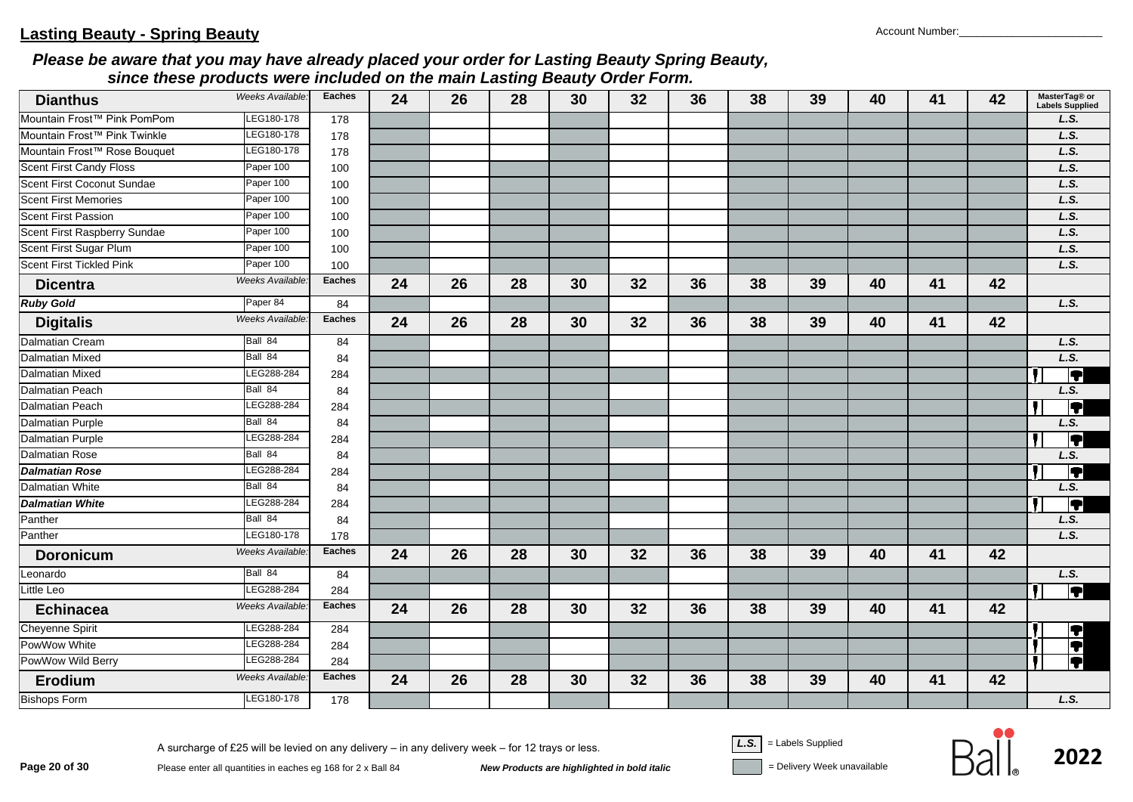| <b>Dianthus</b>                     | Weeks Available: | <b>Eaches</b> | 24 | 26 | 28 | 30 | 32 | 36 | 38 | 39 | 40 | 41 | 42 | MasterTag® or<br>Labels Supplied |
|-------------------------------------|------------------|---------------|----|----|----|----|----|----|----|----|----|----|----|----------------------------------|
| Mountain Frost™ Pink PomPom         | LEG180-178       | 178           |    |    |    |    |    |    |    |    |    |    |    | L.S.                             |
| Mountain Frost™ Pink Twinkle        | LEG180-178       | 178           |    |    |    |    |    |    |    |    |    |    |    | L.S.                             |
| Mountain Frost™ Rose Bouquet        | LEG180-178       | 178           |    |    |    |    |    |    |    |    |    |    |    | L.S.                             |
| <b>Scent First Candy Floss</b>      | Paper 100        | 100           |    |    |    |    |    |    |    |    |    |    |    | L.S.                             |
| Scent First Coconut Sundae          | Paper 100        | 100           |    |    |    |    |    |    |    |    |    |    |    | L.S.                             |
| <b>Scent First Memories</b>         | Paper 100        | 100           |    |    |    |    |    |    |    |    |    |    |    | L.S.                             |
| <b>Scent First Passion</b>          | Paper 100        | 100           |    |    |    |    |    |    |    |    |    |    |    | L.S.                             |
| <b>Scent First Raspberry Sundae</b> | Paper 100        | 100           |    |    |    |    |    |    |    |    |    |    |    | L.S.                             |
| Scent First Sugar Plum              | Paper 100        | 100           |    |    |    |    |    |    |    |    |    |    |    | L.S.                             |
| <b>Scent First Tickled Pink</b>     | Paper 100        | 100           |    |    |    |    |    |    |    |    |    |    |    | L.S.                             |
| <b>Dicentra</b>                     | Weeks Available: | <b>Eaches</b> | 24 | 26 | 28 | 30 | 32 | 36 | 38 | 39 | 40 | 41 | 42 |                                  |
| <b>Ruby Gold</b>                    | Paper 84         | 84            |    |    |    |    |    |    |    |    |    |    |    | L.S.                             |
| <b>Digitalis</b>                    | Weeks Available: | <b>Eaches</b> | 24 | 26 | 28 | 30 | 32 | 36 | 38 | 39 | 40 | 41 | 42 |                                  |
| <b>Dalmatian Cream</b>              | Ball 84          | 84            |    |    |    |    |    |    |    |    |    |    |    | L.S.                             |
| <b>Dalmatian Mixed</b>              | Ball 84          | 84            |    |    |    |    |    |    |    |    |    |    |    | L.S.                             |
| <b>Dalmatian Mixed</b>              | LEG288-284       | 284           |    |    |    |    |    |    |    |    |    |    |    | Ţ                                |
| <b>Dalmatian Peach</b>              | Ball 84          | 84            |    |    |    |    |    |    |    |    |    |    |    | L.S.                             |
| <b>Dalmatian Peach</b>              | LEG288-284       | 284           |    |    |    |    |    |    |    |    |    |    |    | T                                |
| <b>Dalmatian Purple</b>             | Ball 84          | 84            |    |    |    |    |    |    |    |    |    |    |    | L.S.                             |
| <b>Dalmatian Purple</b>             | LEG288-284       | 284           |    |    |    |    |    |    |    |    |    |    |    | T                                |
| <b>Dalmatian Rose</b>               | Ball 84          | 84            |    |    |    |    |    |    |    |    |    |    |    | L.S.                             |
| <b>Dalmatian Rose</b>               | LEG288-284       | 284           |    |    |    |    |    |    |    |    |    |    |    | F                                |
| <b>Dalmatian White</b>              | Ball 84          | 84            |    |    |    |    |    |    |    |    |    |    |    | L.S.                             |
| <b>Dalmatian White</b>              | LEG288-284       | 284           |    |    |    |    |    |    |    |    |    |    |    | 4                                |
| Panther                             | Ball 84          | 84            |    |    |    |    |    |    |    |    |    |    |    | L.S.                             |
| Panther                             | LEG180-178       | 178           |    |    |    |    |    |    |    |    |    |    |    | L.S.                             |
| <b>Doronicum</b>                    | Weeks Available: | <b>Eaches</b> | 24 | 26 | 28 | 30 | 32 | 36 | 38 | 39 | 40 | 41 | 42 |                                  |
| Leonardo                            | Ball 84          | 84            |    |    |    |    |    |    |    |    |    |    |    | L.S.                             |
| <b>Little Leo</b>                   | LEG288-284       | 284           |    |    |    |    |    |    |    |    |    |    |    | $\overline{\textbf{P}}$          |
| <b>Echinacea</b>                    | Weeks Available: | <b>Eaches</b> | 24 | 26 | 28 | 30 | 32 | 36 | 38 | 39 | 40 | 41 | 42 |                                  |
| Cheyenne Spirit                     | LEG288-284       | 284           |    |    |    |    |    |    |    |    |    |    |    |                                  |
| PowWow White                        | LEG288-284       | 284           |    |    |    |    |    |    |    |    |    |    |    | i ji                             |
| PowWow Wild Berry                   | LEG288-284       | 284           |    |    |    |    |    |    |    |    |    |    |    | Ō<br>T                           |
| Erodium                             | Weeks Available: | <b>Eaches</b> | 24 | 26 | 28 | 30 | 32 | 36 | 38 | 39 | 40 | 41 | 42 |                                  |
| <b>Bishops Form</b>                 | LEG180-178       | 178           |    |    |    |    |    |    |    |    |    |    |    | L.S.                             |

**Page 20 of 30**<br>Please enter all quantities in eaches eg 168 for 2 x Ball 84<br>**New Products are highlighted in bold italic** and **italic** Delivery Week unavailable

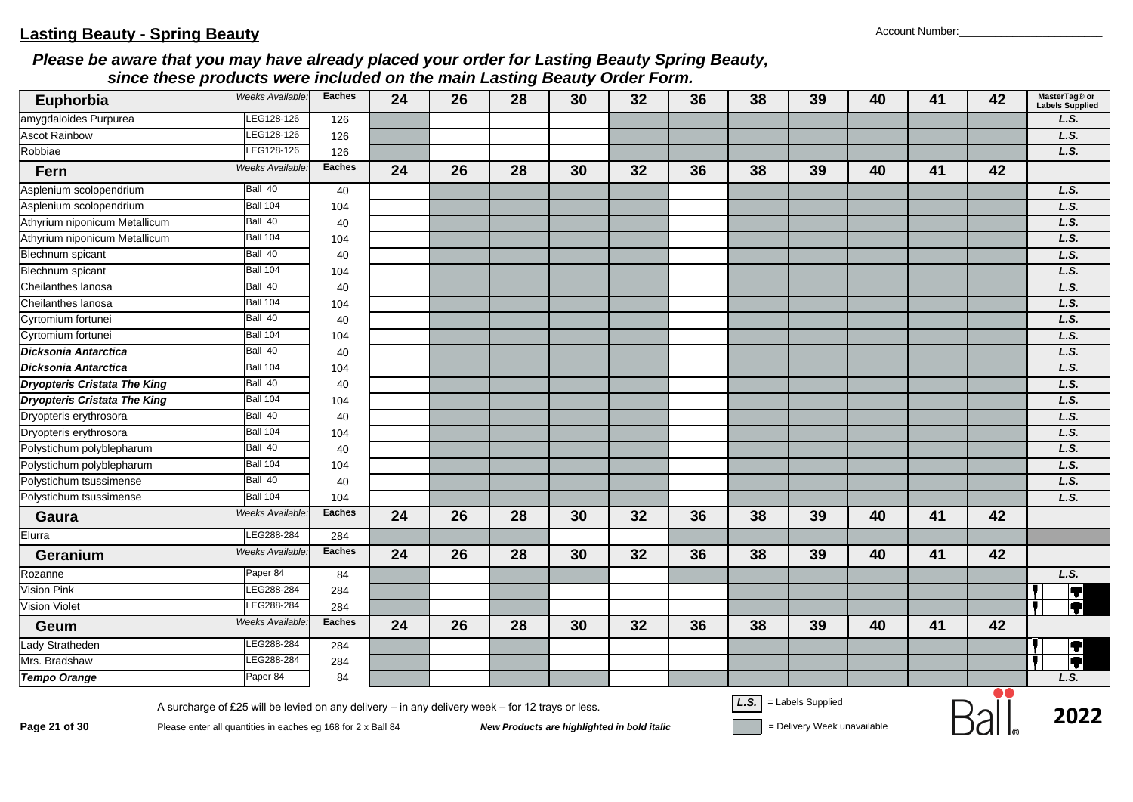| Euphorbia                           | Weeks Available.       | <b>Eaches</b> | 24 | 26 | 28 | 30 | 32 | 36 | 38 | 39 | 40 | 41 | 42                       | MasterTag® or<br><b>Labels Supplied</b> |
|-------------------------------------|------------------------|---------------|----|----|----|----|----|----|----|----|----|----|--------------------------|-----------------------------------------|
| amygdaloides Purpurea               | LEG128-126             | 126           |    |    |    |    |    |    |    |    |    |    |                          | L.S.                                    |
| <b>Ascot Rainbow</b>                | LEG128-126             | 126           |    |    |    |    |    |    |    |    |    |    |                          | L.S.                                    |
| Robbiae                             | LEG128-126             | 126           |    |    |    |    |    |    |    |    |    |    |                          | L.S.                                    |
| Fern                                | Weeks Available:       | <b>Eaches</b> | 24 | 26 | 28 | 30 | 32 | 36 | 38 | 39 | 40 | 41 | 42                       |                                         |
| Asplenium scolopendrium             | Ball 40                | 40            |    |    |    |    |    |    |    |    |    |    |                          | L.S.                                    |
| Asplenium scolopendrium             | <b>Ball 104</b>        | 104           |    |    |    |    |    |    |    |    |    |    |                          | L.S.                                    |
| Athyrium niponicum Metallicum       | Ball 40                | 40            |    |    |    |    |    |    |    |    |    |    |                          | L.S.                                    |
| Athyrium niponicum Metallicum       | <b>Ball 104</b>        | 104           |    |    |    |    |    |    |    |    |    |    |                          | L.S.                                    |
| Blechnum spicant                    | Ball 40                | 40            |    |    |    |    |    |    |    |    |    |    |                          | L.S.                                    |
| <b>Blechnum</b> spicant             | <b>Ball 104</b>        | 104           |    |    |    |    |    |    |    |    |    |    |                          | L.S.                                    |
| Cheilanthes lanosa                  | Ball 40                | 40            |    |    |    |    |    |    |    |    |    |    |                          | L.S.                                    |
| Cheilanthes lanosa                  | <b>Ball 104</b>        | 104           |    |    |    |    |    |    |    |    |    |    |                          | L.S.                                    |
| Cyrtomium fortunei                  | Ball 40                | 40            |    |    |    |    |    |    |    |    |    |    |                          | L.S.                                    |
| Cyrtomium fortunei                  | <b>Ball 104</b>        | 104           |    |    |    |    |    |    |    |    |    |    |                          | L.S.                                    |
| Dicksonia Antarctica                | Ball 40                | 40            |    |    |    |    |    |    |    |    |    |    |                          | L.S.                                    |
| <b>Dicksonia Antarctica</b>         | <b>Ball 104</b>        | 104           |    |    |    |    |    |    |    |    |    |    |                          | L.S.                                    |
| <b>Dryopteris Cristata The King</b> | Ball 40                | 40            |    |    |    |    |    |    |    |    |    |    |                          | L.S.                                    |
| <b>Dryopteris Cristata The King</b> | <b>Ball 104</b>        | 104           |    |    |    |    |    |    |    |    |    |    |                          | L.S.                                    |
| Dryopteris erythrosora              | Ball 40                | 40            |    |    |    |    |    |    |    |    |    |    |                          | L.S.                                    |
| Dryopteris erythrosora              | <b>Ball 104</b>        | 104           |    |    |    |    |    |    |    |    |    |    |                          | L.S.                                    |
| Polystichum polyblepharum           | Ball 40                | 40            |    |    |    |    |    |    |    |    |    |    |                          | L.S.                                    |
| Polystichum polyblepharum           | <b>Ball 104</b>        | 104           |    |    |    |    |    |    |    |    |    |    |                          | L.S.                                    |
| Polystichum tsussimense             | Ball 40                | 40            |    |    |    |    |    |    |    |    |    |    |                          | L.S.                                    |
| Polystichum tsussimense             | <b>Ball 104</b>        | 104           |    |    |    |    |    |    |    |    |    |    |                          | L.S.                                    |
| Gaura                               | Weeks Available        | <b>Eaches</b> | 24 | 26 | 28 | 30 | 32 | 36 | 38 | 39 | 40 | 41 | 42                       |                                         |
| Elurra                              | LEG288-284             | 284           |    |    |    |    |    |    |    |    |    |    |                          |                                         |
| Geranium                            | <b>Weeks Available</b> | <b>Eaches</b> | 24 | 26 | 28 | 30 | 32 | 36 | 38 | 39 | 40 | 41 | 42                       |                                         |
| Rozanne                             | Paper 84               | 84            |    |    |    |    |    |    |    |    |    |    |                          | L.S.                                    |
| Vision Pink                         | LEG288-284             | 284           |    |    |    |    |    |    |    |    |    |    |                          | $\overline{\textbf{P}}$                 |
| <b>Vision Violet</b>                | EG288-284              | 284           |    |    |    |    |    |    |    |    |    |    |                          | ĪT                                      |
| Geum                                | Weeks Available        | <b>Eaches</b> | 24 | 26 | 28 | 30 | 32 | 36 | 38 | 39 | 40 | 41 | 42                       |                                         |
| Lady Stratheden                     | LEG288-284             | 284           |    |    |    |    |    |    |    |    |    |    |                          | $\overline{\textbf{1}}$                 |
| Mrs. Bradshaw                       | LEG288-284             | 284           |    |    |    |    |    |    |    |    |    |    |                          | $\blacksquare$                          |
| <b>Tempo Orange</b>                 | Paper 84               | 84            |    |    |    |    |    |    |    |    |    |    | $\overline{\phantom{a}}$ | L.S.                                    |

**Page 21 of 30**<br>Please enter all quantities in eaches eg 168 for 2 x Ball 84<br>New Products are highlighted in bold italic **Devertion Sell and Supplied** Polivery Week unavailable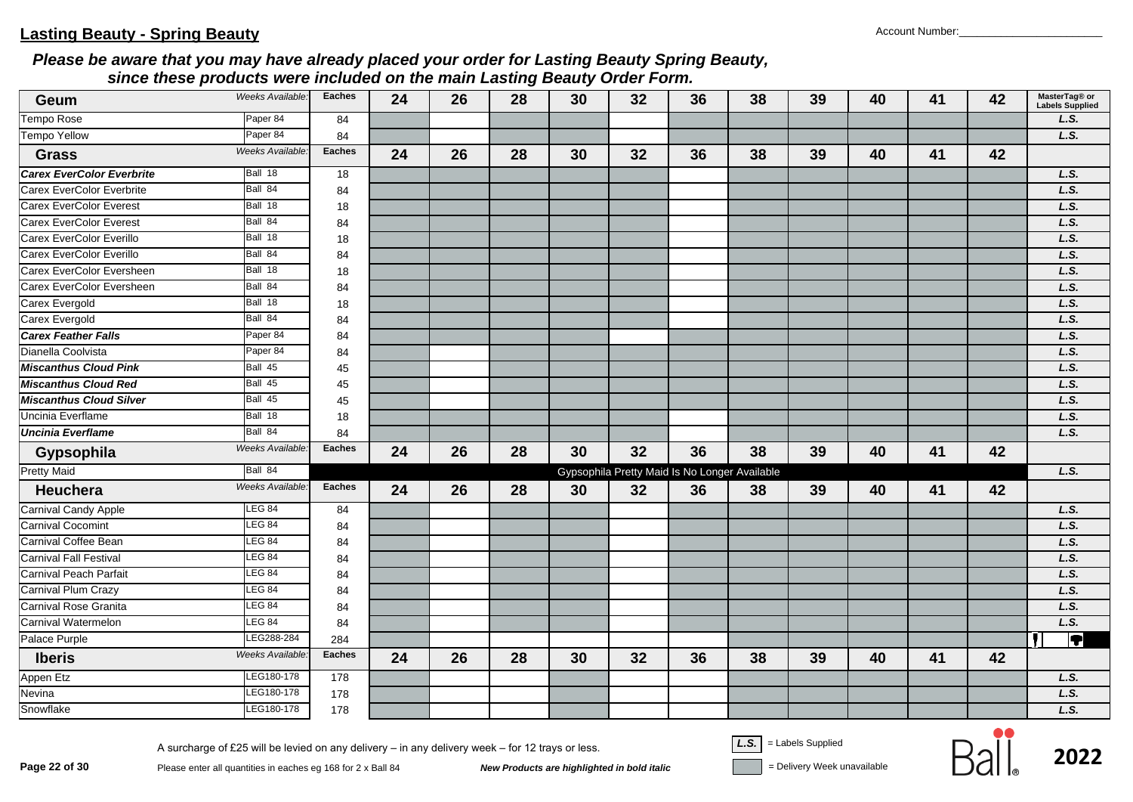| Geum                             | Weeks Available:       | <b>Eaches</b> | 24 | 26 | 28 | 30 | 32                                            | 36 | 38 | 39 | 40 | 41 | 42 | MasterTag® or<br>Labels Supplied |
|----------------------------------|------------------------|---------------|----|----|----|----|-----------------------------------------------|----|----|----|----|----|----|----------------------------------|
| Tempo Rose                       | Paper 84               | 84            |    |    |    |    |                                               |    |    |    |    |    |    | L.S.                             |
| <b>Tempo Yellow</b>              | Paper 84               | 84            |    |    |    |    |                                               |    |    |    |    |    |    | L.S.                             |
| <b>Grass</b>                     | Weeks Available.       | <b>Eaches</b> | 24 | 26 | 28 | 30 | 32                                            | 36 | 38 | 39 | 40 | 41 | 42 |                                  |
| <b>Carex EverColor Everbrite</b> | Ball 18                | 18            |    |    |    |    |                                               |    |    |    |    |    |    | L.S.                             |
| Carex EverColor Everbrite        | Ball 84                | 84            |    |    |    |    |                                               |    |    |    |    |    |    | L.S.                             |
| <b>Carex EverColor Everest</b>   | Ball 18                | 18            |    |    |    |    |                                               |    |    |    |    |    |    | L.S.                             |
| Carex EverColor Everest          | Ball 84                | 84            |    |    |    |    |                                               |    |    |    |    |    |    | L.S.                             |
| Carex EverColor Everillo         | Ball 18                | 18            |    |    |    |    |                                               |    |    |    |    |    |    | L.S.                             |
| Carex EverColor Everillo         | Ball 84                | 84            |    |    |    |    |                                               |    |    |    |    |    |    | L.S.                             |
| Carex EverColor Eversheen        | Ball 18                | 18            |    |    |    |    |                                               |    |    |    |    |    |    | L.S.                             |
| Carex EverColor Eversheen        | Ball 84                | 84            |    |    |    |    |                                               |    |    |    |    |    |    | L.S.                             |
| Carex Evergold                   | Ball 18                | 18            |    |    |    |    |                                               |    |    |    |    |    |    | L.S.                             |
| Carex Evergold                   | Ball 84                | 84            |    |    |    |    |                                               |    |    |    |    |    |    | L.S.                             |
| <b>Carex Feather Falls</b>       | Paper 84               | 84            |    |    |    |    |                                               |    |    |    |    |    |    | L.S.                             |
| Dianella Coolvista               | Paper 84               | 84            |    |    |    |    |                                               |    |    |    |    |    |    | L.S.                             |
| <b>Miscanthus Cloud Pink</b>     | Ball 45                | 45            |    |    |    |    |                                               |    |    |    |    |    |    | L.S.                             |
| <b>Miscanthus Cloud Red</b>      | Ball 45                | 45            |    |    |    |    |                                               |    |    |    |    |    |    | L.S.                             |
| <b>Miscanthus Cloud Silver</b>   | Ball 45                | 45            |    |    |    |    |                                               |    |    |    |    |    |    | L.S.                             |
| Uncinia Everflame                | Ball 18                | 18            |    |    |    |    |                                               |    |    |    |    |    |    | L.S.                             |
| <b>Uncinia Everflame</b>         | Ball 84                | 84            |    |    |    |    |                                               |    |    |    |    |    |    | L.S.                             |
| Gypsophila                       | Weeks Available.       | <b>Eaches</b> | 24 | 26 | 28 | 30 | 32                                            | 36 | 38 | 39 | 40 | 41 | 42 |                                  |
| <b>Pretty Maid</b>               | Ball 84                |               |    |    |    |    | Gypsophila Pretty Maid Is No Longer Available |    |    |    |    |    |    | L.S.                             |
| <b>Heuchera</b>                  | Weeks Available:       | <b>Eaches</b> | 24 | 26 | 28 | 30 | 32                                            | 36 | 38 | 39 | 40 | 41 | 42 |                                  |
| <b>Carnival Candy Apple</b>      | <b>LEG 84</b>          | 84            |    |    |    |    |                                               |    |    |    |    |    |    | L.S.                             |
| <b>Carnival Cocomint</b>         | LEG 84                 | 84            |    |    |    |    |                                               |    |    |    |    |    |    | L.S.                             |
| Carnival Coffee Bean             | LEG 84                 | 84            |    |    |    |    |                                               |    |    |    |    |    |    | L.S.                             |
| Carnival Fall Festival           | LEG 84                 | 84            |    |    |    |    |                                               |    |    |    |    |    |    | L.S.                             |
| <b>Carnival Peach Parfait</b>    | <b>LEG 84</b>          | 84            |    |    |    |    |                                               |    |    |    |    |    |    | L.S.                             |
| Carnival Plum Crazy              | LEG 84                 | 84            |    |    |    |    |                                               |    |    |    |    |    |    | L.S.                             |
| Carnival Rose Granita            | <b>LEG 84</b>          | 84            |    |    |    |    |                                               |    |    |    |    |    |    | L.S.                             |
| Carnival Watermelon              | <b>LEG 84</b>          | 84            |    |    |    |    |                                               |    |    |    |    |    |    | L.S.                             |
| Palace Purple                    | LEG288-284             | 284           |    |    |    |    |                                               |    |    |    |    |    |    | $\overline{\bm \P}$              |
| <b>Iberis</b>                    | <b>Weeks Available</b> | <b>Eaches</b> | 24 | 26 | 28 | 30 | 32                                            | 36 | 38 | 39 | 40 | 41 | 42 |                                  |
| Appen Etz                        | LEG180-178             | 178           |    |    |    |    |                                               |    |    |    |    |    |    | L.S.                             |
| Nevina                           | LEG180-178             | 178           |    |    |    |    |                                               |    |    |    |    |    |    | L.S.                             |
| Snowflake                        | LEG180-178             | 178           |    |    |    |    |                                               |    |    |    |    |    |    | L.S.                             |

**Page 22 of 30**<br>Please enter all quantities in eaches eg 168 for 2 x Ball 84<br>**New Products are highlighted in bold italic** and **italic** and italic and ite unavailable

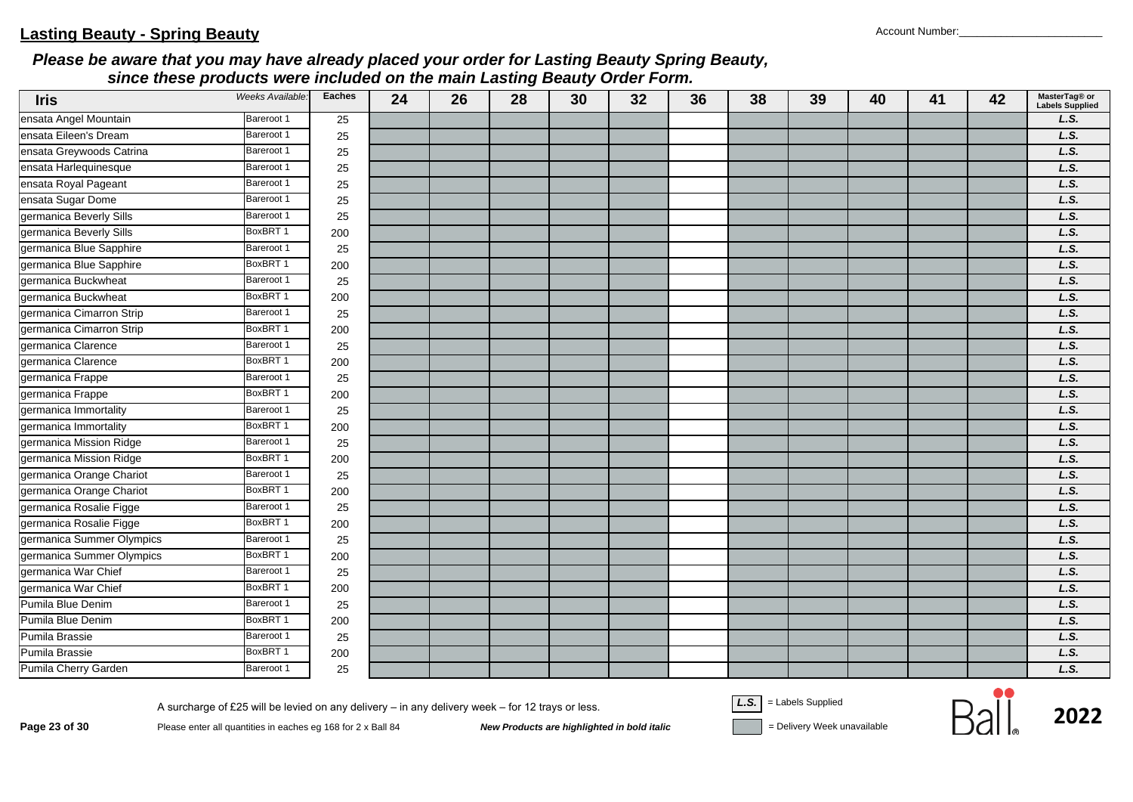| <b>Iris</b>               | Weeks Available: | <b>Eaches</b> | 24 | 26 | 28 | 30 | 32 | 36 | 38 | 39 | 40 | 41 | 42 | MasterTag® or<br><b>Labels Supplied</b> |
|---------------------------|------------------|---------------|----|----|----|----|----|----|----|----|----|----|----|-----------------------------------------|
| ensata Angel Mountain     | Bareroot 1       | 25            |    |    |    |    |    |    |    |    |    |    |    | L.S.                                    |
| ensata Eileen's Dream     | Bareroot 1       | 25            |    |    |    |    |    |    |    |    |    |    |    | L.S.                                    |
| ensata Greywoods Catrina  | Bareroot 1       | 25            |    |    |    |    |    |    |    |    |    |    |    | L.S.                                    |
| ensata Harlequinesque     | Bareroot 1       | 25            |    |    |    |    |    |    |    |    |    |    |    | L.S.                                    |
| ensata Royal Pageant      | Bareroot 1       | 25            |    |    |    |    |    |    |    |    |    |    |    | L.S.                                    |
| ensata Sugar Dome         | Bareroot 1       | 25            |    |    |    |    |    |    |    |    |    |    |    | L.S.                                    |
| germanica Beverly Sills   | Bareroot 1       | 25            |    |    |    |    |    |    |    |    |    |    |    | L.S.                                    |
| germanica Beverly Sills   | BoxBRT 1         | 200           |    |    |    |    |    |    |    |    |    |    |    | L.S.                                    |
| germanica Blue Sapphire   | Bareroot 1       | 25            |    |    |    |    |    |    |    |    |    |    |    | L.S.                                    |
| germanica Blue Sapphire   | BoxBRT 1         | 200           |    |    |    |    |    |    |    |    |    |    |    | L.S.                                    |
| germanica Buckwheat       | Bareroot 1       | 25            |    |    |    |    |    |    |    |    |    |    |    | L.S.                                    |
| germanica Buckwheat       | BoxBRT 1         | 200           |    |    |    |    |    |    |    |    |    |    |    | L.S.                                    |
| germanica Cimarron Strip  | Bareroot 1       | 25            |    |    |    |    |    |    |    |    |    |    |    | L.S.                                    |
| germanica Cimarron Strip  | BoxBRT 1         | 200           |    |    |    |    |    |    |    |    |    |    |    | L.S.                                    |
| germanica Clarence        | Bareroot 1       | 25            |    |    |    |    |    |    |    |    |    |    |    | L.S.                                    |
| germanica Clarence        | BoxBRT 1         | 200           |    |    |    |    |    |    |    |    |    |    |    | L.S.                                    |
| germanica Frappe          | Bareroot 1       | 25            |    |    |    |    |    |    |    |    |    |    |    | L.S.                                    |
| germanica Frappe          | BoxBRT 1         | 200           |    |    |    |    |    |    |    |    |    |    |    | L.S.                                    |
| germanica Immortality     | Bareroot 1       | 25            |    |    |    |    |    |    |    |    |    |    |    | L.S.                                    |
| germanica Immortality     | BoxBRT 1         | 200           |    |    |    |    |    |    |    |    |    |    |    | L.S.                                    |
| germanica Mission Ridge   | Bareroot 1       | 25            |    |    |    |    |    |    |    |    |    |    |    | L.S.                                    |
| germanica Mission Ridge   | BoxBRT 1         | 200           |    |    |    |    |    |    |    |    |    |    |    | L.S.                                    |
| germanica Orange Chariot  | Bareroot 1       | 25            |    |    |    |    |    |    |    |    |    |    |    | L.S.                                    |
| germanica Orange Chariot  | BoxBRT1          | 200           |    |    |    |    |    |    |    |    |    |    |    | L.S.                                    |
| germanica Rosalie Figge   | Bareroot 1       | 25            |    |    |    |    |    |    |    |    |    |    |    | L.S.                                    |
| germanica Rosalie Figge   | BoxBRT 1         | 200           |    |    |    |    |    |    |    |    |    |    |    | L.S.                                    |
| germanica Summer Olympics | Bareroot 1       | 25            |    |    |    |    |    |    |    |    |    |    |    | L.S.                                    |
| germanica Summer Olympics | BoxBRT1          | 200           |    |    |    |    |    |    |    |    |    |    |    | L.S.                                    |
| germanica War Chief       | Bareroot 1       | 25            |    |    |    |    |    |    |    |    |    |    |    | L.S.                                    |
| germanica War Chief       | BoxBRT 1         | 200           |    |    |    |    |    |    |    |    |    |    |    | L.S.                                    |
| Pumila Blue Denim         | Bareroot 1       | 25            |    |    |    |    |    |    |    |    |    |    |    | L.S.                                    |
| Pumila Blue Denim         | BoxBRT 1         | 200           |    |    |    |    |    |    |    |    |    |    |    | L.S.                                    |
| Pumila Brassie            | Bareroot 1       | 25            |    |    |    |    |    |    |    |    |    |    |    | L.S.                                    |
| Pumila Brassie            | BoxBRT 1         | 200           |    |    |    |    |    |    |    |    |    |    |    | L.S.                                    |
| Pumila Cherry Garden      | Bareroot 1       | 25            |    |    |    |    |    |    |    |    |    |    |    | L.S.                                    |

**Page 23 of 30**<br>Please enter all quantities in eaches eg 168 for 2 x Ball 84<br>**New Products are highlighted in bold italic** and **italic** Delivery Week unavailable

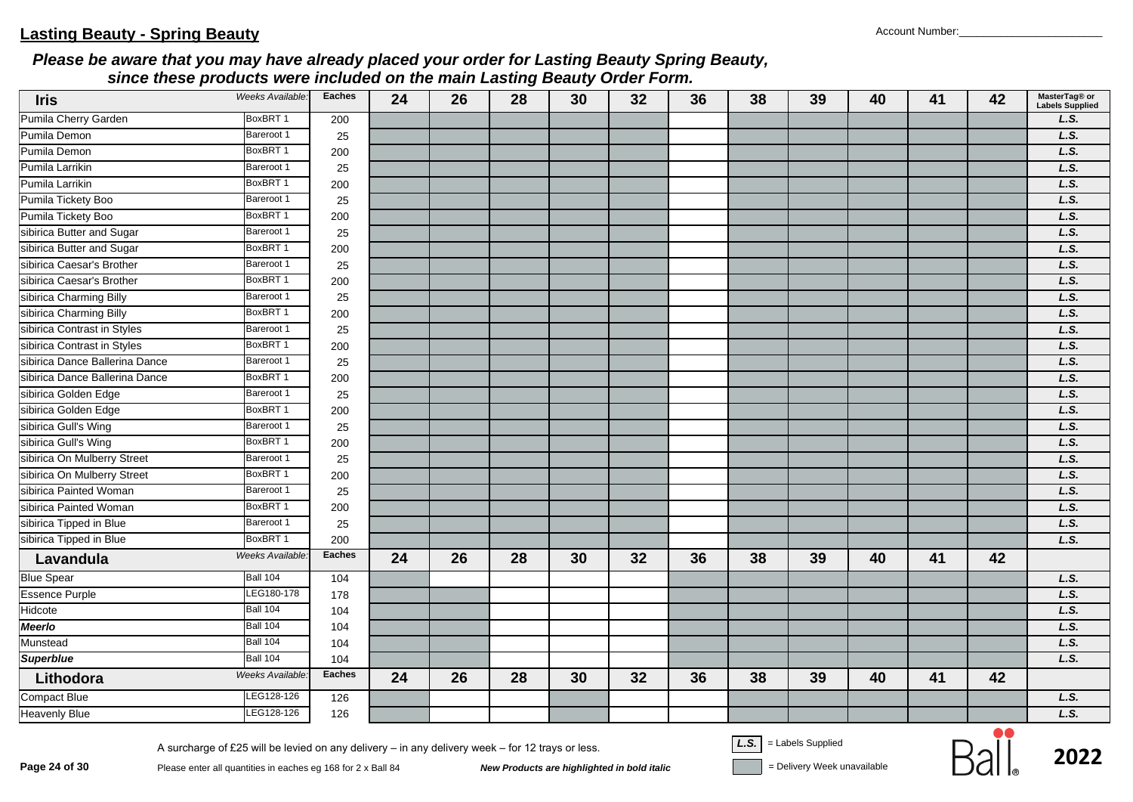| <b>Iris</b>                    | Weeks Available:       | <b>Eaches</b> | 24 | 26 | 28 | 30 | 32 | 36 | 38 | 39 | 40 | 41 | 42 | MasterTag <sup>®</sup> or<br>Labels Supplied |
|--------------------------------|------------------------|---------------|----|----|----|----|----|----|----|----|----|----|----|----------------------------------------------|
| Pumila Cherry Garden           | BoxBRT 1               | 200           |    |    |    |    |    |    |    |    |    |    |    | L.S.                                         |
| Pumila Demon                   | Bareroot 1             | 25            |    |    |    |    |    |    |    |    |    |    |    | L.S.                                         |
| Pumila Demon                   | BoxBRT 1               | 200           |    |    |    |    |    |    |    |    |    |    |    | L.S.                                         |
| Pumila Larrikin                | Bareroot 1             | 25            |    |    |    |    |    |    |    |    |    |    |    | L.S.                                         |
| Pumila Larrikin                | BoxBRT 1               | 200           |    |    |    |    |    |    |    |    |    |    |    | L.S.                                         |
| Pumila Tickety Boo             | Bareroot 1             | 25            |    |    |    |    |    |    |    |    |    |    |    | L.S.                                         |
| Pumila Tickety Boo             | BoxBRT 1               | 200           |    |    |    |    |    |    |    |    |    |    |    | L.S.                                         |
| sibirica Butter and Sugar      | Bareroot 1             | 25            |    |    |    |    |    |    |    |    |    |    |    | L.S.                                         |
| sibirica Butter and Sugar      | BoxBRT 1               | 200           |    |    |    |    |    |    |    |    |    |    |    | L.S.                                         |
| sibirica Caesar's Brother      | Bareroot 1             | 25            |    |    |    |    |    |    |    |    |    |    |    | L.S.                                         |
| sibirica Caesar's Brother      | BoxBRT 1               | 200           |    |    |    |    |    |    |    |    |    |    |    | L.S.                                         |
| sibirica Charming Billy        | Bareroot 1             | 25            |    |    |    |    |    |    |    |    |    |    |    | L.S.                                         |
| sibirica Charming Billy        | BoxBRT 1               | 200           |    |    |    |    |    |    |    |    |    |    |    | L.S.                                         |
| sibirica Contrast in Styles    | Bareroot 1             | 25            |    |    |    |    |    |    |    |    |    |    |    | L.S.                                         |
| sibirica Contrast in Styles    | BoxBRT 1               | 200           |    |    |    |    |    |    |    |    |    |    |    | L.S.                                         |
| sibirica Dance Ballerina Dance | Bareroot 1             | 25            |    |    |    |    |    |    |    |    |    |    |    | L.S.                                         |
| sibirica Dance Ballerina Dance | BoxBRT 1               | 200           |    |    |    |    |    |    |    |    |    |    |    | L.S.                                         |
| sibirica Golden Edge           | Bareroot 1             | 25            |    |    |    |    |    |    |    |    |    |    |    | L.S.                                         |
| sibirica Golden Edge           | BoxBRT 1               | 200           |    |    |    |    |    |    |    |    |    |    |    | L.S.                                         |
| sibirica Gull's Wing           | Bareroot 1             | 25            |    |    |    |    |    |    |    |    |    |    |    | L.S.                                         |
| sibirica Gull's Wing           | BoxBRT 1               | 200           |    |    |    |    |    |    |    |    |    |    |    | L.S.                                         |
| sibirica On Mulberry Street    | Bareroot 1             | 25            |    |    |    |    |    |    |    |    |    |    |    | L.S.                                         |
| sibirica On Mulberry Street    | BoxBRT 1               | 200           |    |    |    |    |    |    |    |    |    |    |    | L.S.                                         |
| sibirica Painted Woman         | Bareroot 1             | 25            |    |    |    |    |    |    |    |    |    |    |    | L.S.                                         |
| sibirica Painted Woman         | BoxBRT 1               | 200           |    |    |    |    |    |    |    |    |    |    |    | L.S.                                         |
| sibirica Tipped in Blue        | Bareroot 1             | 25            |    |    |    |    |    |    |    |    |    |    |    | L.S.                                         |
| sibirica Tipped in Blue        | BoxBRT 1               | 200           |    |    |    |    |    |    |    |    |    |    |    | L.S.                                         |
| Lavandula                      | Weeks Available.       | <b>Eaches</b> | 24 | 26 | 28 | 30 | 32 | 36 | 38 | 39 | 40 | 41 | 42 |                                              |
| <b>Blue Spear</b>              | <b>Ball 104</b>        | 104           |    |    |    |    |    |    |    |    |    |    |    | L.S.                                         |
| <b>Essence Purple</b>          | LEG180-178             | 178           |    |    |    |    |    |    |    |    |    |    |    | L.S.                                         |
| Hidcote                        | <b>Ball 104</b>        | 104           |    |    |    |    |    |    |    |    |    |    |    | L.S.                                         |
| <b>Meerlo</b>                  | Ball 104               | 104           |    |    |    |    |    |    |    |    |    |    |    | L.S.                                         |
| Munstead                       | <b>Ball 104</b>        | 104           |    |    |    |    |    |    |    |    |    |    |    | L.S.                                         |
| <b>Superblue</b>               | <b>Ball 104</b>        | 104           |    |    |    |    |    |    |    |    |    |    |    | L.S.                                         |
| Lithodora                      | <b>Weeks Available</b> | <b>Eaches</b> | 24 | 26 | 28 | 30 | 32 | 36 | 38 | 39 | 40 | 41 | 42 |                                              |
| <b>Compact Blue</b>            | LEG128-126             | 126           |    |    |    |    |    |    |    |    |    |    |    | L.S.                                         |
| <b>Heavenly Blue</b>           | LEG128-126             | 126           |    |    |    |    |    |    |    |    |    |    |    | L.S.                                         |

**Page 24 of 30**<br>Please enter all quantities in eaches eg 168 for 2 x Ball 84<br>**New Products are highlighted in bold italic** and **italic** Delivery Week unavailable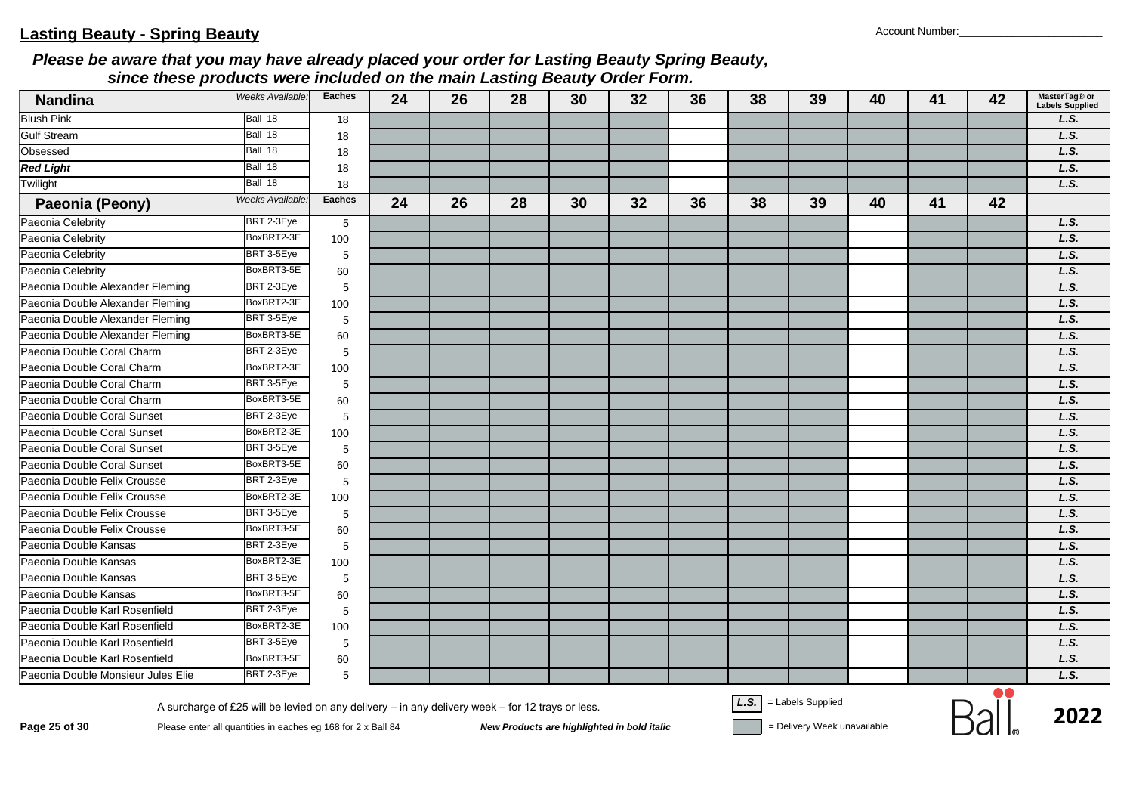| <b>Nandina</b>                     | Weeks Available:                                                                                                                                                 | <b>Eaches</b> | 24 | 26 | 28                                          | 30 | 32 | 36 | 38   | 39                                               | 40 | 41 | 42 | MasterTag® or<br><b>Labels Supplied</b> |
|------------------------------------|------------------------------------------------------------------------------------------------------------------------------------------------------------------|---------------|----|----|---------------------------------------------|----|----|----|------|--------------------------------------------------|----|----|----|-----------------------------------------|
| <b>Blush Pink</b>                  | Ball 18                                                                                                                                                          | 18            |    |    |                                             |    |    |    |      |                                                  |    |    |    | L.S.                                    |
| <b>Gulf Stream</b>                 | Ball 18                                                                                                                                                          | 18            |    |    |                                             |    |    |    |      |                                                  |    |    |    | L.S.                                    |
| Obsessed                           | Ball 18                                                                                                                                                          | 18            |    |    |                                             |    |    |    |      |                                                  |    |    |    | L.S.                                    |
| <b>Red Light</b>                   | Ball 18                                                                                                                                                          | 18            |    |    |                                             |    |    |    |      |                                                  |    |    |    | L.S.                                    |
| Twilight                           | Ball 18                                                                                                                                                          | 18            |    |    |                                             |    |    |    |      |                                                  |    |    |    | L.S.                                    |
| Paeonia (Peony)                    | <b>Weeks Available:</b>                                                                                                                                          | <b>Eaches</b> | 24 | 26 | 28                                          | 30 | 32 | 36 | 38   | 39                                               | 40 | 41 | 42 |                                         |
| Paeonia Celebrity                  | BRT 2-3Eye                                                                                                                                                       | $\sqrt{5}$    |    |    |                                             |    |    |    |      |                                                  |    |    |    | L.S.                                    |
| Paeonia Celebrity                  | BoxBRT2-3E                                                                                                                                                       | 100           |    |    |                                             |    |    |    |      |                                                  |    |    |    | L.S.                                    |
| Paeonia Celebrity                  | BRT 3-5Eye                                                                                                                                                       | 5             |    |    |                                             |    |    |    |      |                                                  |    |    |    | L.S.                                    |
| Paeonia Celebrity                  | BoxBRT3-5E                                                                                                                                                       | 60            |    |    |                                             |    |    |    |      |                                                  |    |    |    | L.S.                                    |
| Paeonia Double Alexander Fleming   | BRT 2-3Eye                                                                                                                                                       | 5             |    |    |                                             |    |    |    |      |                                                  |    |    |    | L.S.                                    |
| Paeonia Double Alexander Fleming   | BoxBRT2-3E                                                                                                                                                       | 100           |    |    |                                             |    |    |    |      |                                                  |    |    |    | L.S.                                    |
| Paeonia Double Alexander Fleming   | BRT 3-5Eye                                                                                                                                                       | 5             |    |    |                                             |    |    |    |      |                                                  |    |    |    | L.S.                                    |
| Paeonia Double Alexander Fleming   | BoxBRT3-5E                                                                                                                                                       | 60            |    |    |                                             |    |    |    |      |                                                  |    |    |    | L.S.                                    |
| Paeonia Double Coral Charm         | BRT 2-3Eye                                                                                                                                                       | 5             |    |    |                                             |    |    |    |      |                                                  |    |    |    | L.S.                                    |
| Paeonia Double Coral Charm         | BoxBRT2-3E                                                                                                                                                       | 100           |    |    |                                             |    |    |    |      |                                                  |    |    |    | L.S.                                    |
| Paeonia Double Coral Charm         | BRT 3-5Eye                                                                                                                                                       | 5             |    |    |                                             |    |    |    |      |                                                  |    |    |    | L.S.                                    |
| Paeonia Double Coral Charm         | BoxBRT3-5E                                                                                                                                                       | 60            |    |    |                                             |    |    |    |      |                                                  |    |    |    | L.S.                                    |
| Paeonia Double Coral Sunset        | BRT 2-3Eye                                                                                                                                                       | 5             |    |    |                                             |    |    |    |      |                                                  |    |    |    | L.S.                                    |
| Paeonia Double Coral Sunset        | BoxBRT2-3E                                                                                                                                                       | 100           |    |    |                                             |    |    |    |      |                                                  |    |    |    | L.S.                                    |
| Paeonia Double Coral Sunset        | BRT 3-5Eye                                                                                                                                                       | 5             |    |    |                                             |    |    |    |      |                                                  |    |    |    | L.S.                                    |
| Paeonia Double Coral Sunset        | BoxBRT3-5E                                                                                                                                                       | 60            |    |    |                                             |    |    |    |      |                                                  |    |    |    | L.S.                                    |
| Paeonia Double Felix Crousse       | BRT 2-3Eye                                                                                                                                                       | 5             |    |    |                                             |    |    |    |      |                                                  |    |    |    | L.S.                                    |
| Paeonia Double Felix Crousse       | BoxBRT2-3E                                                                                                                                                       | 100           |    |    |                                             |    |    |    |      |                                                  |    |    |    | L.S.                                    |
| Paeonia Double Felix Crousse       | BRT 3-5Eye                                                                                                                                                       | 5             |    |    |                                             |    |    |    |      |                                                  |    |    |    | L.S.                                    |
| Paeonia Double Felix Crousse       | BoxBRT3-5E                                                                                                                                                       | 60            |    |    |                                             |    |    |    |      |                                                  |    |    |    | L.S.                                    |
| Paeonia Double Kansas              | BRT 2-3Eye                                                                                                                                                       | 5             |    |    |                                             |    |    |    |      |                                                  |    |    |    | L.S.                                    |
| Paeonia Double Kansas              | BoxBRT2-3E                                                                                                                                                       | 100           |    |    |                                             |    |    |    |      |                                                  |    |    |    | L.S.                                    |
| Paeonia Double Kansas              | BRT 3-5Eye                                                                                                                                                       | 5             |    |    |                                             |    |    |    |      |                                                  |    |    |    | L.S.                                    |
| Paeonia Double Kansas              | BoxBRT3-5E                                                                                                                                                       | 60            |    |    |                                             |    |    |    |      |                                                  |    |    |    | L.S.                                    |
| Paeonia Double Karl Rosenfield     | BRT 2-3Eye                                                                                                                                                       | 5             |    |    |                                             |    |    |    |      |                                                  |    |    |    | L.S.                                    |
| Paeonia Double Karl Rosenfield     | BoxBRT2-3E                                                                                                                                                       | 100           |    |    |                                             |    |    |    |      |                                                  |    |    |    | L.S.                                    |
| Paeonia Double Karl Rosenfield     | BRT 3-5Eye                                                                                                                                                       | 5             |    |    |                                             |    |    |    |      |                                                  |    |    |    | L.S.                                    |
| Paeonia Double Karl Rosenfield     | BoxBRT3-5E                                                                                                                                                       | 60            |    |    |                                             |    |    |    |      |                                                  |    |    |    | L.S.                                    |
| Paeonia Double Monsieur Jules Elie | BRT 2-3Eye                                                                                                                                                       | 5             |    |    |                                             |    |    |    |      |                                                  |    |    |    | L.S.                                    |
| Page 25 of 30                      | A surcharge of £25 will be levied on any delivery - in any delivery week - for 12 trays or less.<br>Please enter all quantities in eaches eg 168 for 2 x Ball 84 |               |    |    | New Products are highlighted in bold italic |    |    |    | L.S. | = Labels Supplied<br>= Delivery Week unavailable |    |    |    | 2022                                    |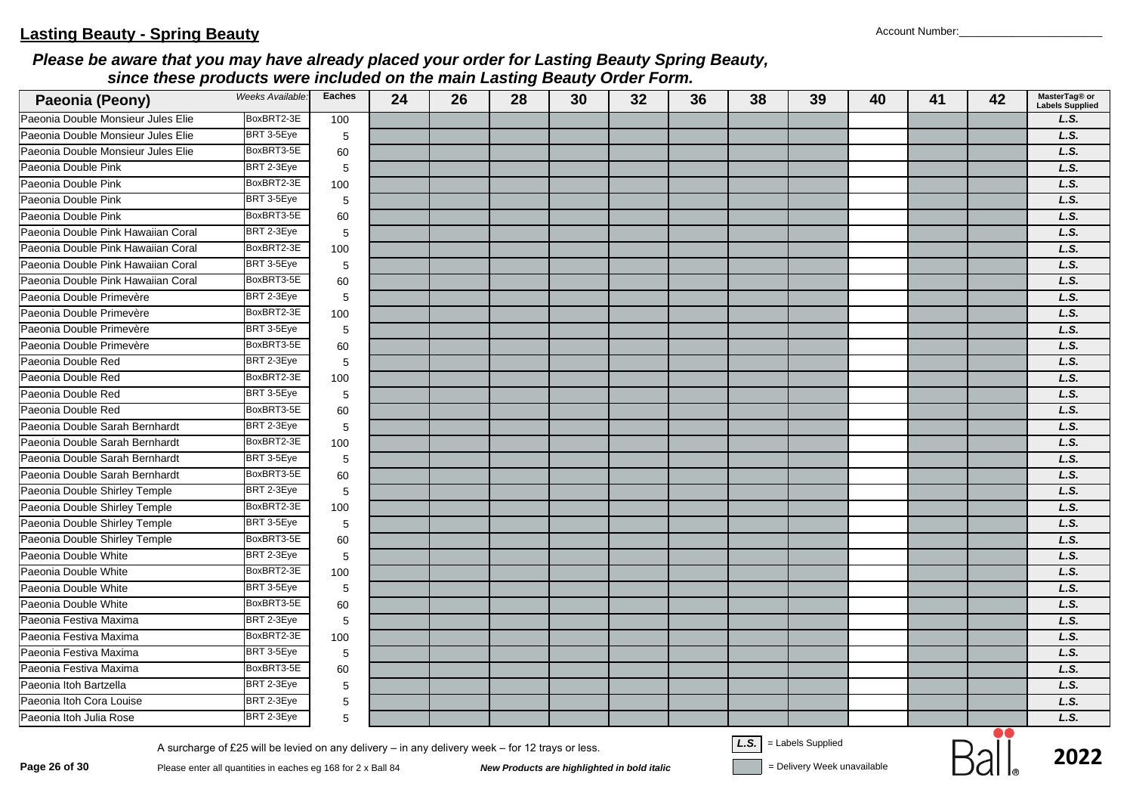| Paeonia (Peony)                    | Weeks Available: | <b>Eaches</b> | 24 | 26 | 28 | 30 | 32 | 36 | 38                                                | 39 | 40 | 41 | 42        | MasterTag® or<br><b>Labels Supplied</b> |
|------------------------------------|------------------|---------------|----|----|----|----|----|----|---------------------------------------------------|----|----|----|-----------|-----------------------------------------|
| Paeonia Double Monsieur Jules Elie | BoxBRT2-3E       | 100           |    |    |    |    |    |    |                                                   |    |    |    |           | L.S.                                    |
| Paeonia Double Monsieur Jules Elie | BRT 3-5Eye       | 5             |    |    |    |    |    |    |                                                   |    |    |    |           | L.S.                                    |
| Paeonia Double Monsieur Jules Elie | BoxBRT3-5E       | 60            |    |    |    |    |    |    |                                                   |    |    |    |           | L.S.                                    |
| Paeonia Double Pink                | BRT 2-3Eye       | 5             |    |    |    |    |    |    |                                                   |    |    |    |           | L.S.                                    |
| Paeonia Double Pink                | BoxBRT2-3E       | 100           |    |    |    |    |    |    |                                                   |    |    |    |           | L.S.                                    |
| Paeonia Double Pink                | BRT 3-5Eye       | 5             |    |    |    |    |    |    |                                                   |    |    |    |           | L.S.                                    |
| Paeonia Double Pink                | BoxBRT3-5E       | 60            |    |    |    |    |    |    |                                                   |    |    |    |           | L.S.                                    |
| Paeonia Double Pink Hawaiian Coral | BRT 2-3Eye       | 5             |    |    |    |    |    |    |                                                   |    |    |    |           | L.S.                                    |
| Paeonia Double Pink Hawaiian Coral | BoxBRT2-3E       | 100           |    |    |    |    |    |    |                                                   |    |    |    |           | L.S.                                    |
| Paeonia Double Pink Hawaiian Coral | BRT 3-5Eye       | 5             |    |    |    |    |    |    |                                                   |    |    |    |           | L.S.                                    |
| Paeonia Double Pink Hawaiian Coral | BoxBRT3-5E       | 60            |    |    |    |    |    |    |                                                   |    |    |    |           | L.S.                                    |
| Paeonia Double Primevère           | BRT 2-3Eye       | 5             |    |    |    |    |    |    |                                                   |    |    |    |           | L.S.                                    |
| Paeonia Double Primevère           | BoxBRT2-3E       | 100           |    |    |    |    |    |    |                                                   |    |    |    |           | L.S.                                    |
| Paeonia Double Primevère           | BRT 3-5Eye       | 5             |    |    |    |    |    |    |                                                   |    |    |    |           | L.S.                                    |
| Paeonia Double Primevère           | BoxBRT3-5E       | 60            |    |    |    |    |    |    |                                                   |    |    |    |           | L.S.                                    |
| Paeonia Double Red                 | BRT 2-3Eye       | 5             |    |    |    |    |    |    |                                                   |    |    |    |           | L.S.                                    |
| Paeonia Double Red                 | BoxBRT2-3E       | 100           |    |    |    |    |    |    |                                                   |    |    |    |           | L.S.                                    |
| Paeonia Double Red                 | BRT 3-5Eye       | $\,$ 5 $\,$   |    |    |    |    |    |    |                                                   |    |    |    |           | L.S.                                    |
| Paeonia Double Red                 | BoxBRT3-5E       | 60            |    |    |    |    |    |    |                                                   |    |    |    |           | L.S.                                    |
| Paeonia Double Sarah Bernhardt     | BRT 2-3Eye       | 5             |    |    |    |    |    |    |                                                   |    |    |    |           | L.S.                                    |
| Paeonia Double Sarah Bernhardt     | BoxBRT2-3E       | 100           |    |    |    |    |    |    |                                                   |    |    |    |           | L.S.                                    |
| Paeonia Double Sarah Bernhardt     | BRT 3-5Eye       | 5             |    |    |    |    |    |    |                                                   |    |    |    |           | L.S.                                    |
| Paeonia Double Sarah Bernhardt     | BoxBRT3-5E       | 60            |    |    |    |    |    |    |                                                   |    |    |    |           | L.S.                                    |
| Paeonia Double Shirley Temple      | BRT 2-3Eye       | 5             |    |    |    |    |    |    |                                                   |    |    |    |           | L.S.                                    |
| Paeonia Double Shirley Temple      | BoxBRT2-3E       | 100           |    |    |    |    |    |    |                                                   |    |    |    |           | L.S.                                    |
| Paeonia Double Shirley Temple      | BRT 3-5Eye       | 5             |    |    |    |    |    |    |                                                   |    |    |    |           | L.S.                                    |
| Paeonia Double Shirley Temple      | BoxBRT3-5E       | 60            |    |    |    |    |    |    |                                                   |    |    |    |           | L.S.                                    |
| Paeonia Double White               | BRT 2-3Eye       | 5             |    |    |    |    |    |    |                                                   |    |    |    |           | L.S.                                    |
| Paeonia Double White               | BoxBRT2-3E       | 100           |    |    |    |    |    |    |                                                   |    |    |    |           | L.S.                                    |
| Paeonia Double White               | BRT 3-5Eye       | 5             |    |    |    |    |    |    |                                                   |    |    |    |           | L.S.                                    |
| Paeonia Double White               | BoxBRT3-5E       | 60            |    |    |    |    |    |    |                                                   |    |    |    |           | L.S.                                    |
| Paeonia Festiva Maxima             | BRT 2-3Eye       | 5             |    |    |    |    |    |    |                                                   |    |    |    |           | L.S.                                    |
| Paeonia Festiva Maxima             | BoxBRT2-3E       | 100           |    |    |    |    |    |    |                                                   |    |    |    |           | L.S.                                    |
| Paeonia Festiva Maxima             | BRT 3-5Eye       | 5             |    |    |    |    |    |    |                                                   |    |    |    |           | L.S.                                    |
| Paeonia Festiva Maxima             | BoxBRT3-5E       | 60            |    |    |    |    |    |    |                                                   |    |    |    |           | L.S.                                    |
| Paeonia Itoh Bartzella             | BRT 2-3Eye       | 5             |    |    |    |    |    |    |                                                   |    |    |    |           | L.S.                                    |
| Paeonia Itoh Cora Louise           | BRT 2-3Eye       | $\,$ 5 $\,$   |    |    |    |    |    |    |                                                   |    |    |    |           | L.S.                                    |
| Paeonia Itoh Julia Rose            | BRT 2-3Eye       | 5             |    |    |    |    |    |    |                                                   |    |    |    |           | L.S.                                    |
|                                    |                  |               |    |    |    |    |    |    | $\overline{1 \cdot \overline{C}}$ Lobels Cunnlied |    |    |    | $\bullet$ |                                         |

**Page 26 of 30**<br>Please enter all quantities in eaches eg 168 for 2 x Ball 84<br>New Products are highlighted in bold italic<br>New Products are highlighted in bold italic<br>Pelivery Week unavailable

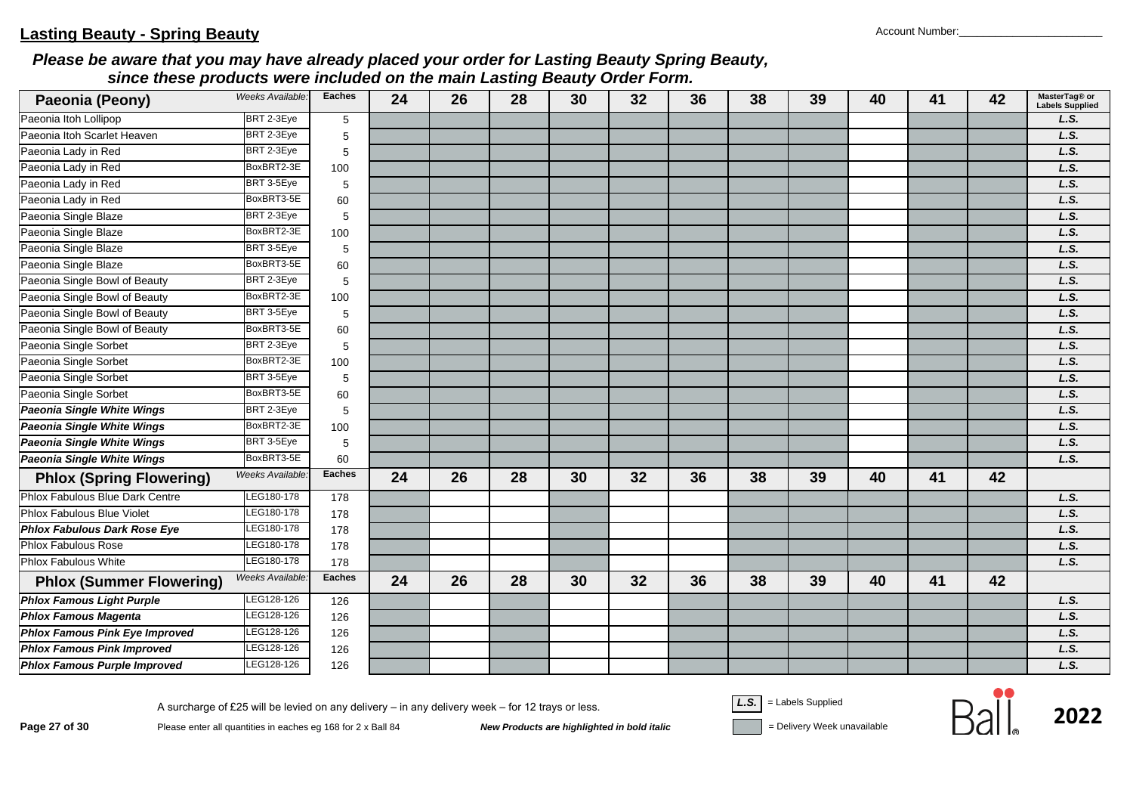| Paeonia (Peony)                       | Weeks Available: | <b>Eaches</b> | 24 | 26 | 28 | 30 | 32 | 36 | 38 | 39 | 40 | 41 | 42 | MasterTag® or<br><b>Labels Supplied</b> |
|---------------------------------------|------------------|---------------|----|----|----|----|----|----|----|----|----|----|----|-----------------------------------------|
| Paeonia Itoh Lollipop                 | BRT 2-3Eye       | 5             |    |    |    |    |    |    |    |    |    |    |    | L.S.                                    |
| Paeonia Itoh Scarlet Heaven           | BRT 2-3Eye       | 5             |    |    |    |    |    |    |    |    |    |    |    | L.S.                                    |
| Paeonia Lady in Red                   | BRT 2-3Eye       | 5             |    |    |    |    |    |    |    |    |    |    |    | L.S.                                    |
| Paeonia Lady in Red                   | BoxBRT2-3E       | 100           |    |    |    |    |    |    |    |    |    |    |    | L.S.                                    |
| Paeonia Lady in Red                   | BRT 3-5Eye       | 5             |    |    |    |    |    |    |    |    |    |    |    | L.S.                                    |
| Paeonia Lady in Red                   | BoxBRT3-5E       | 60            |    |    |    |    |    |    |    |    |    |    |    | L.S.                                    |
| Paeonia Single Blaze                  | BRT 2-3Eye       | 5             |    |    |    |    |    |    |    |    |    |    |    | L.S.                                    |
| Paeonia Single Blaze                  | BoxBRT2-3E       | 100           |    |    |    |    |    |    |    |    |    |    |    | L.S.                                    |
| Paeonia Single Blaze                  | BRT 3-5Eye       | 5             |    |    |    |    |    |    |    |    |    |    |    | L.S.                                    |
| Paeonia Single Blaze                  | BoxBRT3-5E       | 60            |    |    |    |    |    |    |    |    |    |    |    | L.S.                                    |
| Paeonia Single Bowl of Beauty         | BRT 2-3Eye       | 5             |    |    |    |    |    |    |    |    |    |    |    | L.S.                                    |
| Paeonia Single Bowl of Beauty         | BoxBRT2-3E       | 100           |    |    |    |    |    |    |    |    |    |    |    | L.S.                                    |
| Paeonia Single Bowl of Beauty         | BRT 3-5Eye       | 5             |    |    |    |    |    |    |    |    |    |    |    | L.S.                                    |
| Paeonia Single Bowl of Beauty         | BoxBRT3-5E       | 60            |    |    |    |    |    |    |    |    |    |    |    | L.S.                                    |
| Paeonia Single Sorbet                 | BRT 2-3Eye       | 5             |    |    |    |    |    |    |    |    |    |    |    | L.S.                                    |
| Paeonia Single Sorbet                 | BoxBRT2-3E       | 100           |    |    |    |    |    |    |    |    |    |    |    | L.S.                                    |
| Paeonia Single Sorbet                 | BRT 3-5Eye       | 5             |    |    |    |    |    |    |    |    |    |    |    | L.S.                                    |
| Paeonia Single Sorbet                 | BoxBRT3-5E       | 60            |    |    |    |    |    |    |    |    |    |    |    | L.S.                                    |
| <b>Paeonia Single White Wings</b>     | BRT 2-3Eye       | 5             |    |    |    |    |    |    |    |    |    |    |    | L.S.                                    |
| <b>Paeonia Single White Wings</b>     | BoxBRT2-3E       | 100           |    |    |    |    |    |    |    |    |    |    |    | L.S.                                    |
| <b>Paeonia Single White Wings</b>     | BRT 3-5Eye       | 5             |    |    |    |    |    |    |    |    |    |    |    | L.S.                                    |
| Paeonia Single White Wings            | BoxBRT3-5E       | 60            |    |    |    |    |    |    |    |    |    |    |    | L.S.                                    |
| <b>Phlox (Spring Flowering)</b>       | Weeks Available. | <b>Eaches</b> | 24 | 26 | 28 | 30 | 32 | 36 | 38 | 39 | 40 | 41 | 42 |                                         |
| Phlox Fabulous Blue Dark Centre       | LEG180-178       | 178           |    |    |    |    |    |    |    |    |    |    |    | L.S.                                    |
| Phlox Fabulous Blue Violet            | LEG180-178       | 178           |    |    |    |    |    |    |    |    |    |    |    | L.S.                                    |
| <b>Phlox Fabulous Dark Rose Eye</b>   | LEG180-178       | 178           |    |    |    |    |    |    |    |    |    |    |    | L.S.                                    |
| <b>Phlox Fabulous Rose</b>            | LEG180-178       | 178           |    |    |    |    |    |    |    |    |    |    |    | L.S.                                    |
| <b>Phlox Fabulous White</b>           | LEG180-178       | 178           |    |    |    |    |    |    |    |    |    |    |    | L.S.                                    |
| <b>Phlox (Summer Flowering)</b>       | Weeks Available: | <b>Eaches</b> | 24 | 26 | 28 | 30 | 32 | 36 | 38 | 39 | 40 | 41 | 42 |                                         |
| <b>Phlox Famous Light Purple</b>      | LEG128-126       | 126           |    |    |    |    |    |    |    |    |    |    |    | L.S.                                    |
| <b>Phlox Famous Magenta</b>           | LEG128-126       | 126           |    |    |    |    |    |    |    |    |    |    |    | L.S.                                    |
| <b>Phlox Famous Pink Eye Improved</b> | LEG128-126       | 126           |    |    |    |    |    |    |    |    |    |    |    | L.S.                                    |
| <b>Phlox Famous Pink Improved</b>     | LEG128-126       | 126           |    |    |    |    |    |    |    |    |    |    |    | L.S.                                    |
| <b>Phlox Famous Purple Improved</b>   | LEG128-126       | 126           |    |    |    |    |    |    |    |    |    |    |    | L.S.                                    |

A surcharge of £25 will be levied on any delivery – in any delivery week – for 12 trays or less.<br>Page 27 of 30 Please enter all quantities in eaches eg 168 for 2 x Ball 84 New Products are highlighted in bold italic = Del

$$
\mathsf{R}_{2}
$$

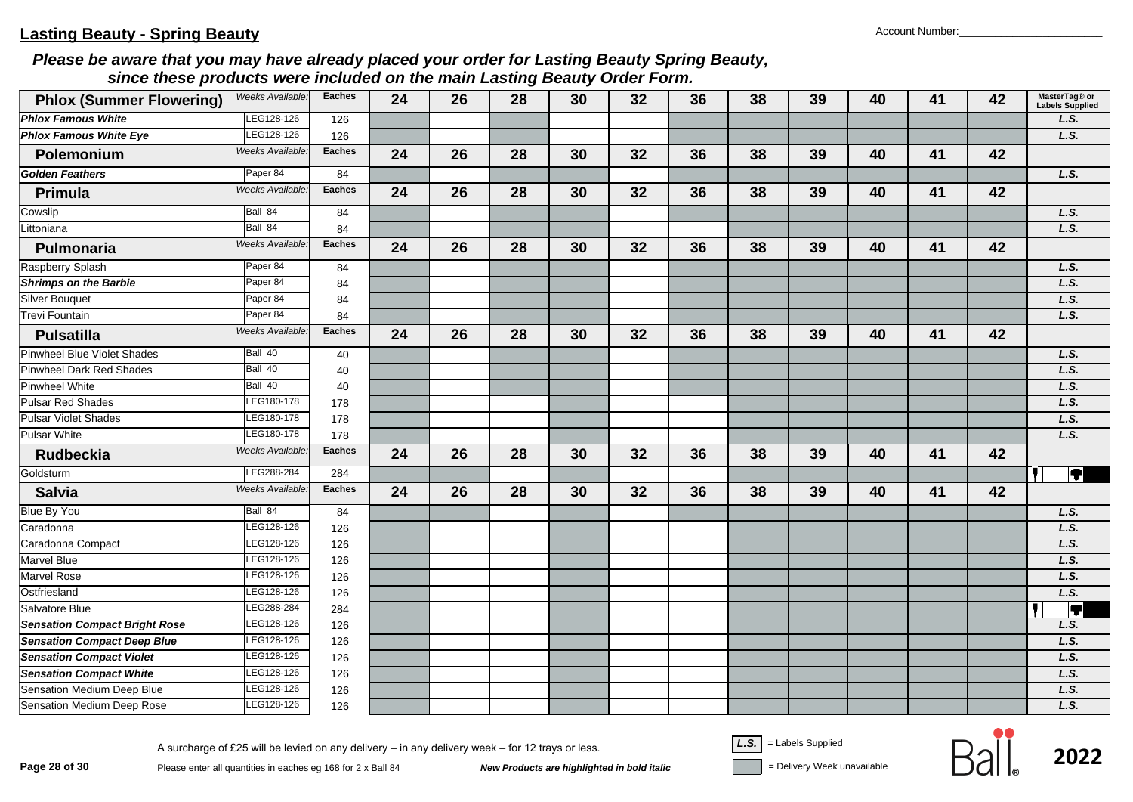| <b>Phlox (Summer Flowering)</b>      | Weeks Available: | <b>Eaches</b> | 24 | 26 | 28 | 30 | 32 | 36 | 38 | 39 | 40 | 41 | 42 | MasterTag® or<br><b>Labels Supplied</b> |
|--------------------------------------|------------------|---------------|----|----|----|----|----|----|----|----|----|----|----|-----------------------------------------|
| <b>Phlox Famous White</b>            | LEG128-126       | 126           |    |    |    |    |    |    |    |    |    |    |    | L.S.                                    |
| <b>Phlox Famous White Eye</b>        | LEG128-126       | 126           |    |    |    |    |    |    |    |    |    |    |    | L.S.                                    |
| Polemonium                           | Weeks Available: | <b>Eaches</b> | 24 | 26 | 28 | 30 | 32 | 36 | 38 | 39 | 40 | 41 | 42 |                                         |
| <b>Golden Feathers</b>               | Paper 84         | 84            |    |    |    |    |    |    |    |    |    |    |    | L.S.                                    |
| Primula                              | Weeks Available: | <b>Eaches</b> | 24 | 26 | 28 | 30 | 32 | 36 | 38 | 39 | 40 | 41 | 42 |                                         |
| Cowslip                              | Ball 84          | 84            |    |    |    |    |    |    |    |    |    |    |    | L.S.                                    |
| Littoniana                           | Ball 84          | 84            |    |    |    |    |    |    |    |    |    |    |    | L.S.                                    |
| Pulmonaria                           | Weeks Available. | <b>Eaches</b> | 24 | 26 | 28 | 30 | 32 | 36 | 38 | 39 | 40 | 41 | 42 |                                         |
| Raspberry Splash                     | Paper 84         | 84            |    |    |    |    |    |    |    |    |    |    |    | L.S.                                    |
| <b>Shrimps on the Barbie</b>         | Paper 84         | 84            |    |    |    |    |    |    |    |    |    |    |    | L.S.                                    |
| <b>Silver Bouquet</b>                | Paper 84         | 84            |    |    |    |    |    |    |    |    |    |    |    | L.S.                                    |
| Trevi Fountain                       | Paper 84         | 84            |    |    |    |    |    |    |    |    |    |    |    | L.S.                                    |
| <b>Pulsatilla</b>                    | Weeks Available: | <b>Eaches</b> | 24 | 26 | 28 | 30 | 32 | 36 | 38 | 39 | 40 | 41 | 42 |                                         |
| Pinwheel Blue Violet Shades          | Ball 40          | 40            |    |    |    |    |    |    |    |    |    |    |    | L.S.                                    |
| Pinwheel Dark Red Shades             | Ball 40          | 40            |    |    |    |    |    |    |    |    |    |    |    | L.S.                                    |
| Pinwheel White                       | Ball 40          | 40            |    |    |    |    |    |    |    |    |    |    |    | L.S.                                    |
| <b>Pulsar Red Shades</b>             | LEG180-178       | 178           |    |    |    |    |    |    |    |    |    |    |    | L.S.                                    |
| <b>Pulsar Violet Shades</b>          | LEG180-178       | 178           |    |    |    |    |    |    |    |    |    |    |    | L.S.                                    |
| <b>Pulsar White</b>                  | LEG180-178       | 178           |    |    |    |    |    |    |    |    |    |    |    | L.S.                                    |
| <b>Rudbeckia</b>                     | Weeks Available. | <b>Eaches</b> | 24 | 26 | 28 | 30 | 32 | 36 | 38 | 39 | 40 | 41 | 42 |                                         |
| Goldsturm                            | LEG288-284       | 284           |    |    |    |    |    |    |    |    |    |    |    | $\overline{\P}$                         |
| <b>Salvia</b>                        | Weeks Available. | <b>Eaches</b> | 24 | 26 | 28 | 30 | 32 | 36 | 38 | 39 | 40 | 41 | 42 |                                         |
| <b>Blue By You</b>                   | Ball 84          | 84            |    |    |    |    |    |    |    |    |    |    |    | L.S.                                    |
| Caradonna                            | LEG128-126       | 126           |    |    |    |    |    |    |    |    |    |    |    | L.S.                                    |
| Caradonna Compact                    | LEG128-126       | 126           |    |    |    |    |    |    |    |    |    |    |    | L.S.                                    |
| <b>Marvel Blue</b>                   | LEG128-126       | 126           |    |    |    |    |    |    |    |    |    |    |    | L.S.                                    |
| <b>Marvel Rose</b>                   | EG128-126        | 126           |    |    |    |    |    |    |    |    |    |    |    | L.S.                                    |
| Ostfriesland                         | EG128-126        | 126           |    |    |    |    |    |    |    |    |    |    |    | L.S.                                    |
| Salvatore Blue                       | LEG288-284       | 284           |    |    |    |    |    |    |    |    |    |    |    | IT                                      |
| <b>Sensation Compact Bright Rose</b> | LEG128-126       | 126           |    |    |    |    |    |    |    |    |    |    |    | L.S.                                    |
| <b>Sensation Compact Deep Blue</b>   | LEG128-126       | 126           |    |    |    |    |    |    |    |    |    |    |    | L.S.                                    |
| <b>Sensation Compact Violet</b>      | LEG128-126       | 126           |    |    |    |    |    |    |    |    |    |    |    | L.S.                                    |
| <b>Sensation Compact White</b>       | LEG128-126       | 126           |    |    |    |    |    |    |    |    |    |    |    | L.S.                                    |
| Sensation Medium Deep Blue           | LEG128-126       | 126           |    |    |    |    |    |    |    |    |    |    |    | L.S.                                    |
| Sensation Medium Deep Rose           | LEG128-126       | 126           |    |    |    |    |    |    |    |    |    |    |    | L.S.                                    |

**Page 28 of 30**<br>Please enter all quantities in eaches eg 168 for 2 x Ball 84<br>**New Products are highlighted in bold italic** and **italic** Delivery Week unavailable

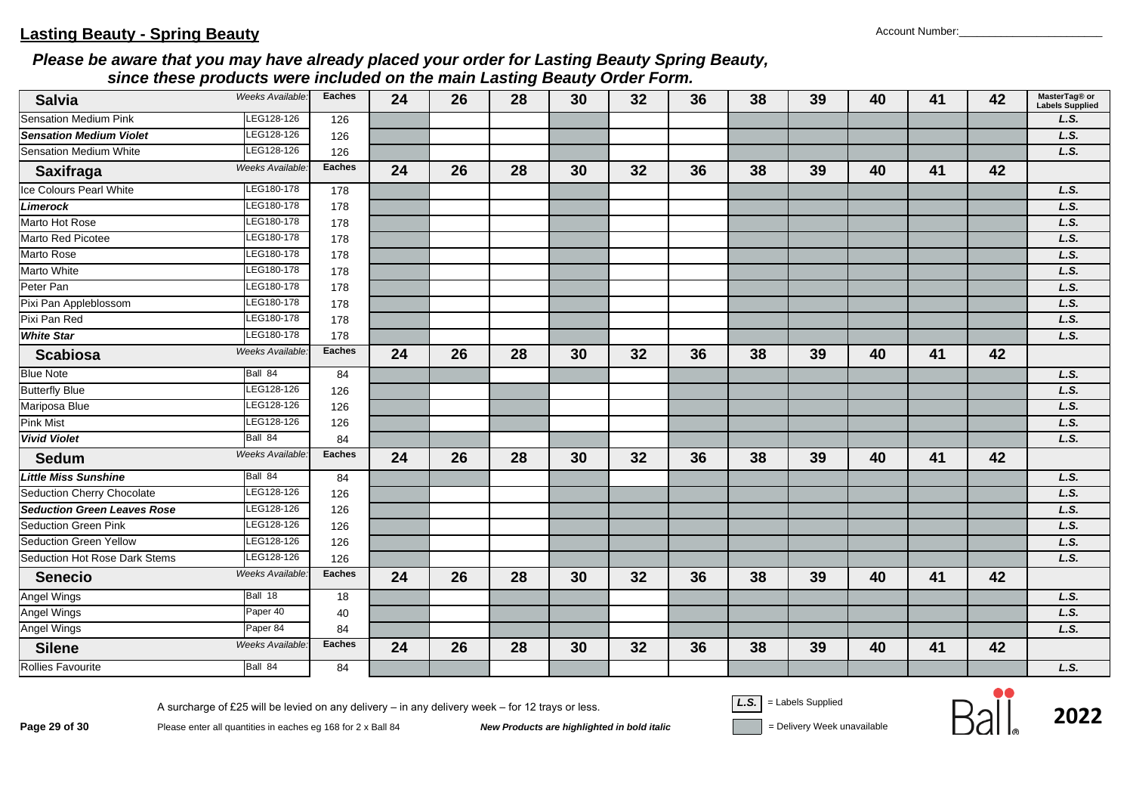| <b>Salvia</b>                      | Weeks Available: | <b>Eaches</b> | 24 | 26 | 28 | 30 | 32 | 36 | 38 | 39 | 40 | 41 | 42 | MasterTag® or<br><b>Labels Supplied</b> |
|------------------------------------|------------------|---------------|----|----|----|----|----|----|----|----|----|----|----|-----------------------------------------|
| <b>Sensation Medium Pink</b>       | LEG128-126       | 126           |    |    |    |    |    |    |    |    |    |    |    | L.S.                                    |
| <b>Sensation Medium Violet</b>     | LEG128-126       | 126           |    |    |    |    |    |    |    |    |    |    |    | L.S.                                    |
| Sensation Medium White             | LEG128-126       | 126           |    |    |    |    |    |    |    |    |    |    |    | L.S.                                    |
| <b>Saxifraga</b>                   | Weeks Available: | <b>Eaches</b> | 24 | 26 | 28 | 30 | 32 | 36 | 38 | 39 | 40 | 41 | 42 |                                         |
| Ice Colours Pearl White            | LEG180-178       | 178           |    |    |    |    |    |    |    |    |    |    |    | L.S.                                    |
| Limerock                           | LEG180-178       | 178           |    |    |    |    |    |    |    |    |    |    |    | L.S.                                    |
| Marto Hot Rose                     | LEG180-178       | 178           |    |    |    |    |    |    |    |    |    |    |    | L.S.                                    |
| Marto Red Picotee                  | LEG180-178       | 178           |    |    |    |    |    |    |    |    |    |    |    | L.S.                                    |
| Marto Rose                         | LEG180-178       | 178           |    |    |    |    |    |    |    |    |    |    |    | L.S.                                    |
| Marto White                        | LEG180-178       | 178           |    |    |    |    |    |    |    |    |    |    |    | L.S.                                    |
| Peter Pan                          | LEG180-178       | 178           |    |    |    |    |    |    |    |    |    |    |    | L.S.                                    |
| Pixi Pan Appleblossom              | LEG180-178       | 178           |    |    |    |    |    |    |    |    |    |    |    | L.S.                                    |
| Pixi Pan Red                       | LEG180-178       | 178           |    |    |    |    |    |    |    |    |    |    |    | L.S.                                    |
| <b>White Star</b>                  | LEG180-178       | 178           |    |    |    |    |    |    |    |    |    |    |    | L.S.                                    |
| <b>Scabiosa</b>                    | Weeks Available. | <b>Eaches</b> | 24 | 26 | 28 | 30 | 32 | 36 | 38 | 39 | 40 | 41 | 42 |                                         |
| <b>Blue Note</b>                   | Ball 84          | 84            |    |    |    |    |    |    |    |    |    |    |    | L.S.                                    |
| <b>Butterfly Blue</b>              | LEG128-126       | 126           |    |    |    |    |    |    |    |    |    |    |    | L.S.                                    |
| Mariposa Blue                      | LEG128-126       | 126           |    |    |    |    |    |    |    |    |    |    |    | L.S.                                    |
| <b>Pink Mist</b>                   | LEG128-126       | 126           |    |    |    |    |    |    |    |    |    |    |    | L.S.                                    |
| <b>Vivid Violet</b>                | Ball 84          | 84            |    |    |    |    |    |    |    |    |    |    |    | L.S.                                    |
| <b>Sedum</b>                       | Weeks Available: | <b>Eaches</b> | 24 | 26 | 28 | 30 | 32 | 36 | 38 | 39 | 40 | 41 | 42 |                                         |
| <b>Little Miss Sunshine</b>        | Ball 84          | 84            |    |    |    |    |    |    |    |    |    |    |    | L.S.                                    |
| <b>Seduction Cherry Chocolate</b>  | LEG128-126       | 126           |    |    |    |    |    |    |    |    |    |    |    | L.S.                                    |
| <b>Seduction Green Leaves Rose</b> | LEG128-126       | 126           |    |    |    |    |    |    |    |    |    |    |    | L.S.                                    |
| <b>Seduction Green Pink</b>        | LEG128-126       | 126           |    |    |    |    |    |    |    |    |    |    |    | L.S.                                    |
| Seduction Green Yellow             | LEG128-126       | 126           |    |    |    |    |    |    |    |    |    |    |    | L.S.                                    |
| Seduction Hot Rose Dark Stems      | LEG128-126       | 126           |    |    |    |    |    |    |    |    |    |    |    | L.S.                                    |
| <b>Senecio</b>                     | Weeks Available. | <b>Eaches</b> | 24 | 26 | 28 | 30 | 32 | 36 | 38 | 39 | 40 | 41 | 42 |                                         |
| Angel Wings                        | Ball 18          | 18            |    |    |    |    |    |    |    |    |    |    |    | L.S.                                    |
| <b>Angel Wings</b>                 | Paper 40         | 40            |    |    |    |    |    |    |    |    |    |    |    | L.S.                                    |
| <b>Angel Wings</b>                 | Paper 84         | 84            |    |    |    |    |    |    |    |    |    |    |    | L.S.                                    |
| <b>Silene</b>                      | Weeks Available  | <b>Eaches</b> | 24 | 26 | 28 | 30 | 32 | 36 | 38 | 39 | 40 | 41 | 42 |                                         |
| Rollies Favourite                  | Ball 84          | 84            |    |    |    |    |    |    |    |    |    |    |    | L.S.                                    |

**Page 29 of 30**<br>Please enter all quantities in eaches eg 168 for 2 x Ball 84<br>New Products are highlighted in bold italic **Devertion Sell Devertion** = Delivery Week unavailable

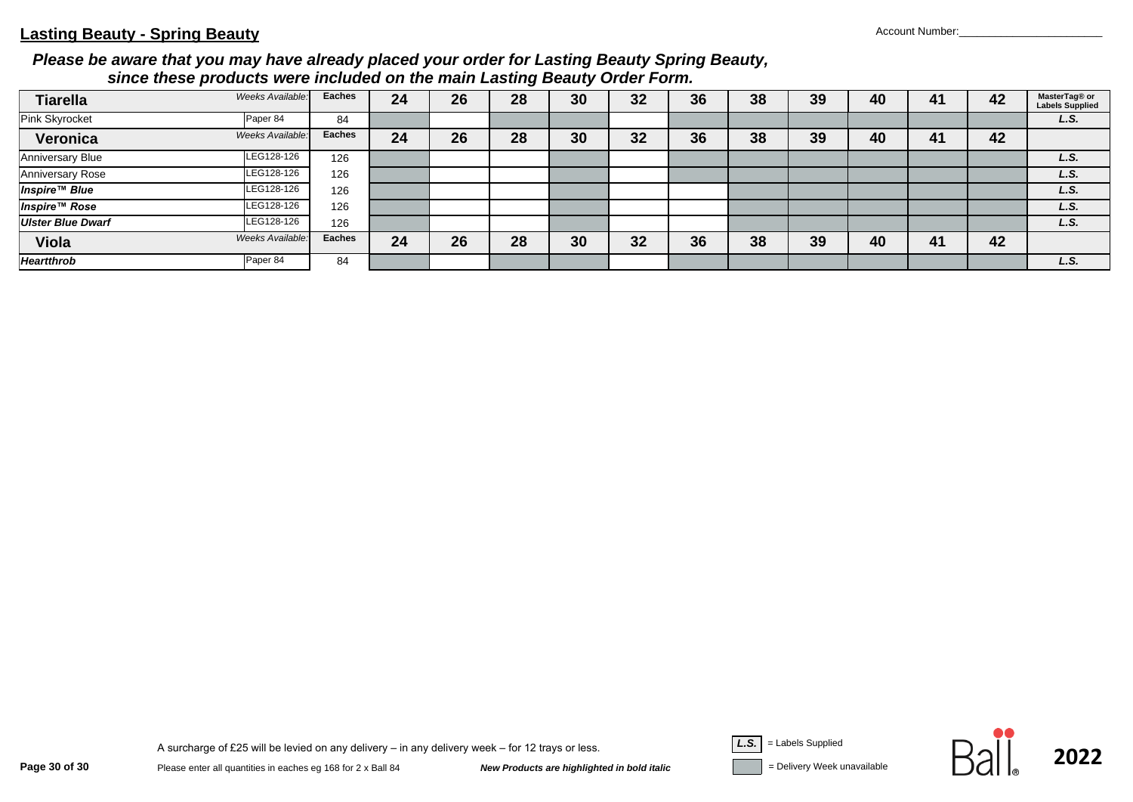#### **Lasting Beauty - Spring Beauty** Account Number:

#### *Please be aware that you may have already placed your order for Lasting Beauty Spring Beauty, since these products were included on the main Lasting Beauty Order Form.*

| <b>Tiarella</b>          | Weeks Available: | Eaches | 24 | 26 | 28 | 30 | 32 | 36 | 38 | 39 | 40 | 41 | 42 | MasterTag® or<br><b>Labels Supplied</b> |
|--------------------------|------------------|--------|----|----|----|----|----|----|----|----|----|----|----|-----------------------------------------|
| Pink Skyrocket           | Paper 84         | 84     |    |    |    |    |    |    |    |    |    |    |    | L.S.                                    |
| Veronica                 | Weeks Available: | Eaches | 24 | 26 | 28 | 30 | 32 | 36 | 38 | 39 | 40 | 41 | 42 |                                         |
| <b>Anniversary Blue</b>  | LEG128-126       | 126    |    |    |    |    |    |    |    |    |    |    |    | L.S.                                    |
| <b>Anniversary Rose</b>  | LEG128-126       | 126    |    |    |    |    |    |    |    |    |    |    |    | L.S.                                    |
| <b>Inspire™ Blue</b>     | LEG128-126       | 126    |    |    |    |    |    |    |    |    |    |    |    | L.S.                                    |
| <b>Inspire™ Rose</b>     | LEG128-126       | 126    |    |    |    |    |    |    |    |    |    |    |    | L.S.                                    |
| <b>Ulster Blue Dwarf</b> | LEG128-126       | 126    |    |    |    |    |    |    |    |    |    |    |    | L.S.                                    |
| Viola                    | Weeks Available: | Eaches | 24 | 26 | 28 | 30 | 32 | 36 | 38 | 39 | 40 | 41 | 42 |                                         |
| <b>Heartthrob</b>        | Paper 84         | 84     |    |    |    |    |    |    |    |    |    |    |    | L.S.                                    |

**Page 30 of 30**<br>Please enter all quantities in eaches eg 168 for 2 x Ball 84<br>New Products are highlighted in bold italic **Devertion Sell Devertion Service And Teles** Supplied Pelivery Week unavailable